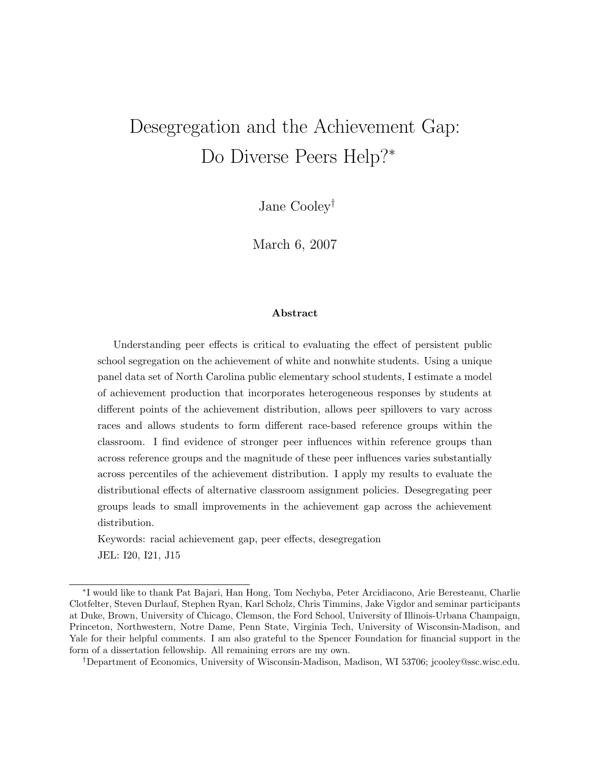# Desegregation and the Achievement Gap: Do Diverse Peers Help?<sup>∗</sup>

Jane Cooley†

March 6, 2007

#### Abstract

Understanding peer effects is critical to evaluating the effect of persistent public school segregation on the achievement of white and nonwhite students. Using a unique panel data set of North Carolina public elementary school students, I estimate a model of achievement production that incorporates heterogeneous responses by students at different points of the achievement distribution, allows peer spillovers to vary across races and allows students to form different race-based reference groups within the classroom. I find evidence of stronger peer influences within reference groups than across reference groups and the magnitude of these peer influences varies substantially across percentiles of the achievement distribution. I apply my results to evaluate the distributional effects of alternative classroom assignment policies. Desegregating peer groups leads to small improvements in the achievement gap across the achievement distribution.

Keywords: racial achievement gap, peer effects, desegregation JEL: I20, I21, J15

<sup>∗</sup> I would like to thank Pat Bajari, Han Hong, Tom Nechyba, Peter Arcidiacono, Arie Beresteanu, Charlie Clotfelter, Steven Durlauf, Stephen Ryan, Karl Scholz, Chris Timmins, Jake Vigdor and seminar participants at Duke, Brown, University of Chicago, Clemson, the Ford School, University of Illinois-Urbana Champaign, Princeton, Northwestern, Notre Dame, Penn State, Virginia Tech, University of Wisconsin-Madison, and Yale for their helpful comments. I am also grateful to the Spencer Foundation for financial support in the form of a dissertation fellowship. All remaining errors are my own.

<sup>†</sup>Department of Economics, University of Wisconsin-Madison, Madison, WI 53706; jcooley@ssc.wisc.edu.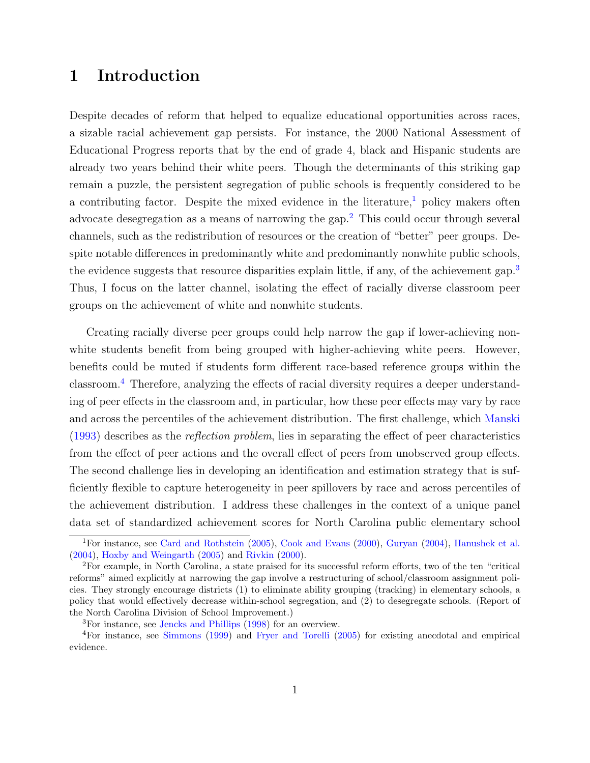## 1 Introduction

Despite decades of reform that helped to equalize educational opportunities across races, a sizable racial achievement gap persists. For instance, the 2000 National Assessment of Educational Progress reports that by the end of grade 4, black and Hispanic students are already two years behind their white peers. Though the determinants of this striking gap remain a puzzle, the persistent segregation of public schools is frequently considered to be a contributing factor. Despite the mixed evidence in the literature,<sup>[1](#page-1-0)</sup> policy makers often advocate desegregation as a means of narrowing the gap.<sup>[2](#page-1-1)</sup> This could occur through several channels, such as the redistribution of resources or the creation of "better" peer groups. Despite notable differences in predominantly white and predominantly nonwhite public schools, the evidence suggests that resource disparities explain little, if any, of the achievement gap.<sup>[3](#page-1-2)</sup> Thus, I focus on the latter channel, isolating the effect of racially diverse classroom peer groups on the achievement of white and nonwhite students.

Creating racially diverse peer groups could help narrow the gap if lower-achieving nonwhite students benefit from being grouped with higher-achieving white peers. However, benefits could be muted if students form different race-based reference groups within the classroom.[4](#page-1-3) Therefore, analyzing the effects of racial diversity requires a deeper understanding of peer effects in the classroom and, in particular, how these peer effects may vary by race and across the percentiles of the achievement distribution. The first challenge, which [Manski](#page-42-0) [\(1993\)](#page-42-0) describes as the reflection problem, lies in separating the effect of peer characteristics from the effect of peer actions and the overall effect of peers from unobserved group effects. The second challenge lies in developing an identification and estimation strategy that is sufficiently flexible to capture heterogeneity in peer spillovers by race and across percentiles of the achievement distribution. I address these challenges in the context of a unique panel data set of standardized achievement scores for North Carolina public elementary school

<span id="page-1-0"></span><sup>1</sup>For instance, see [Card and Rothstein](#page-40-0) [\(2005\)](#page-40-0), [Cook and Evans](#page-41-0) [\(2000\)](#page-41-0), [Guryan](#page-41-1) [\(2004\)](#page-41-1), [Hanushek et al.](#page-41-2) [\(2004\)](#page-41-2), [Hoxby and Weingarth](#page-42-1) [\(2005\)](#page-42-1) and [Rivkin](#page-43-0) [\(2000\)](#page-43-0).

<span id="page-1-1"></span><sup>2</sup>For example, in North Carolina, a state praised for its successful reform efforts, two of the ten "critical reforms" aimed explicitly at narrowing the gap involve a restructuring of school/classroom assignment policies. They strongly encourage districts (1) to eliminate ability grouping (tracking) in elementary schools, a policy that would effectively decrease within-school segregation, and (2) to desegregate schools. (Report of the North Carolina Division of School Improvement.)

<span id="page-1-3"></span><span id="page-1-2"></span><sup>3</sup>For instance, see [Jencks and Phillips](#page-42-2) [\(1998\)](#page-42-2) for an overview.

<sup>4</sup>For instance, see [Simmons](#page-43-1) [\(1999\)](#page-43-1) and [Fryer and Torelli](#page-41-3) [\(2005\)](#page-41-3) for existing anecdotal and empirical evidence.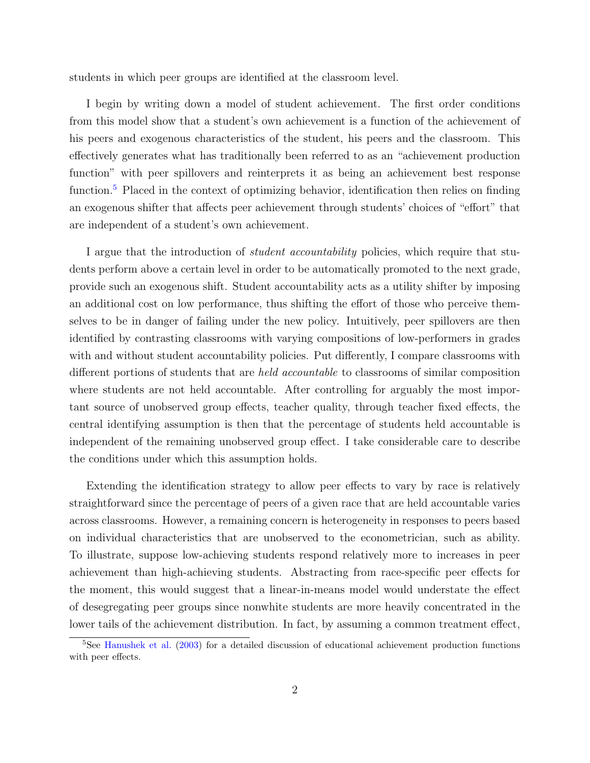students in which peer groups are identified at the classroom level.

I begin by writing down a model of student achievement. The first order conditions from this model show that a student's own achievement is a function of the achievement of his peers and exogenous characteristics of the student, his peers and the classroom. This effectively generates what has traditionally been referred to as an "achievement production function" with peer spillovers and reinterprets it as being an achievement best response function.<sup>[5](#page-2-0)</sup> Placed in the context of optimizing behavior, identification then relies on finding an exogenous shifter that affects peer achievement through students' choices of "effort" that are independent of a student's own achievement.

I argue that the introduction of *student accountability* policies, which require that students perform above a certain level in order to be automatically promoted to the next grade, provide such an exogenous shift. Student accountability acts as a utility shifter by imposing an additional cost on low performance, thus shifting the effort of those who perceive themselves to be in danger of failing under the new policy. Intuitively, peer spillovers are then identified by contrasting classrooms with varying compositions of low-performers in grades with and without student accountability policies. Put differently, I compare classrooms with different portions of students that are held accountable to classrooms of similar composition where students are not held accountable. After controlling for arguably the most important source of unobserved group effects, teacher quality, through teacher fixed effects, the central identifying assumption is then that the percentage of students held accountable is independent of the remaining unobserved group effect. I take considerable care to describe the conditions under which this assumption holds.

Extending the identification strategy to allow peer effects to vary by race is relatively straightforward since the percentage of peers of a given race that are held accountable varies across classrooms. However, a remaining concern is heterogeneity in responses to peers based on individual characteristics that are unobserved to the econometrician, such as ability. To illustrate, suppose low-achieving students respond relatively more to increases in peer achievement than high-achieving students. Abstracting from race-specific peer effects for the moment, this would suggest that a linear-in-means model would understate the effect of desegregating peer groups since nonwhite students are more heavily concentrated in the lower tails of the achievement distribution. In fact, by assuming a common treatment effect,

<span id="page-2-0"></span><sup>5</sup>See [Hanushek et al.](#page-41-4) [\(2003\)](#page-41-4) for a detailed discussion of educational achievement production functions with peer effects.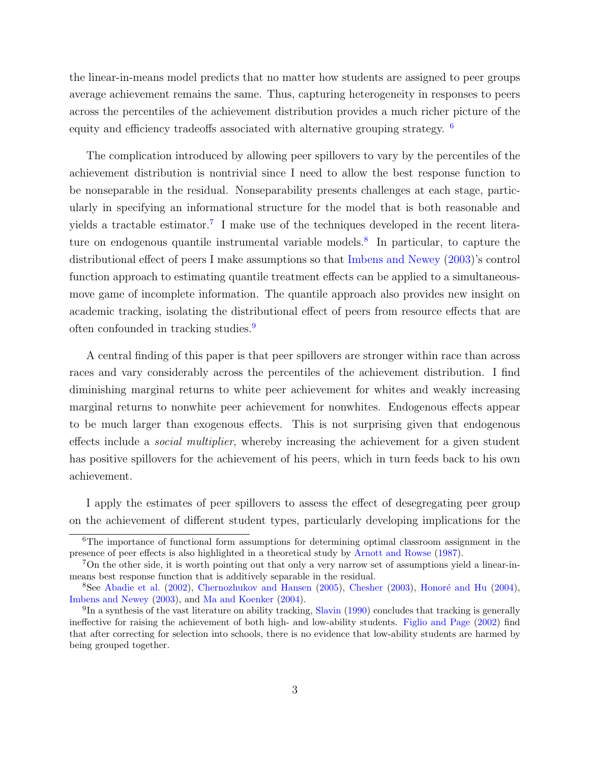the linear-in-means model predicts that no matter how students are assigned to peer groups average achievement remains the same. Thus, capturing heterogeneity in responses to peers across the percentiles of the achievement distribution provides a much richer picture of the equity and efficiency tradeoffs associated with alternative grouping strategy. [6](#page-3-0)

The complication introduced by allowing peer spillovers to vary by the percentiles of the achievement distribution is nontrivial since I need to allow the best response function to be nonseparable in the residual. Nonseparability presents challenges at each stage, particularly in specifying an informational structure for the model that is both reasonable and yields a tractable estimator.<sup>[7](#page-3-1)</sup> I make use of the techniques developed in the recent litera-ture on endogenous quantile instrumental variable models.<sup>[8](#page-3-2)</sup> In particular, to capture the distributional effect of peers I make assumptions so that [Imbens and Newey](#page-42-3) [\(2003\)](#page-42-3)'s control function approach to estimating quantile treatment effects can be applied to a simultaneousmove game of incomplete information. The quantile approach also provides new insight on academic tracking, isolating the distributional effect of peers from resource effects that are often confounded in tracking studies.<sup>[9](#page-3-3)</sup>

A central finding of this paper is that peer spillovers are stronger within race than across races and vary considerably across the percentiles of the achievement distribution. I find diminishing marginal returns to white peer achievement for whites and weakly increasing marginal returns to nonwhite peer achievement for nonwhites. Endogenous effects appear to be much larger than exogenous effects. This is not surprising given that endogenous effects include a social multiplier, whereby increasing the achievement for a given student has positive spillovers for the achievement of his peers, which in turn feeds back to his own achievement.

I apply the estimates of peer spillovers to assess the effect of desegregating peer group on the achievement of different student types, particularly developing implications for the

<span id="page-3-0"></span><sup>&</sup>lt;sup>6</sup>The importance of functional form assumptions for determining optimal classroom assignment in the presence of peer effects is also highlighted in a theoretical study by [Arnott and Rowse](#page-40-1) [\(1987\)](#page-40-1).

<span id="page-3-1"></span><sup>7</sup>On the other side, it is worth pointing out that only a very narrow set of assumptions yield a linear-inmeans best response function that is additively separable in the residual.

<span id="page-3-2"></span><sup>&</sup>lt;sup>8</sup>See [Abadie et al.](#page-40-2) [\(2002\)](#page-40-2), [Chernozhukov and Hansen](#page-40-3) [\(2005\)](#page-40-3), [Chesher](#page-41-5) [\(2003\)](#page-41-5), Honoré and Hu [\(2004\)](#page-41-6), [Imbens and Newey](#page-42-3) [\(2003\)](#page-42-3), and [Ma and Koenker](#page-42-4) [\(2004\)](#page-42-4).

<span id="page-3-3"></span><sup>&</sup>lt;sup>9</sup>In a synthesis of the vast literature on ability tracking, [Slavin](#page-43-2) [\(1990\)](#page-43-2) concludes that tracking is generally ineffective for raising the achievement of both high- and low-ability students. [Figlio and Page](#page-41-7) [\(2002\)](#page-41-7) find that after correcting for selection into schools, there is no evidence that low-ability students are harmed by being grouped together.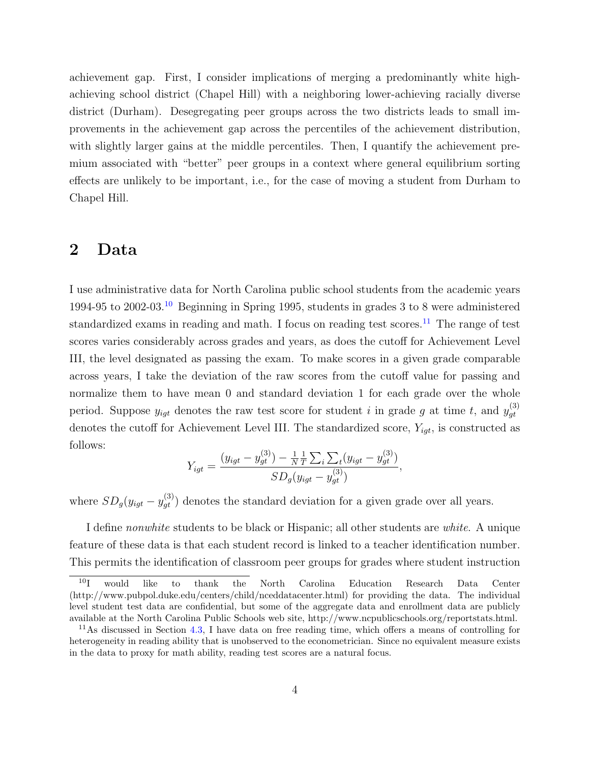achievement gap. First, I consider implications of merging a predominantly white highachieving school district (Chapel Hill) with a neighboring lower-achieving racially diverse district (Durham). Desegregating peer groups across the two districts leads to small improvements in the achievement gap across the percentiles of the achievement distribution, with slightly larger gains at the middle percentiles. Then, I quantify the achievement premium associated with "better" peer groups in a context where general equilibrium sorting effects are unlikely to be important, i.e., for the case of moving a student from Durham to Chapel Hill.

### 2 Data

I use administrative data for North Carolina public school students from the academic years 1994-95 to 2002-03.[10](#page-4-0) Beginning in Spring 1995, students in grades 3 to 8 were administered standardized exams in reading and math. I focus on reading test scores.<sup>[11](#page-4-1)</sup> The range of test scores varies considerably across grades and years, as does the cutoff for Achievement Level III, the level designated as passing the exam. To make scores in a given grade comparable across years, I take the deviation of the raw scores from the cutoff value for passing and normalize them to have mean 0 and standard deviation 1 for each grade over the whole period. Suppose  $y_{igt}$  denotes the raw test score for student i in grade g at time t, and  $y_{qt}^{(3)}$ gt denotes the cutoff for Achievement Level III. The standardized score,  $Y_{igt}$ , is constructed as follows:

$$
Y_{igt} = \frac{(y_{igt} - y_{gt}^{(3)}) - \frac{1}{N} \frac{1}{T} \sum_{i} \sum_{t} (y_{igt} - y_{gt}^{(3)})}{SD_g(y_{igt} - y_{gt}^{(3)})},
$$

where  $SD_g(y_{igt} - y_{gt}^{(3)})$  denotes the standard deviation for a given grade over all years.

I define nonwhite students to be black or Hispanic; all other students are white. A unique feature of these data is that each student record is linked to a teacher identification number. This permits the identification of classroom peer groups for grades where student instruction

<span id="page-4-0"></span><sup>10</sup>I would like to thank the North Carolina Education Research Data Center (http://www.pubpol.duke.edu/centers/child/nceddatacenter.html) for providing the data. The individual level student test data are confidential, but some of the aggregate data and enrollment data are publicly available at the North Carolina Public Schools web site, http://www.ncpublicschools.org/reportstats.html.

<span id="page-4-1"></span> $11$ As discussed in Section [4.3,](#page-20-0) I have data on free reading time, which offers a means of controlling for heterogeneity in reading ability that is unobserved to the econometrician. Since no equivalent measure exists in the data to proxy for math ability, reading test scores are a natural focus.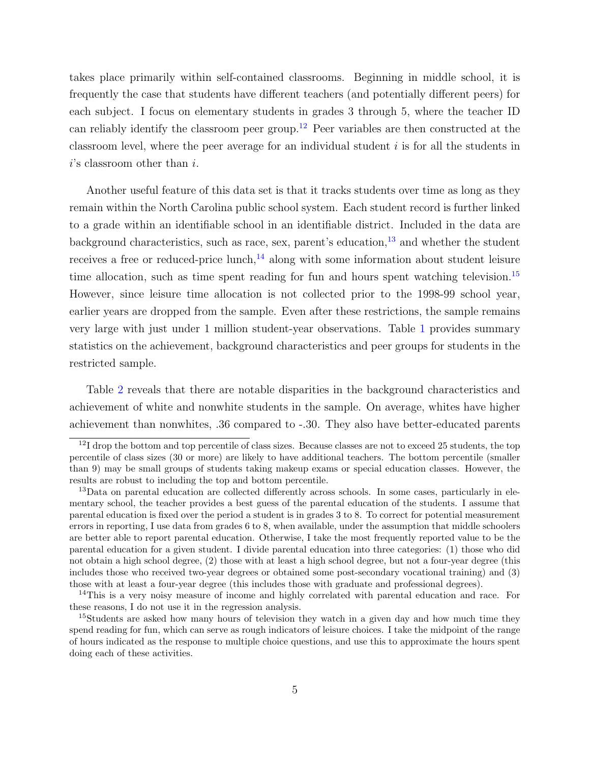takes place primarily within self-contained classrooms. Beginning in middle school, it is frequently the case that students have different teachers (and potentially different peers) for each subject. I focus on elementary students in grades 3 through 5, where the teacher ID can reliably identify the classroom peer group.[12](#page-5-0) Peer variables are then constructed at the classroom level, where the peer average for an individual student  $i$  is for all the students in  $i$ 's classroom other than  $i$ .

Another useful feature of this data set is that it tracks students over time as long as they remain within the North Carolina public school system. Each student record is further linked to a grade within an identifiable school in an identifiable district. Included in the data are background characteristics, such as race, sex, parent's education, $^{13}$  $^{13}$  $^{13}$  and whether the student receives a free or reduced-price lunch, $^{14}$  $^{14}$  $^{14}$  along with some information about student leisure time allocation, such as time spent reading for fun and hours spent watching television.<sup>[15](#page-5-3)</sup> However, since leisure time allocation is not collected prior to the 1998-99 school year, earlier years are dropped from the sample. Even after these restrictions, the sample remains very large with just under 1 million student-year observations. Table [1](#page-46-0) provides summary statistics on the achievement, background characteristics and peer groups for students in the restricted sample.

Table [2](#page-47-0) reveals that there are notable disparities in the background characteristics and achievement of white and nonwhite students in the sample. On average, whites have higher achievement than nonwhites, .36 compared to -.30. They also have better-educated parents

<span id="page-5-0"></span><sup>&</sup>lt;sup>12</sup>I drop the bottom and top percentile of class sizes. Because classes are not to exceed 25 students, the top percentile of class sizes (30 or more) are likely to have additional teachers. The bottom percentile (smaller than 9) may be small groups of students taking makeup exams or special education classes. However, the results are robust to including the top and bottom percentile.

<span id="page-5-1"></span><sup>&</sup>lt;sup>13</sup>Data on parental education are collected differently across schools. In some cases, particularly in elementary school, the teacher provides a best guess of the parental education of the students. I assume that parental education is fixed over the period a student is in grades 3 to 8. To correct for potential measurement errors in reporting, I use data from grades 6 to 8, when available, under the assumption that middle schoolers are better able to report parental education. Otherwise, I take the most frequently reported value to be the parental education for a given student. I divide parental education into three categories: (1) those who did not obtain a high school degree, (2) those with at least a high school degree, but not a four-year degree (this includes those who received two-year degrees or obtained some post-secondary vocational training) and (3) those with at least a four-year degree (this includes those with graduate and professional degrees).

<span id="page-5-2"></span><sup>&</sup>lt;sup>14</sup>This is a very noisy measure of income and highly correlated with parental education and race. For these reasons, I do not use it in the regression analysis.

<span id="page-5-3"></span><sup>&</sup>lt;sup>15</sup>Students are asked how many hours of television they watch in a given day and how much time they spend reading for fun, which can serve as rough indicators of leisure choices. I take the midpoint of the range of hours indicated as the response to multiple choice questions, and use this to approximate the hours spent doing each of these activities.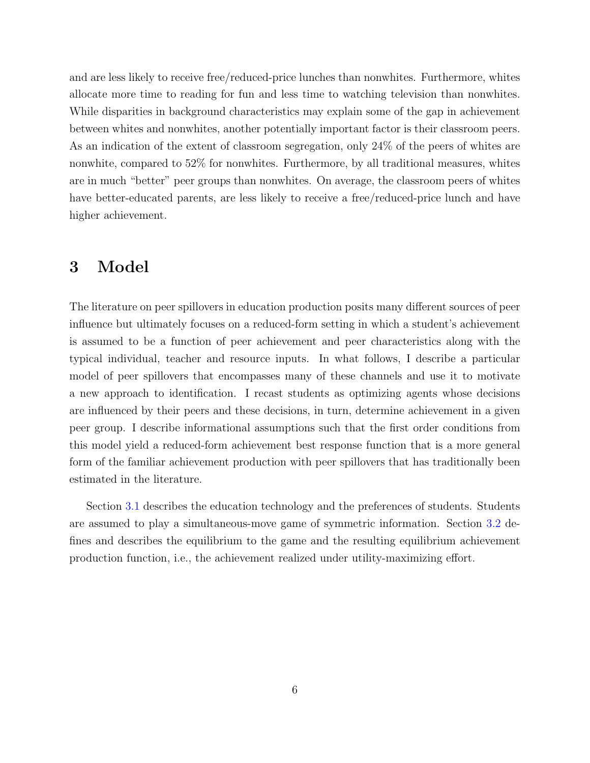and are less likely to receive free/reduced-price lunches than nonwhites. Furthermore, whites allocate more time to reading for fun and less time to watching television than nonwhites. While disparities in background characteristics may explain some of the gap in achievement between whites and nonwhites, another potentially important factor is their classroom peers. As an indication of the extent of classroom segregation, only 24% of the peers of whites are nonwhite, compared to 52% for nonwhites. Furthermore, by all traditional measures, whites are in much "better" peer groups than nonwhites. On average, the classroom peers of whites have better-educated parents, are less likely to receive a free/reduced-price lunch and have higher achievement.

### <span id="page-6-0"></span>3 Model

The literature on peer spillovers in education production posits many different sources of peer influence but ultimately focuses on a reduced-form setting in which a student's achievement is assumed to be a function of peer achievement and peer characteristics along with the typical individual, teacher and resource inputs. In what follows, I describe a particular model of peer spillovers that encompasses many of these channels and use it to motivate a new approach to identification. I recast students as optimizing agents whose decisions are influenced by their peers and these decisions, in turn, determine achievement in a given peer group. I describe informational assumptions such that the first order conditions from this model yield a reduced-form achievement best response function that is a more general form of the familiar achievement production with peer spillovers that has traditionally been estimated in the literature.

Section [3.1](#page-7-0) describes the education technology and the preferences of students. Students are assumed to play a simultaneous-move game of symmetric information. Section [3.2](#page-9-0) defines and describes the equilibrium to the game and the resulting equilibrium achievement production function, i.e., the achievement realized under utility-maximizing effort.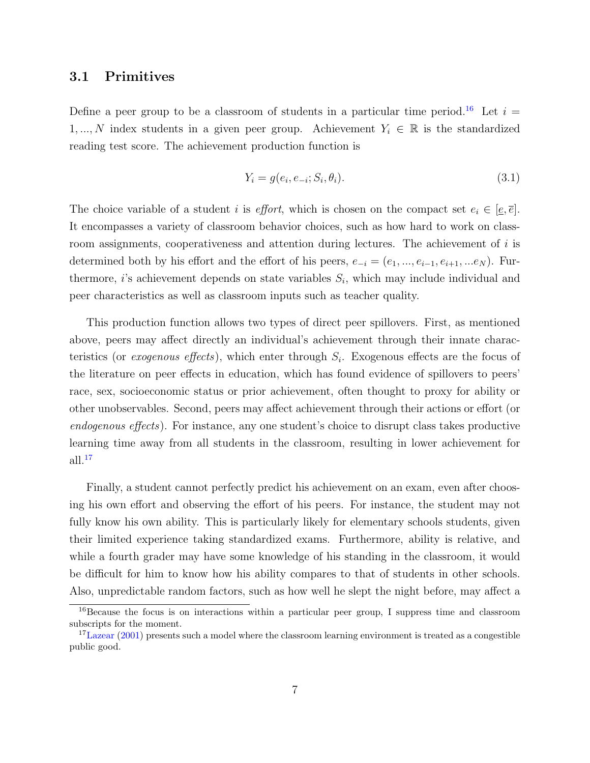#### <span id="page-7-0"></span>3.1 Primitives

Define a peer group to be a classroom of students in a particular time period.<sup>[16](#page-7-1)</sup> Let  $i =$ 1, ..., N index students in a given peer group. Achievement  $Y_i \in \mathbb{R}$  is the standardized reading test score. The achievement production function is

<span id="page-7-3"></span>
$$
Y_i = g(e_i, e_{-i}; S_i, \theta_i).
$$
\n(3.1)

The choice variable of a student i is *effort*, which is chosen on the compact set  $e_i \in [\underline{e}, \overline{e}]$ . It encompasses a variety of classroom behavior choices, such as how hard to work on classroom assignments, cooperativeness and attention during lectures. The achievement of  $i$  is determined both by his effort and the effort of his peers,  $e_{-i} = (e_1, ..., e_{i-1}, e_{i+1}, ...e_N)$ . Furthermore, *i*'s achievement depends on state variables  $S_i$ , which may include individual and peer characteristics as well as classroom inputs such as teacher quality.

This production function allows two types of direct peer spillovers. First, as mentioned above, peers may affect directly an individual's achievement through their innate characteristics (or *exogenous effects*), which enter through  $S_i$ . Exogenous effects are the focus of the literature on peer effects in education, which has found evidence of spillovers to peers' race, sex, socioeconomic status or prior achievement, often thought to proxy for ability or other unobservables. Second, peers may affect achievement through their actions or effort (or endogenous effects). For instance, any one student's choice to disrupt class takes productive learning time away from all students in the classroom, resulting in lower achievement for  $all.<sup>17</sup>$  $all.<sup>17</sup>$  $all.<sup>17</sup>$ 

Finally, a student cannot perfectly predict his achievement on an exam, even after choosing his own effort and observing the effort of his peers. For instance, the student may not fully know his own ability. This is particularly likely for elementary schools students, given their limited experience taking standardized exams. Furthermore, ability is relative, and while a fourth grader may have some knowledge of his standing in the classroom, it would be difficult for him to know how his ability compares to that of students in other schools. Also, unpredictable random factors, such as how well he slept the night before, may affect a

<span id="page-7-1"></span><sup>16</sup>Because the focus is on interactions within a particular peer group, I suppress time and classroom subscripts for the moment.

<span id="page-7-2"></span><sup>&</sup>lt;sup>17</sup>[Lazear](#page-42-5) [\(2001\)](#page-42-5) presents such a model where the classroom learning environment is treated as a congestible public good.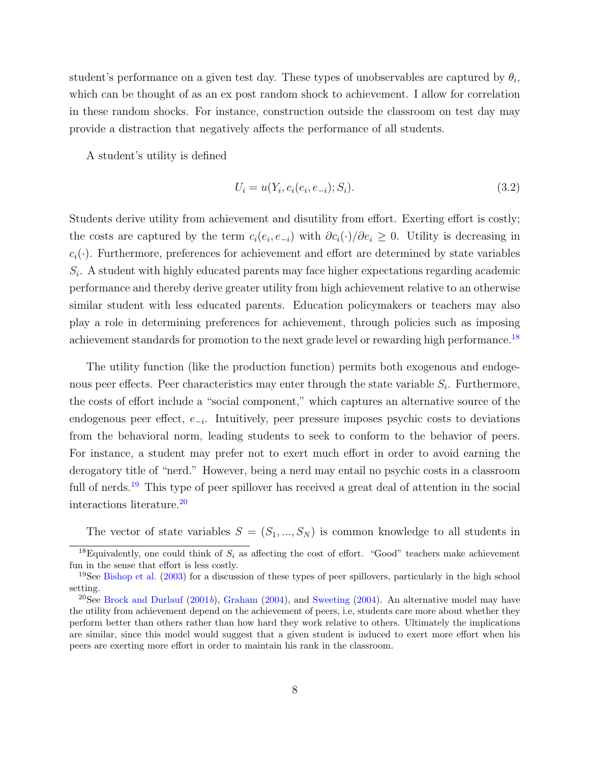student's performance on a given test day. These types of unobservables are captured by  $\theta_i$ , which can be thought of as an ex post random shock to achievement. I allow for correlation in these random shocks. For instance, construction outside the classroom on test day may provide a distraction that negatively affects the performance of all students.

A student's utility is defined

<span id="page-8-3"></span>
$$
U_i = u(Y_i, c_i(e_i, e_{-i}); S_i). \tag{3.2}
$$

Students derive utility from achievement and disutility from effort. Exerting effort is costly; the costs are captured by the term  $c_i(e_i, e_{-i})$  with  $\partial c_i(\cdot)/\partial e_i \geq 0$ . Utility is decreasing in  $c_i(\cdot)$ . Furthermore, preferences for achievement and effort are determined by state variables  $S_i$ . A student with highly educated parents may face higher expectations regarding academic performance and thereby derive greater utility from high achievement relative to an otherwise similar student with less educated parents. Education policymakers or teachers may also play a role in determining preferences for achievement, through policies such as imposing achievement standards for promotion to the next grade level or rewarding high performance.<sup>[18](#page-8-0)</sup>

The utility function (like the production function) permits both exogenous and endogenous peer effects. Peer characteristics may enter through the state variable  $S_i$ . Furthermore, the costs of effort include a "social component," which captures an alternative source of the endogenous peer effect,  $e_{-i}$ . Intuitively, peer pressure imposes psychic costs to deviations from the behavioral norm, leading students to seek to conform to the behavior of peers. For instance, a student may prefer not to exert much effort in order to avoid earning the derogatory title of "nerd." However, being a nerd may entail no psychic costs in a classroom full of nerds.<sup>[19](#page-8-1)</sup> This type of peer spillover has received a great deal of attention in the social interactions literature.[20](#page-8-2)

The vector of state variables  $S = (S_1, ..., S_N)$  is common knowledge to all students in

<span id="page-8-0"></span><sup>&</sup>lt;sup>18</sup>Equivalently, one could think of  $S_i$  as affecting the cost of effort. "Good" teachers make achievement fun in the sense that effort is less costly.

<span id="page-8-1"></span><sup>&</sup>lt;sup>19</sup>See [Bishop et al.](#page-40-4)  $(2003)$  for a discussion of these types of peer spillovers, particularly in the high school setting.

<span id="page-8-2"></span><sup>&</sup>lt;sup>20</sup>See [Brock and Durlauf](#page-40-5) [\(2001](#page-40-5)b), [Graham](#page-41-8) [\(2004\)](#page-43-3), and [Sweeting](#page-43-3) (2004). An alternative model may have the utility from achievement depend on the achievement of peers, i.e, students care more about whether they perform better than others rather than how hard they work relative to others. Ultimately the implications are similar, since this model would suggest that a given student is induced to exert more effort when his peers are exerting more effort in order to maintain his rank in the classroom.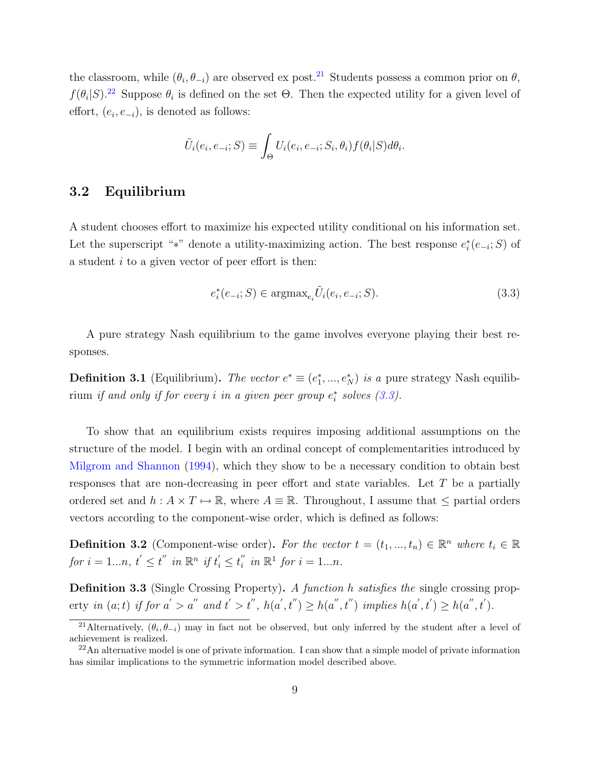the classroom, while  $(\theta_i, \theta_{-i})$  are observed ex post.<sup>[21](#page-9-1)</sup> Students possess a common prior on  $\theta$ ,  $f(\theta_i|S)$ <sup>[22](#page-9-2)</sup> Suppose  $\theta_i$  is defined on the set  $\Theta$ . Then the expected utility for a given level of effort,  $(e_i, e_{-i})$ , is denoted as follows:

$$
\tilde{U}_i(e_i, e_{-i}; S) \equiv \int_{\Theta} U_i(e_i, e_{-i}; S_i, \theta_i) f(\theta_i|S) d\theta_i.
$$

#### <span id="page-9-0"></span>3.2 Equilibrium

A student chooses effort to maximize his expected utility conditional on his information set. Let the superscript "\*" denote a utility-maximizing action. The best response  $e_i^*(e_{-i};S)$  of a student  $i$  to a given vector of peer effort is then:

<span id="page-9-3"></span>
$$
e_i^*(e_{-i}; S) \in \operatorname{argmax}_{e_i} \tilde{U}_i(e_i, e_{-i}; S). \tag{3.3}
$$

A pure strategy Nash equilibrium to the game involves everyone playing their best responses.

<span id="page-9-4"></span>**Definition 3.1** (Equilibrium). The vector  $e^* \equiv (e_1^*, ..., e_N^*)$  is a pure strategy Nash equilibrium if and only if for every i in a given peer group  $e_i^*$  solves  $(3.3)$ .

To show that an equilibrium exists requires imposing additional assumptions on the structure of the model. I begin with an ordinal concept of complementarities introduced by [Milgrom and Shannon](#page-42-6) [\(1994\)](#page-42-6), which they show to be a necessary condition to obtain best responses that are non-decreasing in peer effort and state variables. Let T be a partially ordered set and  $h : A \times T \mapsto \mathbb{R}$ , where  $A \equiv \mathbb{R}$ . Throughout, I assume that  $\leq$  partial orders vectors according to the component-wise order, which is defined as follows:

**Definition 3.2** (Component-wise order). For the vector  $t = (t_1, ..., t_n) \in \mathbb{R}^n$  where  $t_i \in \mathbb{R}$ for  $i = 1...n$ ,  $t' \le t''$  in  $\mathbb{R}^n$  if  $t'_i \le t''_i$  $i'$  in  $\mathbb{R}^1$  for  $i = 1...n$ .

Definition 3.3 (Single Crossing Property). A function h satisfies the single crossing property in  $(a, t)$  if for  $a' > a''$  and  $t' > t''$ ,  $h(a', t'') \geq h(a'', t'')$  implies  $h(a', t') \geq h(a'', t')$ .

<span id="page-9-1"></span><sup>&</sup>lt;sup>21</sup>Alternatively,  $(\theta_i, \theta_{-i})$  may in fact not be observed, but only inferred by the student after a level of achievement is realized.

<span id="page-9-2"></span> $^{22}$ An alternative model is one of private information. I can show that a simple model of private information has similar implications to the symmetric information model described above.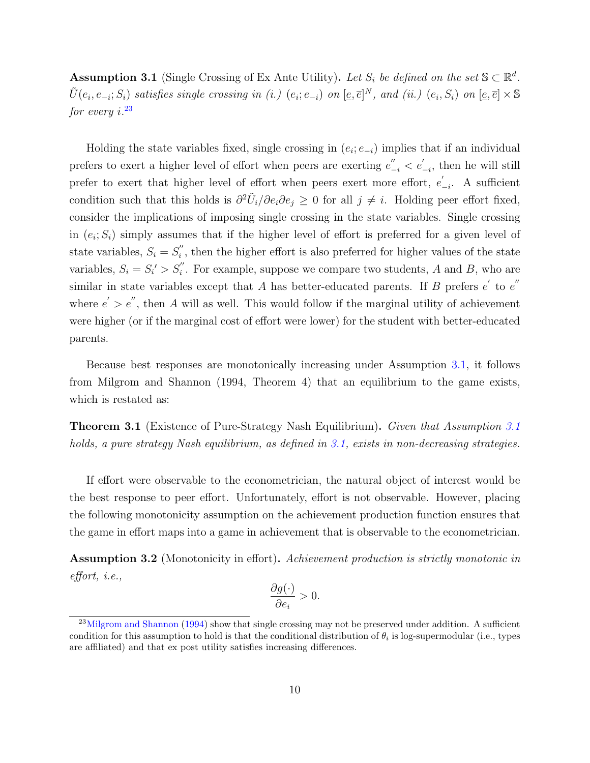<span id="page-10-1"></span>Assumption 3.1 (Single Crossing of Ex Ante Utility). Let  $S_i$  be defined on the set  $\mathbb{S} \subset \mathbb{R}^d$ .  $\tilde{U}(e_i, e_{-i}; S_i)$  satisfies single crossing in (i.)  $(e_i; e_{-i})$  on  $[\underline{e}, \overline{e}]^N$ , and (ii.)  $(e_i, S_i)$  on  $[\underline{e}, \overline{e}] \times \mathbb{S}$ for every i. [23](#page-10-0)

Holding the state variables fixed, single crossing in  $(e_i; e_{-i})$  implies that if an individual prefers to exert a higher level of effort when peers are exerting  $e_{-i}^{''} < e_{-i}^{'}$  $\int_{-i}^{i}$ , then he will still prefer to exert that higher level of effort when peers exert more effort,  $e'$  $\int_{-i}$ . A sufficient condition such that this holds is  $\partial^2 \tilde{U}_i/\partial e_i \partial e_j \geq 0$  for all  $j \neq i$ . Holding peer effort fixed, consider the implications of imposing single crossing in the state variables. Single crossing in  $(e_i; S_i)$  simply assumes that if the higher level of effort is preferred for a given level of state variables,  $S_i = S_i''$  $i'$ , then the higher effort is also preferred for higher values of the state variables,  $S_i = S'_i > S''_i$ . For example, suppose we compare two students, A and B, who are similar in state variables except that A has better-educated parents. If B prefers  $e'$  to  $e''$ where  $e' > e''$ , then A will as well. This would follow if the marginal utility of achievement were higher (or if the marginal cost of effort were lower) for the student with better-educated parents.

Because best responses are monotonically increasing under Assumption [3.1,](#page-10-1) it follows from Milgrom and Shannon (1994, Theorem 4) that an equilibrium to the game exists, which is restated as:

Theorem 3.1 (Existence of Pure-Strategy Nash Equilibrium). Given that Assumption [3.1](#page-10-1) holds, a pure strategy Nash equilibrium, as defined in [3.1,](#page-9-4) exists in non-decreasing strategies.

If effort were observable to the econometrician, the natural object of interest would be the best response to peer effort. Unfortunately, effort is not observable. However, placing the following monotonicity assumption on the achievement production function ensures that the game in effort maps into a game in achievement that is observable to the econometrician.

<span id="page-10-2"></span>**Assumption 3.2** (Monotonicity in effort). Achievement production is strictly monotonic in effort, i.e.,

$$
\frac{\partial g(\cdot)}{\partial e_i} > 0.
$$

<span id="page-10-0"></span><sup>&</sup>lt;sup>23</sup>[Milgrom and Shannon](#page-42-6) [\(1994\)](#page-42-6) show that single crossing may not be preserved under addition. A sufficient condition for this assumption to hold is that the conditional distribution of  $\theta_i$  is log-supermodular (i.e., types are affiliated) and that ex post utility satisfies increasing differences.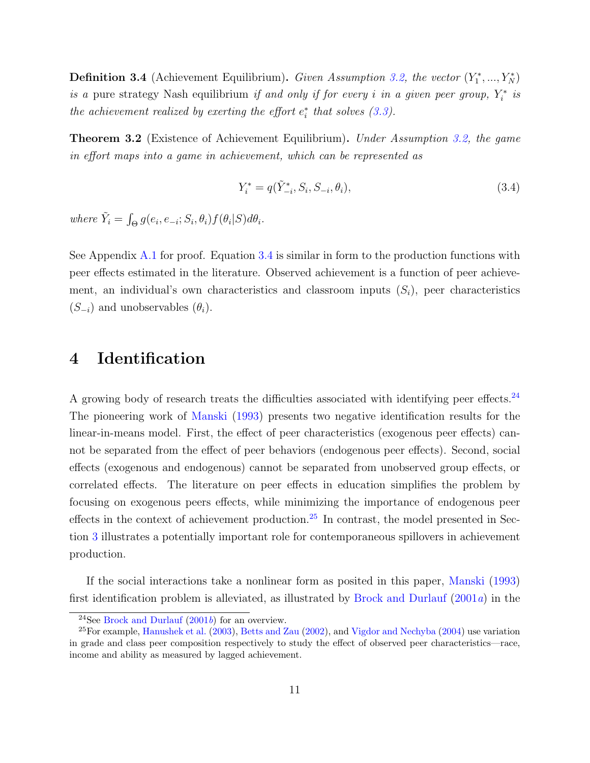**Definition 3.4** (Achievement Equilibrium). Given Assumption [3.2,](#page-10-2) the vector  $(Y_1^*,..., Y_N^*)$ is a pure strategy Nash equilibrium if and only if for every i in a given peer group,  $Y_i^*$  is the achievement realized by exerting the effort  $e_i^*$  that solves  $(3.3)$ .

<span id="page-11-3"></span>**Theorem 3.2** (Existence of Achievement Equilibrium). Under Assumption [3.2,](#page-10-2) the game in effort maps into a game in achievement, which can be represented as

<span id="page-11-0"></span>
$$
Y_i^* = q(\tilde{Y}_{-i}^*, S_i, S_{-i}, \theta_i),
$$
\n(3.4)

where  $\tilde{Y}_i = \int_{\Theta} g(e_i, e_{-i}; S_i, \theta_i) f(\theta_i|S) d\theta_i$ .

See Appendix [A.1](#page-44-0) for proof. Equation [3.4](#page-11-0) is similar in form to the production functions with peer effects estimated in the literature. Observed achievement is a function of peer achievement, an individual's own characteristics and classroom inputs  $(S_i)$ , peer characteristics  $(S_{-i})$  and unobservables  $(\theta_i)$ .

### 4 Identification

A growing body of research treats the difficulties associated with identifying peer effects.<sup>[24](#page-11-1)</sup> The pioneering work of [Manski](#page-42-0) [\(1993\)](#page-42-0) presents two negative identification results for the linear-in-means model. First, the effect of peer characteristics (exogenous peer effects) cannot be separated from the effect of peer behaviors (endogenous peer effects). Second, social effects (exogenous and endogenous) cannot be separated from unobserved group effects, or correlated effects. The literature on peer effects in education simplifies the problem by focusing on exogenous peers effects, while minimizing the importance of endogenous peer effects in the context of achievement production.[25](#page-11-2) In contrast, the model presented in Section [3](#page-6-0) illustrates a potentially important role for contemporaneous spillovers in achievement production.

If the social interactions take a nonlinear form as posited in this paper, [Manski](#page-42-0) [\(1993\)](#page-42-0) first identification problem is alleviated, as illustrated by [Brock and Durlauf](#page-40-6) [\(2001](#page-40-6)a) in the

<span id="page-11-2"></span><span id="page-11-1"></span><sup>&</sup>lt;sup>24</sup>See [Brock and Durlauf](#page-40-5)  $(2001b)$  $(2001b)$  for an overview.

<sup>25</sup>For example, [Hanushek et al.](#page-41-4) [\(2003\)](#page-41-4), [Betts and Zau](#page-40-7) [\(2002\)](#page-40-7), and [Vigdor and Nechyba](#page-43-4) [\(2004\)](#page-43-4) use variation in grade and class peer composition respectively to study the effect of observed peer characteristics—race, income and ability as measured by lagged achievement.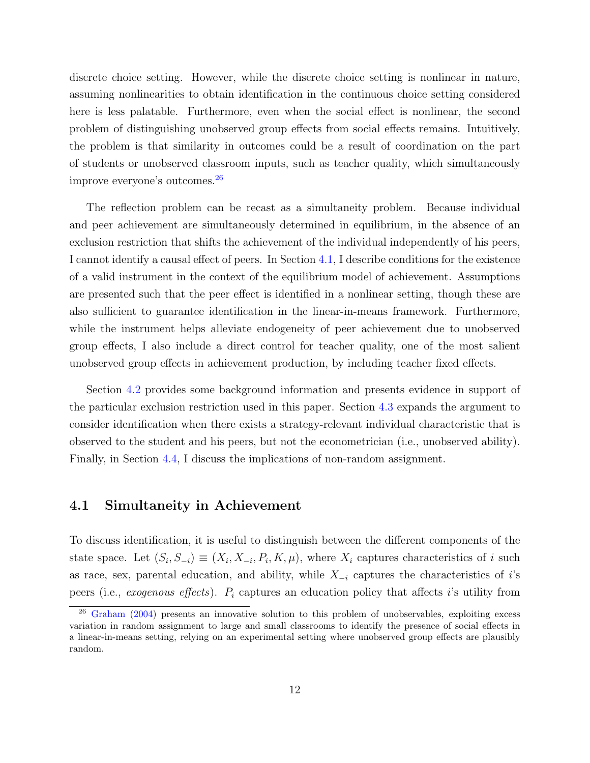discrete choice setting. However, while the discrete choice setting is nonlinear in nature, assuming nonlinearities to obtain identification in the continuous choice setting considered here is less palatable. Furthermore, even when the social effect is nonlinear, the second problem of distinguishing unobserved group effects from social effects remains. Intuitively, the problem is that similarity in outcomes could be a result of coordination on the part of students or unobserved classroom inputs, such as teacher quality, which simultaneously improve everyone's outcomes.[26](#page-12-0)

The reflection problem can be recast as a simultaneity problem. Because individual and peer achievement are simultaneously determined in equilibrium, in the absence of an exclusion restriction that shifts the achievement of the individual independently of his peers, I cannot identify a causal effect of peers. In Section [4.1,](#page-12-1) I describe conditions for the existence of a valid instrument in the context of the equilibrium model of achievement. Assumptions are presented such that the peer effect is identified in a nonlinear setting, though these are also sufficient to guarantee identification in the linear-in-means framework. Furthermore, while the instrument helps alleviate endogeneity of peer achievement due to unobserved group effects, I also include a direct control for teacher quality, one of the most salient unobserved group effects in achievement production, by including teacher fixed effects.

Section [4.2](#page-17-0) provides some background information and presents evidence in support of the particular exclusion restriction used in this paper. Section [4.3](#page-20-0) expands the argument to consider identification when there exists a strategy-relevant individual characteristic that is observed to the student and his peers, but not the econometrician (i.e., unobserved ability). Finally, in Section [4.4,](#page-22-0) I discuss the implications of non-random assignment.

#### <span id="page-12-1"></span>4.1 Simultaneity in Achievement

To discuss identification, it is useful to distinguish between the different components of the state space. Let  $(S_i, S_{-i}) \equiv (X_i, X_{-i}, P_i, K, \mu)$ , where  $X_i$  captures characteristics of i such as race, sex, parental education, and ability, while  $X_{-i}$  captures the characteristics of i's peers (i.e., exogenous effects).  $P_i$  captures an education policy that affects i's utility from

<span id="page-12-0"></span> $26$  [Graham](#page-41-8) [\(2004\)](#page-41-8) presents an innovative solution to this problem of unobservables, exploiting excess variation in random assignment to large and small classrooms to identify the presence of social effects in a linear-in-means setting, relying on an experimental setting where unobserved group effects are plausibly random.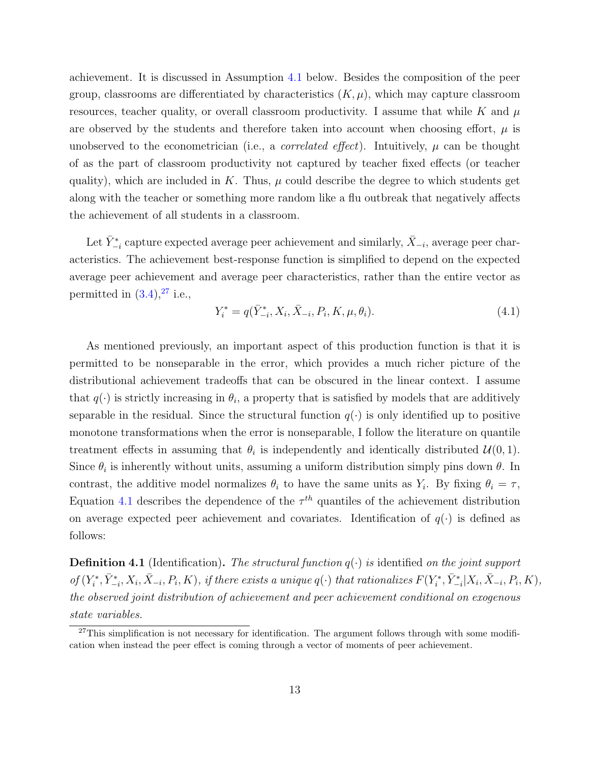achievement. It is discussed in Assumption [4.1](#page-14-0) below. Besides the composition of the peer group, classrooms are differentiated by characteristics  $(K, \mu)$ , which may capture classroom resources, teacher quality, or overall classroom productivity. I assume that while K and  $\mu$ are observed by the students and therefore taken into account when choosing effort,  $\mu$  is unobserved to the econometrician (i.e., a *correlated effect*). Intuitively,  $\mu$  can be thought of as the part of classroom productivity not captured by teacher fixed effects (or teacher quality), which are included in K. Thus,  $\mu$  could describe the degree to which students get along with the teacher or something more random like a flu outbreak that negatively affects the achievement of all students in a classroom.

Let  $\bar{Y}^*_{-i}$  capture expected average peer achievement and similarly,  $\bar{X}_{-i}$ , average peer characteristics. The achievement best-response function is simplified to depend on the expected average peer achievement and average peer characteristics, rather than the entire vector as permitted in  $(3.4)$ ,  $^{27}$  $^{27}$  $^{27}$  i.e.,

<span id="page-13-1"></span>
$$
Y_i^* = q(\bar{Y}_{-i}^*, X_i, \bar{X}_{-i}, P_i, K, \mu, \theta_i).
$$
\n(4.1)

As mentioned previously, an important aspect of this production function is that it is permitted to be nonseparable in the error, which provides a much richer picture of the distributional achievement tradeoffs that can be obscured in the linear context. I assume that  $q(\cdot)$  is strictly increasing in  $\theta_i$ , a property that is satisfied by models that are additively separable in the residual. Since the structural function  $q(\cdot)$  is only identified up to positive monotone transformations when the error is nonseparable, I follow the literature on quantile treatment effects in assuming that  $\theta_i$  is independently and identically distributed  $\mathcal{U}(0, 1)$ . Since  $\theta_i$  is inherently without units, assuming a uniform distribution simply pins down  $\theta$ . In contrast, the additive model normalizes  $\theta_i$  to have the same units as  $Y_i$ . By fixing  $\theta_i = \tau$ , Equation [4.1](#page-13-1) describes the dependence of the  $\tau^{th}$  quantiles of the achievement distribution on average expected peer achievement and covariates. Identification of  $q(\cdot)$  is defined as follows:

**Definition 4.1** (Identification). The structural function  $q(\cdot)$  is identified on the joint support of  $(Y_i^*, \bar{Y}_{-i}^*, X_i, \bar{X}_{-i}, P_i, K)$ , if there exists a unique  $q(\cdot)$  that rationalizes  $F(Y_i^*, \bar{Y}_{-i}^* | X_i, \bar{X}_{-i}, P_i, K)$ , the observed joint distribution of achievement and peer achievement conditional on exogenous state variables.

<span id="page-13-0"></span> $27$ This simplification is not necessary for identification. The argument follows through with some modification when instead the peer effect is coming through a vector of moments of peer achievement.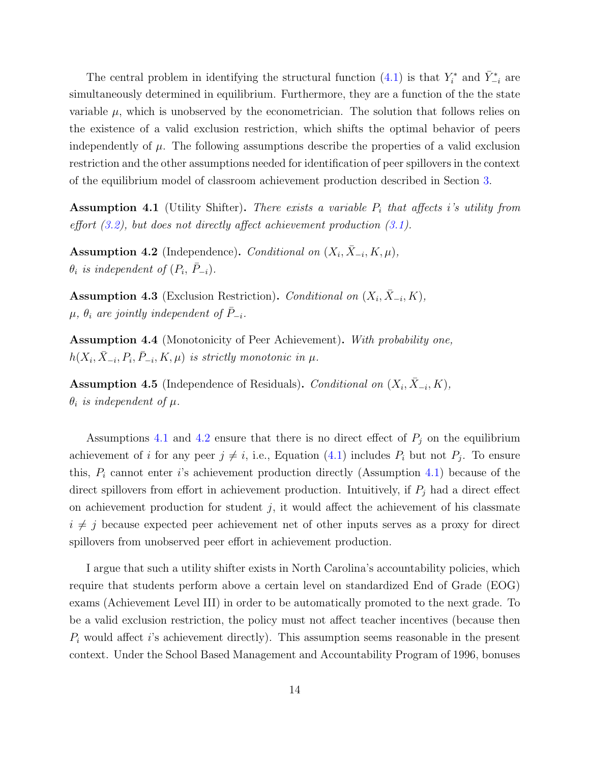The central problem in identifying the structural function [\(4.1\)](#page-13-1) is that  $Y_i^*$  and  $\bar{Y}_{-i}^*$  are simultaneously determined in equilibrium. Furthermore, they are a function of the the state variable  $\mu$ , which is unobserved by the econometrician. The solution that follows relies on the existence of a valid exclusion restriction, which shifts the optimal behavior of peers independently of  $\mu$ . The following assumptions describe the properties of a valid exclusion restriction and the other assumptions needed for identification of peer spillovers in the context of the equilibrium model of classroom achievement production described in Section [3.](#page-6-0)

<span id="page-14-0"></span>**Assumption 4.1** (Utility Shifter). There exists a variable  $P_i$  that affects i's utility from effort  $(3.2)$ , but does not directly affect achievement production  $(3.1)$ .

<span id="page-14-1"></span>Assumption 4.2 (Independence). Conditional on  $(X_i, \bar{X}_{-i}, K, \mu)$ ,  $\theta_i$  is independent of  $(P_i, \bar{P}_{-i})$ .

<span id="page-14-2"></span>Assumption 4.3 (Exclusion Restriction). Conditional on  $(X_i, \bar{X}_{-i}, K)$ ,  $\mu$ ,  $\theta_i$  are jointly independent of  $P_{-i}$ .

<span id="page-14-3"></span>Assumption 4.4 (Monotonicity of Peer Achievement). With probability one,  $h(X_i, \bar{X}_{-i}, P_i, \bar{P}_{-i}, K, \mu)$  is strictly monotonic in  $\mu$ .

<span id="page-14-4"></span>Assumption 4.5 (Independence of Residuals). Conditional on  $(X_i, \bar{X}_{-i}, K)$ ,  $\theta_i$  is independent of  $\mu$ .

Assumptions [4.1](#page-14-0) and [4.2](#page-14-1) ensure that there is no direct effect of  $P_j$  on the equilibrium achievement of *i* for any peer  $j \neq i$ , i.e., Equation [\(4.1\)](#page-13-1) includes  $P_i$  but not  $P_j$ . To ensure this,  $P_i$  cannot enter i's achievement production directly (Assumption [4.1\)](#page-14-0) because of the direct spillovers from effort in achievement production. Intuitively, if  $P_j$  had a direct effect on achievement production for student  $j$ , it would affect the achievement of his classmate  $i \neq j$  because expected peer achievement net of other inputs serves as a proxy for direct spillovers from unobserved peer effort in achievement production.

I argue that such a utility shifter exists in North Carolina's accountability policies, which require that students perform above a certain level on standardized End of Grade (EOG) exams (Achievement Level III) in order to be automatically promoted to the next grade. To be a valid exclusion restriction, the policy must not affect teacher incentives (because then  $P_i$  would affect is achievement directly). This assumption seems reasonable in the present context. Under the School Based Management and Accountability Program of 1996, bonuses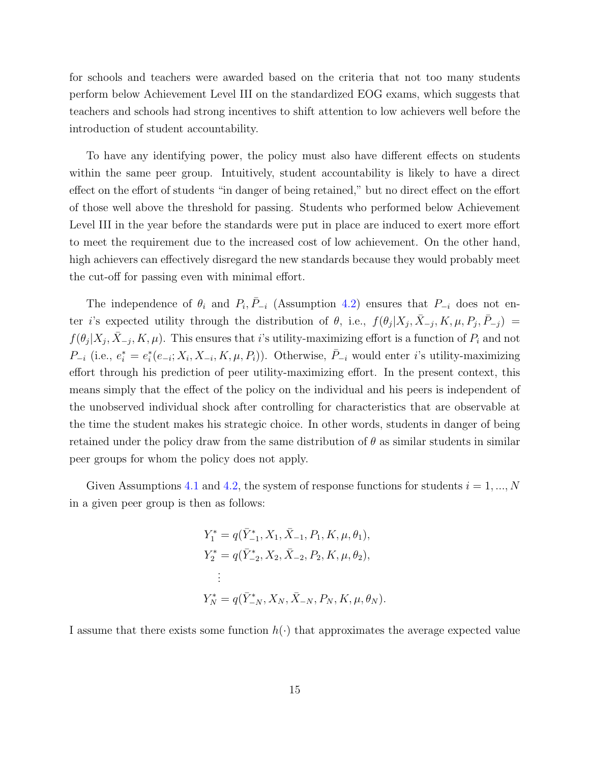for schools and teachers were awarded based on the criteria that not too many students perform below Achievement Level III on the standardized EOG exams, which suggests that teachers and schools had strong incentives to shift attention to low achievers well before the introduction of student accountability.

To have any identifying power, the policy must also have different effects on students within the same peer group. Intuitively, student accountability is likely to have a direct effect on the effort of students "in danger of being retained," but no direct effect on the effort of those well above the threshold for passing. Students who performed below Achievement Level III in the year before the standards were put in place are induced to exert more effort to meet the requirement due to the increased cost of low achievement. On the other hand, high achievers can effectively disregard the new standards because they would probably meet the cut-off for passing even with minimal effort.

The independence of  $\theta_i$  and  $P_i, \bar{P}_{-i}$  (Assumption [4.2\)](#page-14-1) ensures that  $P_{-i}$  does not enter i's expected utility through the distribution of  $\theta$ , i.e.,  $f(\theta_j|X_j, \bar{X}_{-j}, K, \mu, P_j, \bar{P}_{-j}) =$  $f(\theta_j|X_j, \bar{X}_{-j}, K, \mu)$ . This ensures that i's utility-maximizing effort is a function of  $P_i$  and not  $P_{-i}$  (i.e.,  $e_i^* = e_i^*(e_{-i}; X_i, X_{-i}, K, \mu, P_i)$ ). Otherwise,  $\overline{P}_{-i}$  would enter *i*'s utility-maximizing effort through his prediction of peer utility-maximizing effort. In the present context, this means simply that the effect of the policy on the individual and his peers is independent of the unobserved individual shock after controlling for characteristics that are observable at the time the student makes his strategic choice. In other words, students in danger of being retained under the policy draw from the same distribution of  $\theta$  as similar students in similar peer groups for whom the policy does not apply.

Given Assumptions [4.1](#page-14-0) and [4.2,](#page-14-1) the system of response functions for students  $i = 1, ..., N$ in a given peer group is then as follows:

$$
Y_1^* = q(\bar{Y}_{-1}^*, X_1, \bar{X}_{-1}, P_1, K, \mu, \theta_1),
$$
  
\n
$$
Y_2^* = q(\bar{Y}_{-2}^*, X_2, \bar{X}_{-2}, P_2, K, \mu, \theta_2),
$$
  
\n:  
\n:  
\n
$$
Y_N^* = q(\bar{Y}_{-N}^*, X_N, \bar{X}_{-N}, P_N, K, \mu, \theta_N).
$$

I assume that there exists some function  $h(\cdot)$  that approximates the average expected value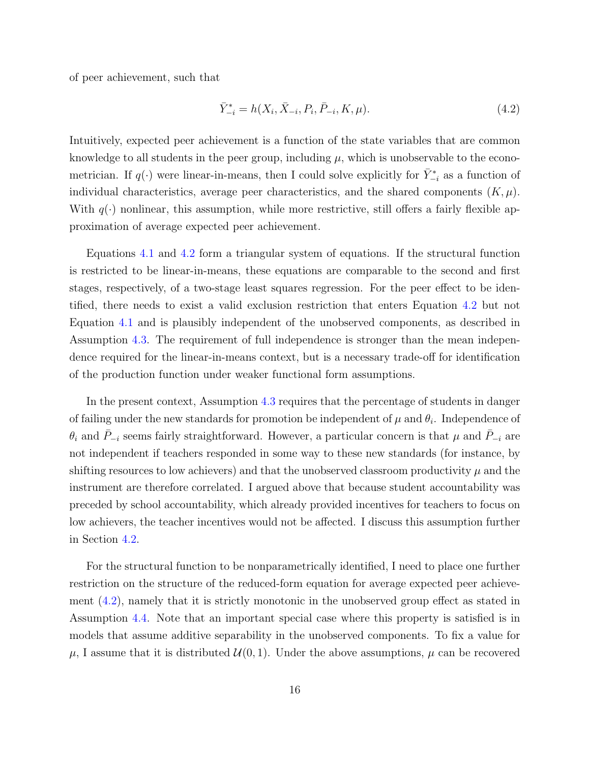of peer achievement, such that

<span id="page-16-0"></span>
$$
\bar{Y}_{-i}^{*} = h(X_i, \bar{X}_{-i}, P_i, \bar{P}_{-i}, K, \mu). \tag{4.2}
$$

Intuitively, expected peer achievement is a function of the state variables that are common knowledge to all students in the peer group, including  $\mu$ , which is unobservable to the econometrician. If  $q(\cdot)$  were linear-in-means, then I could solve explicitly for  $\bar{Y}_{-i}^*$  as a function of individual characteristics, average peer characteristics, and the shared components  $(K, \mu)$ . With  $q(\cdot)$  nonlinear, this assumption, while more restrictive, still offers a fairly flexible approximation of average expected peer achievement.

Equations [4.1](#page-13-1) and [4.2](#page-16-0) form a triangular system of equations. If the structural function is restricted to be linear-in-means, these equations are comparable to the second and first stages, respectively, of a two-stage least squares regression. For the peer effect to be identified, there needs to exist a valid exclusion restriction that enters Equation [4.2](#page-16-0) but not Equation [4.1](#page-13-1) and is plausibly independent of the unobserved components, as described in Assumption [4.3.](#page-14-2) The requirement of full independence is stronger than the mean independence required for the linear-in-means context, but is a necessary trade-off for identification of the production function under weaker functional form assumptions.

In the present context, Assumption [4.3](#page-14-2) requires that the percentage of students in danger of failing under the new standards for promotion be independent of  $\mu$  and  $\theta_i$ . Independence of  $\theta_i$  and  $P_{-i}$  seems fairly straightforward. However, a particular concern is that  $\mu$  and  $P_{-i}$  are not independent if teachers responded in some way to these new standards (for instance, by shifting resources to low achievers) and that the unobserved classroom productivity  $\mu$  and the instrument are therefore correlated. I argued above that because student accountability was preceded by school accountability, which already provided incentives for teachers to focus on low achievers, the teacher incentives would not be affected. I discuss this assumption further in Section [4.2.](#page-17-0)

For the structural function to be nonparametrically identified, I need to place one further restriction on the structure of the reduced-form equation for average expected peer achievement [\(4.2\)](#page-16-0), namely that it is strictly monotonic in the unobserved group effect as stated in Assumption [4.4.](#page-14-3) Note that an important special case where this property is satisfied is in models that assume additive separability in the unobserved components. To fix a value for  $\mu$ , I assume that it is distributed  $\mathcal{U}(0, 1)$ . Under the above assumptions,  $\mu$  can be recovered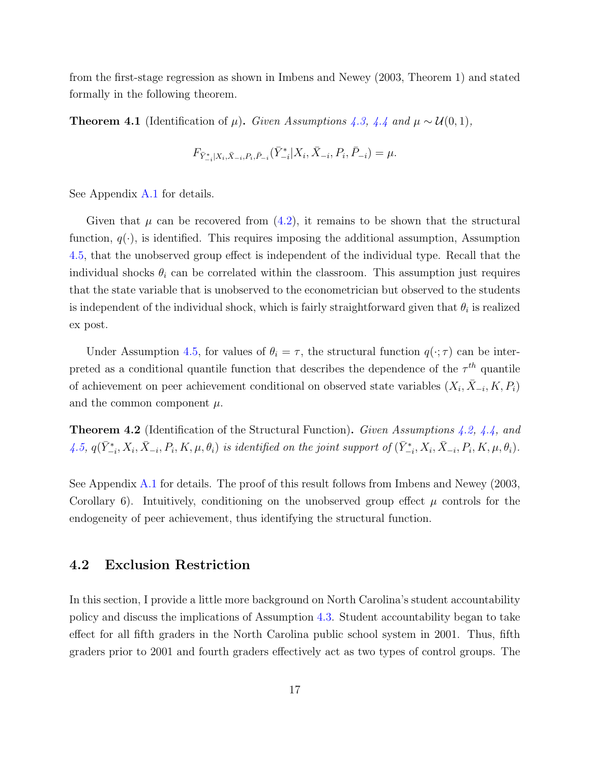from the first-stage regression as shown in Imbens and Newey (2003, Theorem 1) and stated formally in the following theorem.

<span id="page-17-1"></span>**Theorem 4.1** (Identification of  $\mu$ ). Given Assumptions [4.3,](#page-14-2) [4.4](#page-14-3) and  $\mu \sim \mathcal{U}(0,1)$ ,

$$
F_{\bar{Y}_{-i}^*[X_i,\bar{X}_{-i},P_i,\bar{P}_{-i}}(\bar{Y}_{-i}^*[X_i,\bar{X}_{-i},P_i,\bar{P}_{-i})=\mu.
$$

See Appendix [A.1](#page-44-0) for details.

Given that  $\mu$  can be recovered from  $(4.2)$ , it remains to be shown that the structural function,  $q(\cdot)$ , is identified. This requires imposing the additional assumption, Assumption [4.5,](#page-14-4) that the unobserved group effect is independent of the individual type. Recall that the individual shocks  $\theta_i$  can be correlated within the classroom. This assumption just requires that the state variable that is unobserved to the econometrician but observed to the students is independent of the individual shock, which is fairly straightforward given that  $\theta_i$  is realized ex post.

Under Assumption [4.5,](#page-14-4) for values of  $\theta_i = \tau$ , the structural function  $q(\cdot; \tau)$  can be interpreted as a conditional quantile function that describes the dependence of the  $\tau^{th}$  quantile of achievement on peer achievement conditional on observed state variables  $(X_i, \bar{X}_{-i}, K, P_i)$ and the common component  $\mu$ .

<span id="page-17-2"></span>**Theorem 4.2** (Identification of the Structural Function). Given Assumptions [4.2,](#page-14-1) [4.4,](#page-14-3) and  $\{4.5, q(\bar{Y}_{-i}^*, X_i, \bar{X}_{-i}, P_i, K, \mu, \theta_i) \text{ is identified on the joint support of } (\bar{Y}_{-i}^*, X_i, \bar{X}_{-i}, P_i, K, \mu, \theta_i). \}$  $\{4.5, q(\bar{Y}_{-i}^*, X_i, \bar{X}_{-i}, P_i, K, \mu, \theta_i) \text{ is identified on the joint support of } (\bar{Y}_{-i}^*, X_i, \bar{X}_{-i}, P_i, K, \mu, \theta_i). \}$  $\{4.5, q(\bar{Y}_{-i}^*, X_i, \bar{X}_{-i}, P_i, K, \mu, \theta_i) \text{ is identified on the joint support of } (\bar{Y}_{-i}^*, X_i, \bar{X}_{-i}, P_i, K, \mu, \theta_i). \}$ 

See Appendix [A.1](#page-44-0) for details. The proof of this result follows from Imbens and Newey (2003, Corollary 6). Intuitively, conditioning on the unobserved group effect  $\mu$  controls for the endogeneity of peer achievement, thus identifying the structural function.

#### <span id="page-17-0"></span>4.2 Exclusion Restriction

In this section, I provide a little more background on North Carolina's student accountability policy and discuss the implications of Assumption [4.3.](#page-14-2) Student accountability began to take effect for all fifth graders in the North Carolina public school system in 2001. Thus, fifth graders prior to 2001 and fourth graders effectively act as two types of control groups. The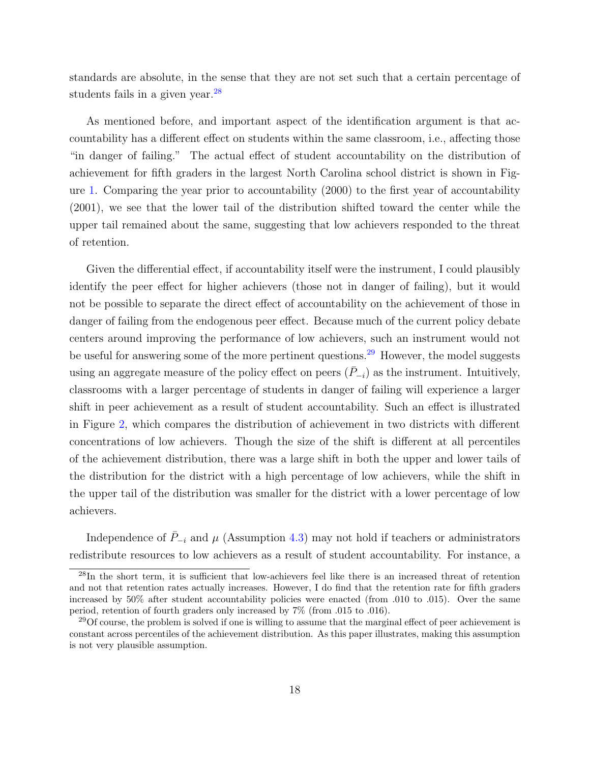standards are absolute, in the sense that they are not set such that a certain percentage of students fails in a given year.<sup>[28](#page-18-0)</sup>

As mentioned before, and important aspect of the identification argument is that accountability has a different effect on students within the same classroom, i.e., affecting those "in danger of failing." The actual effect of student accountability on the distribution of achievement for fifth graders in the largest North Carolina school district is shown in Figure [1.](#page-55-0) Comparing the year prior to accountability (2000) to the first year of accountability (2001), we see that the lower tail of the distribution shifted toward the center while the upper tail remained about the same, suggesting that low achievers responded to the threat of retention.

Given the differential effect, if accountability itself were the instrument, I could plausibly identify the peer effect for higher achievers (those not in danger of failing), but it would not be possible to separate the direct effect of accountability on the achievement of those in danger of failing from the endogenous peer effect. Because much of the current policy debate centers around improving the performance of low achievers, such an instrument would not be useful for answering some of the more pertinent questions.[29](#page-18-1) However, the model suggests using an aggregate measure of the policy effect on peers  $(\bar{P}_{-i})$  as the instrument. Intuitively, classrooms with a larger percentage of students in danger of failing will experience a larger shift in peer achievement as a result of student accountability. Such an effect is illustrated in Figure [2,](#page-55-1) which compares the distribution of achievement in two districts with different concentrations of low achievers. Though the size of the shift is different at all percentiles of the achievement distribution, there was a large shift in both the upper and lower tails of the distribution for the district with a high percentage of low achievers, while the shift in the upper tail of the distribution was smaller for the district with a lower percentage of low achievers.

Independence of  $\bar{P}_{-i}$  and  $\mu$  (Assumption [4.3\)](#page-14-2) may not hold if teachers or administrators redistribute resources to low achievers as a result of student accountability. For instance, a

<span id="page-18-0"></span><sup>28</sup>In the short term, it is sufficient that low-achievers feel like there is an increased threat of retention and not that retention rates actually increases. However, I do find that the retention rate for fifth graders increased by 50% after student accountability policies were enacted (from .010 to .015). Over the same period, retention of fourth graders only increased by 7% (from .015 to .016).

<span id="page-18-1"></span><sup>&</sup>lt;sup>29</sup>Of course, the problem is solved if one is willing to assume that the marginal effect of peer achievement is constant across percentiles of the achievement distribution. As this paper illustrates, making this assumption is not very plausible assumption.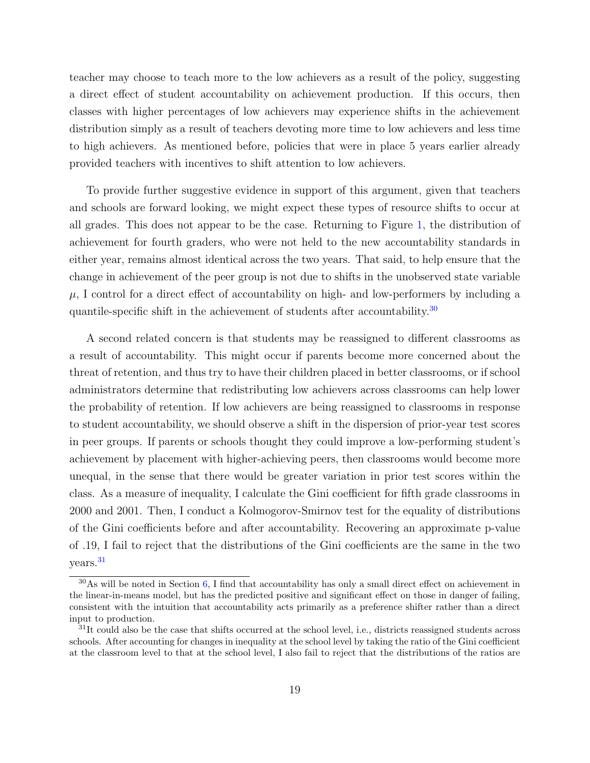teacher may choose to teach more to the low achievers as a result of the policy, suggesting a direct effect of student accountability on achievement production. If this occurs, then classes with higher percentages of low achievers may experience shifts in the achievement distribution simply as a result of teachers devoting more time to low achievers and less time to high achievers. As mentioned before, policies that were in place 5 years earlier already provided teachers with incentives to shift attention to low achievers.

To provide further suggestive evidence in support of this argument, given that teachers and schools are forward looking, we might expect these types of resource shifts to occur at all grades. This does not appear to be the case. Returning to Figure [1,](#page-55-0) the distribution of achievement for fourth graders, who were not held to the new accountability standards in either year, remains almost identical across the two years. That said, to help ensure that the change in achievement of the peer group is not due to shifts in the unobserved state variable  $\mu$ , I control for a direct effect of accountability on high- and low-performers by including a quantile-specific shift in the achievement of students after accountability.<sup>[30](#page-19-0)</sup>

A second related concern is that students may be reassigned to different classrooms as a result of accountability. This might occur if parents become more concerned about the threat of retention, and thus try to have their children placed in better classrooms, or if school administrators determine that redistributing low achievers across classrooms can help lower the probability of retention. If low achievers are being reassigned to classrooms in response to student accountability, we should observe a shift in the dispersion of prior-year test scores in peer groups. If parents or schools thought they could improve a low-performing student's achievement by placement with higher-achieving peers, then classrooms would become more unequal, in the sense that there would be greater variation in prior test scores within the class. As a measure of inequality, I calculate the Gini coefficient for fifth grade classrooms in 2000 and 2001. Then, I conduct a Kolmogorov-Smirnov test for the equality of distributions of the Gini coefficients before and after accountability. Recovering an approximate p-value of .19, I fail to reject that the distributions of the Gini coefficients are the same in the two years.[31](#page-19-1)

<span id="page-19-0"></span> $30\text{As}$  will be noted in Section [6,](#page-27-0) I find that accountability has only a small direct effect on achievement in the linear-in-means model, but has the predicted positive and significant effect on those in danger of failing, consistent with the intuition that accountability acts primarily as a preference shifter rather than a direct input to production.

<span id="page-19-1"></span> $31$ It could also be the case that shifts occurred at the school level, i.e., districts reassigned students across schools. After accounting for changes in inequality at the school level by taking the ratio of the Gini coefficient at the classroom level to that at the school level, I also fail to reject that the distributions of the ratios are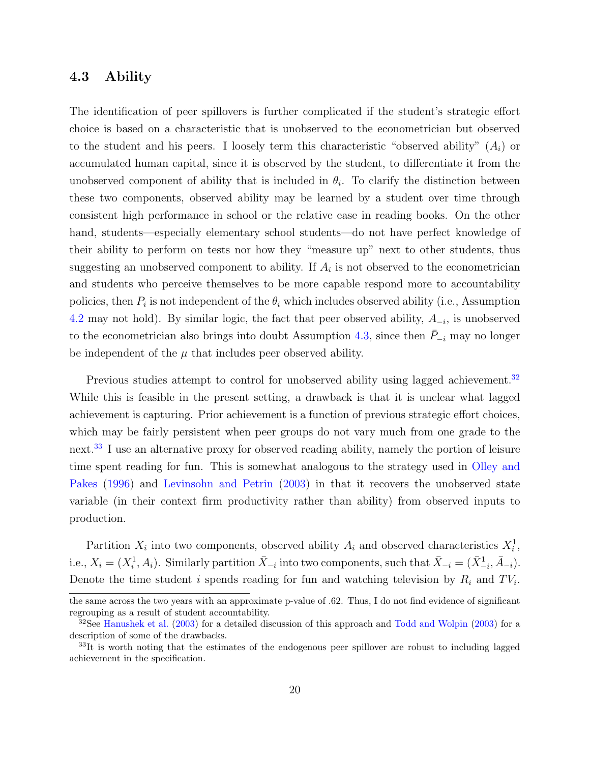#### <span id="page-20-0"></span>4.3 Ability

The identification of peer spillovers is further complicated if the student's strategic effort choice is based on a characteristic that is unobserved to the econometrician but observed to the student and his peers. I loosely term this characteristic "observed ability"  $(A_i)$  or accumulated human capital, since it is observed by the student, to differentiate it from the unobserved component of ability that is included in  $\theta_i$ . To clarify the distinction between these two components, observed ability may be learned by a student over time through consistent high performance in school or the relative ease in reading books. On the other hand, students—especially elementary school students—do not have perfect knowledge of their ability to perform on tests nor how they "measure up" next to other students, thus suggesting an unobserved component to ability. If  $A_i$  is not observed to the econometrician and students who perceive themselves to be more capable respond more to accountability policies, then  $P_i$  is not independent of the  $\theta_i$  which includes observed ability (i.e., Assumption [4.2](#page-14-1) may not hold). By similar logic, the fact that peer observed ability,  $A_{-i}$ , is unobserved to the econometrician also brings into doubt Assumption [4.3,](#page-14-2) since then  $\bar{P}_{-i}$  may no longer be independent of the  $\mu$  that includes peer observed ability.

Previous studies attempt to control for unobserved ability using lagged achievement.<sup>[32](#page-20-1)</sup> While this is feasible in the present setting, a drawback is that it is unclear what lagged achievement is capturing. Prior achievement is a function of previous strategic effort choices, which may be fairly persistent when peer groups do not vary much from one grade to the next.[33](#page-20-2) I use an alternative proxy for observed reading ability, namely the portion of leisure time spent reading for fun. This is somewhat analogous to the strategy used in [Olley and](#page-42-7) [Pakes](#page-42-7) [\(1996\)](#page-42-7) and [Levinsohn and Petrin](#page-42-8) [\(2003\)](#page-42-8) in that it recovers the unobserved state variable (in their context firm productivity rather than ability) from observed inputs to production.

Partition  $X_i$  into two components, observed ability  $A_i$  and observed characteristics  $X_i^1$ , i.e.,  $X_i = (X_i^1, A_i)$ . Similarly partition  $\bar{X}_{-i}$  into two components, such that  $\bar{X}_{-i} = (\bar{X}_{-i}^1, \bar{A}_{-i})$ . Denote the time student i spends reading for fun and watching television by  $R_i$  and  $TV_i$ .

the same across the two years with an approximate p-value of .62. Thus, I do not find evidence of significant regrouping as a result of student accountability.

<span id="page-20-1"></span> $32$ See [Hanushek et al.](#page-41-4) [\(2003\)](#page-43-5) for a detailed discussion of this approach and [Todd and Wolpin](#page-43-5) (2003) for a description of some of the drawbacks.

<span id="page-20-2"></span><sup>&</sup>lt;sup>33</sup>It is worth noting that the estimates of the endogenous peer spillover are robust to including lagged achievement in the specification.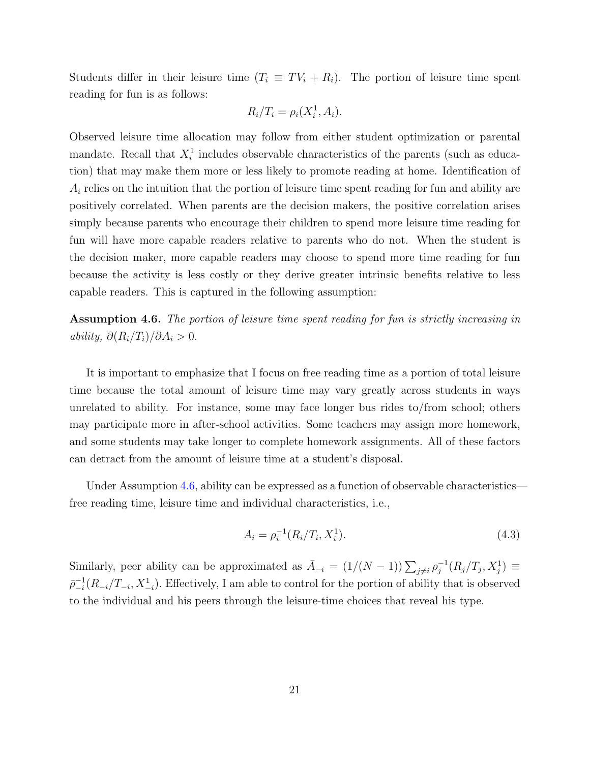Students differ in their leisure time  $(T_i \equiv TV_i + R_i)$ . The portion of leisure time spent reading for fun is as follows:

$$
R_i/T_i = \rho_i(X_i^1, A_i).
$$

Observed leisure time allocation may follow from either student optimization or parental mandate. Recall that  $X_i^1$  includes observable characteristics of the parents (such as education) that may make them more or less likely to promote reading at home. Identification of  $A_i$  relies on the intuition that the portion of leisure time spent reading for fun and ability are positively correlated. When parents are the decision makers, the positive correlation arises simply because parents who encourage their children to spend more leisure time reading for fun will have more capable readers relative to parents who do not. When the student is the decision maker, more capable readers may choose to spend more time reading for fun because the activity is less costly or they derive greater intrinsic benefits relative to less capable readers. This is captured in the following assumption:

<span id="page-21-0"></span>Assumption 4.6. The portion of leisure time spent reading for fun is strictly increasing in ability,  $\partial (R_i/T_i)/\partial A_i > 0$ .

It is important to emphasize that I focus on free reading time as a portion of total leisure time because the total amount of leisure time may vary greatly across students in ways unrelated to ability. For instance, some may face longer bus rides to/from school; others may participate more in after-school activities. Some teachers may assign more homework, and some students may take longer to complete homework assignments. All of these factors can detract from the amount of leisure time at a student's disposal.

Under Assumption [4.6,](#page-21-0) ability can be expressed as a function of observable characteristics free reading time, leisure time and individual characteristics, i.e.,

$$
A_i = \rho_i^{-1}(R_i/T_i, X_i^1). \tag{4.3}
$$

Similarly, peer ability can be approximated as  $\overline{A}_{-i} = (1/(N-1))\sum_{j\neq i} \rho_j^{-1}$  $j^{-1}(R_j/T_j, X_j^1) \, \equiv \,$  $\bar{\rho}_{-i}^{-1}$  $-\frac{1}{i}(R_{-i}/T_{-i}, X_{-i}^1)$ . Effectively, I am able to control for the portion of ability that is observed to the individual and his peers through the leisure-time choices that reveal his type.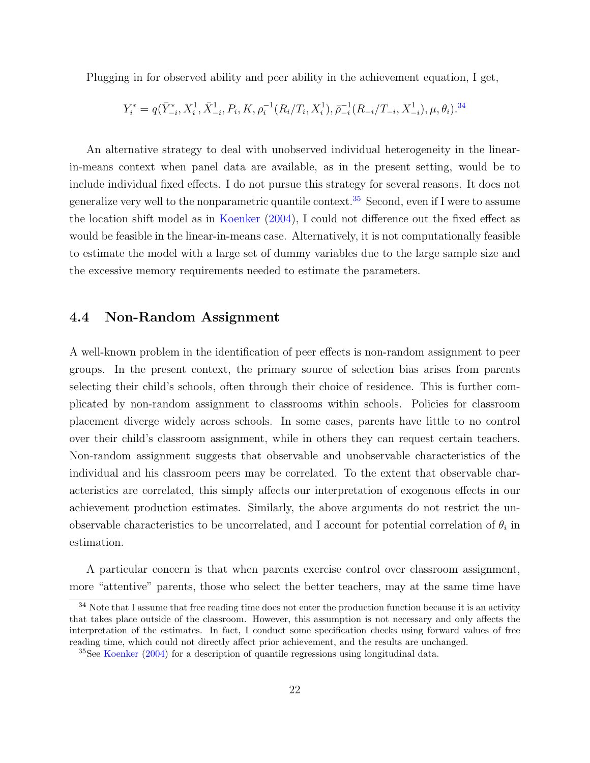Plugging in for observed ability and peer ability in the achievement equation, I get,

$$
Y_{i}^{*}=q(\bar{Y}^{*}_{-i},X_{i}^{1},\bar{X}^{1}_{-i},P_{i},K,\rho_{i}^{-1}(R_{i}/T_{i},X_{i}^{1}),\bar{\rho}_{-i}^{-1}(R_{-i}/T_{-i},X_{-i}^{1}),\mu,\theta_{i}).^{34}
$$

An alternative strategy to deal with unobserved individual heterogeneity in the linearin-means context when panel data are available, as in the present setting, would be to include individual fixed effects. I do not pursue this strategy for several reasons. It does not generalize very well to the nonparametric quantile context.<sup>[35](#page-22-2)</sup> Second, even if I were to assume the location shift model as in [Koenker](#page-42-9) [\(2004\)](#page-42-9), I could not difference out the fixed effect as would be feasible in the linear-in-means case. Alternatively, it is not computationally feasible to estimate the model with a large set of dummy variables due to the large sample size and the excessive memory requirements needed to estimate the parameters.

### <span id="page-22-0"></span>4.4 Non-Random Assignment

A well-known problem in the identification of peer effects is non-random assignment to peer groups. In the present context, the primary source of selection bias arises from parents selecting their child's schools, often through their choice of residence. This is further complicated by non-random assignment to classrooms within schools. Policies for classroom placement diverge widely across schools. In some cases, parents have little to no control over their child's classroom assignment, while in others they can request certain teachers. Non-random assignment suggests that observable and unobservable characteristics of the individual and his classroom peers may be correlated. To the extent that observable characteristics are correlated, this simply affects our interpretation of exogenous effects in our achievement production estimates. Similarly, the above arguments do not restrict the unobservable characteristics to be uncorrelated, and I account for potential correlation of  $\theta_i$  in estimation.

A particular concern is that when parents exercise control over classroom assignment, more "attentive" parents, those who select the better teachers, may at the same time have

<span id="page-22-1"></span> $34$  Note that I assume that free reading time does not enter the production function because it is an activity that takes place outside of the classroom. However, this assumption is not necessary and only affects the interpretation of the estimates. In fact, I conduct some specification checks using forward values of free reading time, which could not directly affect prior achievement, and the results are unchanged.

<span id="page-22-2"></span><sup>&</sup>lt;sup>35</sup>See [Koenker](#page-42-9) [\(2004\)](#page-42-9) for a description of quantile regressions using longitudinal data.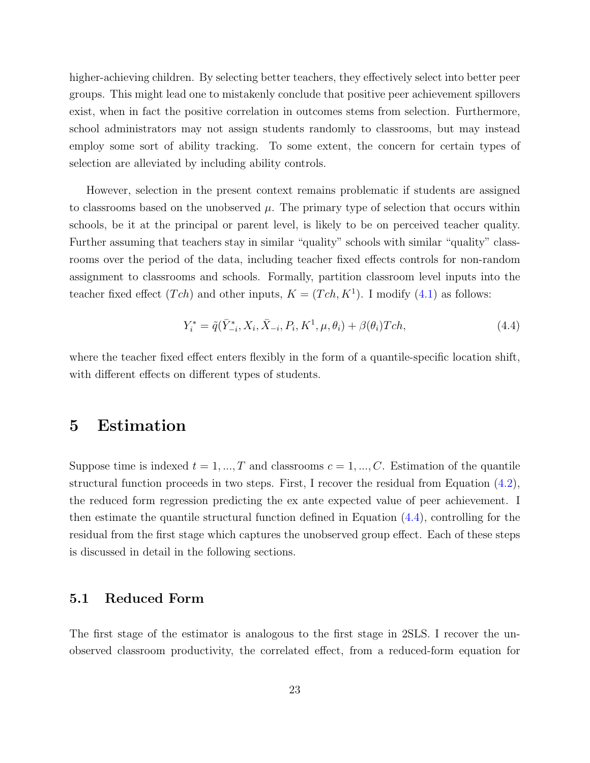higher-achieving children. By selecting better teachers, they effectively select into better peer groups. This might lead one to mistakenly conclude that positive peer achievement spillovers exist, when in fact the positive correlation in outcomes stems from selection. Furthermore, school administrators may not assign students randomly to classrooms, but may instead employ some sort of ability tracking. To some extent, the concern for certain types of selection are alleviated by including ability controls.

However, selection in the present context remains problematic if students are assigned to classrooms based on the unobserved  $\mu$ . The primary type of selection that occurs within schools, be it at the principal or parent level, is likely to be on perceived teacher quality. Further assuming that teachers stay in similar "quality" schools with similar "quality" classrooms over the period of the data, including teacher fixed effects controls for non-random assignment to classrooms and schools. Formally, partition classroom level inputs into the teacher fixed effect  $(Tch)$  and other inputs,  $K = (Tch, K^1)$ . I modify  $(4.1)$  as follows:

<span id="page-23-0"></span>
$$
Y_i^* = \tilde{q}(\bar{Y}_{-i}^*, X_i, \bar{X}_{-i}, P_i, K^1, \mu, \theta_i) + \beta(\theta_i)Tch,
$$
\n(4.4)

where the teacher fixed effect enters flexibly in the form of a quantile-specific location shift, with different effects on different types of students.

### <span id="page-23-1"></span>5 Estimation

Suppose time is indexed  $t = 1, ..., T$  and classrooms  $c = 1, ..., C$ . Estimation of the quantile structural function proceeds in two steps. First, I recover the residual from Equation [\(4.2\)](#page-16-0), the reduced form regression predicting the ex ante expected value of peer achievement. I then estimate the quantile structural function defined in Equation [\(4.4\)](#page-23-0), controlling for the residual from the first stage which captures the unobserved group effect. Each of these steps is discussed in detail in the following sections.

#### 5.1 Reduced Form

The first stage of the estimator is analogous to the first stage in 2SLS. I recover the unobserved classroom productivity, the correlated effect, from a reduced-form equation for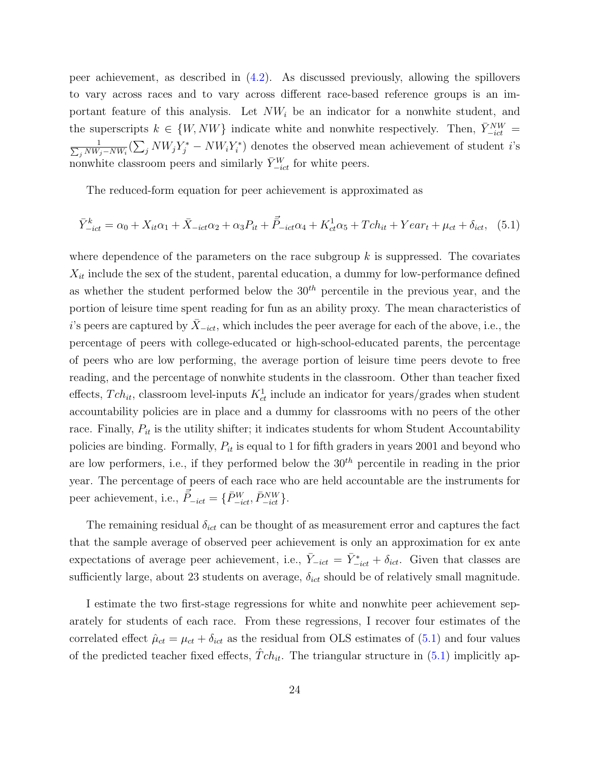peer achievement, as described in [\(4.2\)](#page-16-0). As discussed previously, allowing the spillovers to vary across races and to vary across different race-based reference groups is an important feature of this analysis. Let  $NW_i$  be an indicator for a nonwhite student, and the superscripts  $k \in \{W, NW\}$  indicate white and nonwhite respectively. Then,  $\bar{Y}_{-ict}^{NW}$  = P 1  $\frac{1}{j^{NW_j - NW_i}}$ ( $\sum_j NW_jY_j^*$  –  $NW_iY_i^*$ ) denotes the observed mean achievement of student *i*'s nonwhite classroom peers and similarly  $\bar{Y}_{-ict}^W$  for white peers.

<span id="page-24-0"></span>The reduced-form equation for peer achievement is approximated as

$$
\bar{Y}_{-ict}^{k} = \alpha_0 + X_{it}\alpha_1 + \bar{X}_{-ict}\alpha_2 + \alpha_3 P_{it} + \vec{P}_{-ict}\alpha_4 + K_{ct}^1\alpha_5 + Tch_{it} + Year_t + \mu_{ct} + \delta_{ict},
$$
 (5.1)

where dependence of the parameters on the race subgroup  $k$  is suppressed. The covariates  $X_{it}$  include the sex of the student, parental education, a dummy for low-performance defined as whether the student performed below the  $30<sup>th</sup>$  percentile in the previous year, and the portion of leisure time spent reading for fun as an ability proxy. The mean characteristics of i's peers are captured by  $X_{-ict}$ , which includes the peer average for each of the above, i.e., the percentage of peers with college-educated or high-school-educated parents, the percentage of peers who are low performing, the average portion of leisure time peers devote to free reading, and the percentage of nonwhite students in the classroom. Other than teacher fixed effects,  $Tch_{it}$ , classroom level-inputs  $K_{ct}^1$  include an indicator for years/grades when student accountability policies are in place and a dummy for classrooms with no peers of the other race. Finally,  $P_{it}$  is the utility shifter; it indicates students for whom Student Accountability policies are binding. Formally,  $P_{it}$  is equal to 1 for fifth graders in years 2001 and beyond who are low performers, i.e., if they performed below the  $30<sup>th</sup>$  percentile in reading in the prior year. The percentage of peers of each race who are held accountable are the instruments for peer achievement, i.e.,  $\vec{\bar{P}}_{-ict} = \{\bar{P}_{-ict}^{W}, \bar{P}_{-ict}^{NW}\}.$ 

The remaining residual  $\delta_{ict}$  can be thought of as measurement error and captures the fact that the sample average of observed peer achievement is only an approximation for ex ante expectations of average peer achievement, i.e.,  $\bar{Y}_{-ict} = \bar{Y}_{-ict}^* + \delta_{ict}$ . Given that classes are sufficiently large, about 23 students on average,  $\delta_{ict}$  should be of relatively small magnitude.

I estimate the two first-stage regressions for white and nonwhite peer achievement separately for students of each race. From these regressions, I recover four estimates of the correlated effect  $\hat{\mu}_{ct} = \mu_{ct} + \delta_{ict}$  as the residual from OLS estimates of [\(5.1\)](#page-24-0) and four values of the predicted teacher fixed effects,  $\hat{T}ch_{it}$ . The triangular structure in [\(5.1\)](#page-24-0) implicitly ap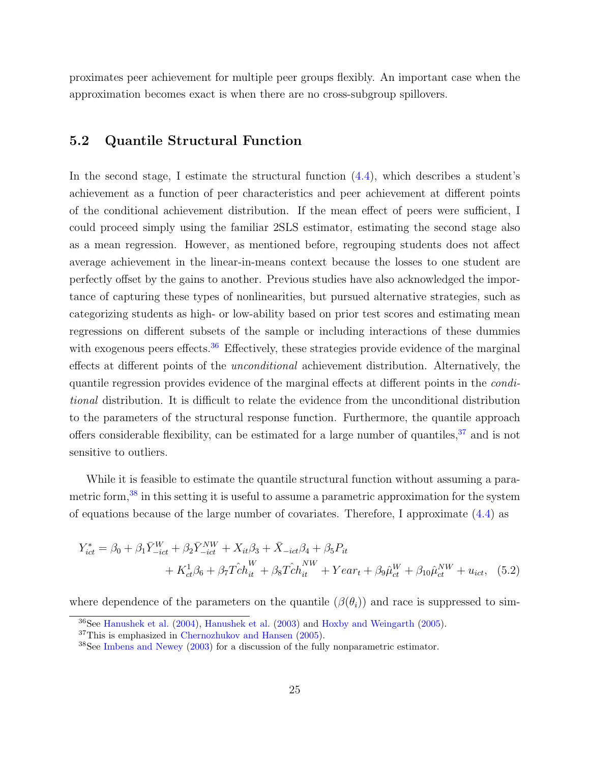proximates peer achievement for multiple peer groups flexibly. An important case when the approximation becomes exact is when there are no cross-subgroup spillovers.

#### <span id="page-25-3"></span>5.2 Quantile Structural Function

In the second stage, I estimate the structural function [\(4.4\)](#page-23-0), which describes a student's achievement as a function of peer characteristics and peer achievement at different points of the conditional achievement distribution. If the mean effect of peers were sufficient, I could proceed simply using the familiar 2SLS estimator, estimating the second stage also as a mean regression. However, as mentioned before, regrouping students does not affect average achievement in the linear-in-means context because the losses to one student are perfectly offset by the gains to another. Previous studies have also acknowledged the importance of capturing these types of nonlinearities, but pursued alternative strategies, such as categorizing students as high- or low-ability based on prior test scores and estimating mean regressions on different subsets of the sample or including interactions of these dummies with exogenous peers effects.<sup>[36](#page-25-0)</sup> Effectively, these strategies provide evidence of the marginal effects at different points of the unconditional achievement distribution. Alternatively, the quantile regression provides evidence of the marginal effects at different points in the conditional distribution. It is difficult to relate the evidence from the unconditional distribution to the parameters of the structural response function. Furthermore, the quantile approach offers considerable flexibility, can be estimated for a large number of quantiles,<sup>[37](#page-25-1)</sup> and is not sensitive to outliers.

While it is feasible to estimate the quantile structural function without assuming a parametric form,[38](#page-25-2) in this setting it is useful to assume a parametric approximation for the system of equations because of the large number of covariates. Therefore, I approximate [\(4.4\)](#page-23-0) as

$$
Y_{ict}^{*} = \beta_{0} + \beta_{1} \bar{Y}_{-ict}^{W} + \beta_{2} \bar{Y}_{-ict}^{NW} + X_{it} \beta_{3} + \bar{X}_{-ict} \beta_{4} + \beta_{5} P_{it}
$$
  
+  $K_{ct}^{1} \beta_{6} + \beta_{7} \hat{T} c h_{it}^{W} + \beta_{8} \hat{T} c h_{it}^{NW} + Y e a r_{t} + \beta_{9} \hat{\mu}_{ct}^{W} + \beta_{10} \hat{\mu}_{ct}^{NW} + u_{ict},$  (5.2)

where dependence of the parameters on the quantile  $(\beta(\theta_i))$  and race is suppressed to sim-

<span id="page-25-0"></span><sup>36</sup>See [Hanushek et al.](#page-41-2) [\(2004\)](#page-41-2), [Hanushek et al.](#page-41-4) [\(2003\)](#page-41-4) and [Hoxby and Weingarth](#page-42-1) [\(2005\)](#page-42-1).

<span id="page-25-1"></span><sup>37</sup>This is emphasized in [Chernozhukov and Hansen](#page-40-3) [\(2005\)](#page-40-3).

<span id="page-25-2"></span><sup>&</sup>lt;sup>38</sup>See [Imbens and Newey](#page-42-3) [\(2003\)](#page-42-3) for a discussion of the fully nonparametric estimator.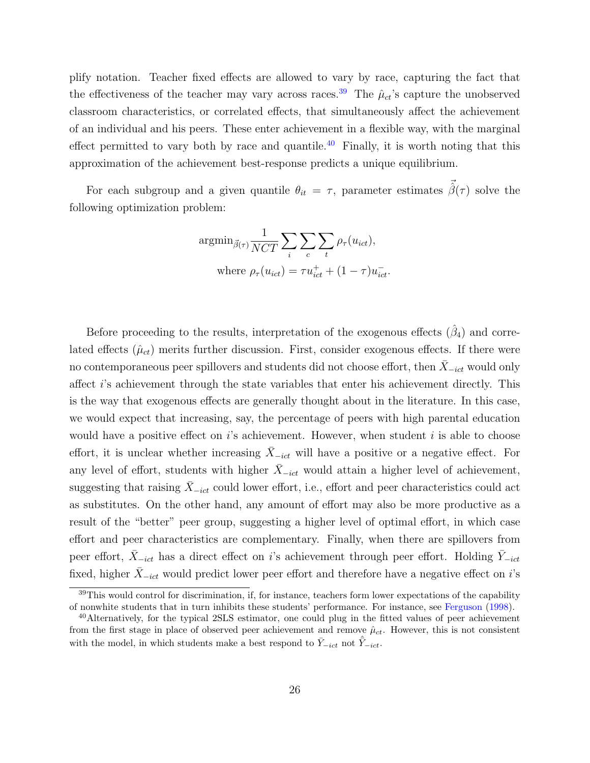plify notation. Teacher fixed effects are allowed to vary by race, capturing the fact that the effectiveness of the teacher may vary across races.<sup>[39](#page-26-0)</sup> The  $\hat{\mu}_{ct}$ 's capture the unobserved classroom characteristics, or correlated effects, that simultaneously affect the achievement of an individual and his peers. These enter achievement in a flexible way, with the marginal effect permitted to vary both by race and quantile.<sup>[40](#page-26-1)</sup> Finally, it is worth noting that this approximation of the achievement best-response predicts a unique equilibrium.

For each subgroup and a given quantile  $\theta_{it} = \tau$ , parameter estimates  $\vec{\hat{\beta}}(\tau)$  solve the following optimization problem:

$$
\operatorname{argmin}_{\vec{\beta}(\tau)} \frac{1}{NCT} \sum_{i} \sum_{c} \sum_{t} \rho_{\tau}(u_{ict}),
$$
  
where  $\rho_{\tau}(u_{ict}) = \tau u_{ict}^{+} + (1 - \tau)u_{ict}^{-}$ .

Before proceeding to the results, interpretation of the exogenous effects  $(\hat{\beta}_4)$  and correlated effects  $(\hat{\mu}_{ct})$  merits further discussion. First, consider exogenous effects. If there were no contemporaneous peer spillovers and students did not choose effort, then  $X_{-ict}$  would only affect i's achievement through the state variables that enter his achievement directly. This is the way that exogenous effects are generally thought about in the literature. In this case, we would expect that increasing, say, the percentage of peers with high parental education would have a positive effect on  $i$ 's achievement. However, when student  $i$  is able to choose effort, it is unclear whether increasing  $\bar{X}_{-ict}$  will have a positive or a negative effect. For any level of effort, students with higher  $X_{-ict}$  would attain a higher level of achievement, suggesting that raising  $\bar{X}_{-ict}$  could lower effort, i.e., effort and peer characteristics could act as substitutes. On the other hand, any amount of effort may also be more productive as a result of the "better" peer group, suggesting a higher level of optimal effort, in which case effort and peer characteristics are complementary. Finally, when there are spillovers from peer effort,  $\bar{X}_{-ict}$  has a direct effect on i's achievement through peer effort. Holding  $\bar{Y}_{-ict}$ fixed, higher  $\bar{X}_{-ict}$  would predict lower peer effort and therefore have a negative effect on i's

<span id="page-26-0"></span> $39$ This would control for discrimination, if, for instance, teachers form lower expectations of the capability of nonwhite students that in turn inhibits these students' performance. For instance, see [Ferguson](#page-41-9) [\(1998\)](#page-41-9).

<span id="page-26-1"></span><sup>&</sup>lt;sup>40</sup>Alternatively, for the typical 2SLS estimator, one could plug in the fitted values of peer achievement from the first stage in place of observed peer achievement and remove  $\hat{\mu}_{ct}$ . However, this is not consistent with the model, in which students make a best respond to  $\bar{Y}_{-ict}$  not  $\hat{Y}_{-ict}$ .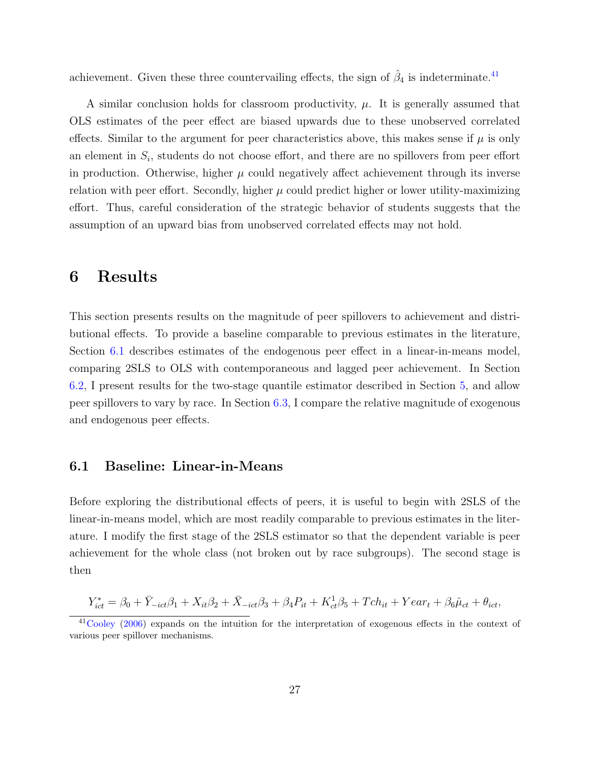achievement. Given these three countervailing effects, the sign of  $\hat{\beta}_4$  is indeterminate.<sup>[41](#page-27-1)</sup>

A similar conclusion holds for classroom productivity,  $\mu$ . It is generally assumed that OLS estimates of the peer effect are biased upwards due to these unobserved correlated effects. Similar to the argument for peer characteristics above, this makes sense if  $\mu$  is only an element in  $S_i$ , students do not choose effort, and there are no spillovers from peer effort in production. Otherwise, higher  $\mu$  could negatively affect achievement through its inverse relation with peer effort. Secondly, higher  $\mu$  could predict higher or lower utility-maximizing effort. Thus, careful consideration of the strategic behavior of students suggests that the assumption of an upward bias from unobserved correlated effects may not hold.

### <span id="page-27-0"></span>6 Results

This section presents results on the magnitude of peer spillovers to achievement and distributional effects. To provide a baseline comparable to previous estimates in the literature, Section [6.1](#page-27-2) describes estimates of the endogenous peer effect in a linear-in-means model, comparing 2SLS to OLS with contemporaneous and lagged peer achievement. In Section [6.2,](#page-29-0) I present results for the two-stage quantile estimator described in Section [5,](#page-23-1) and allow peer spillovers to vary by race. In Section [6.3,](#page-30-0) I compare the relative magnitude of exogenous and endogenous peer effects.

#### <span id="page-27-2"></span>6.1 Baseline: Linear-in-Means

Before exploring the distributional effects of peers, it is useful to begin with 2SLS of the linear-in-means model, which are most readily comparable to previous estimates in the literature. I modify the first stage of the 2SLS estimator so that the dependent variable is peer achievement for the whole class (not broken out by race subgroups). The second stage is then

$$
Y_{ict}^* = \beta_0 + \bar{Y}_{-ict}\beta_1 + X_{it}\beta_2 + \bar{X}_{-ict}\beta_3 + \beta_4 P_{it} + K_{ct}^1\beta_5 + Tch_{it} + Year_t + \beta_6\hat{\mu}_{ct} + \theta_{ict},
$$

<span id="page-27-1"></span><sup>41</sup>[Cooley](#page-41-10) [\(2006\)](#page-41-10) expands on the intuition for the interpretation of exogenous effects in the context of various peer spillover mechanisms.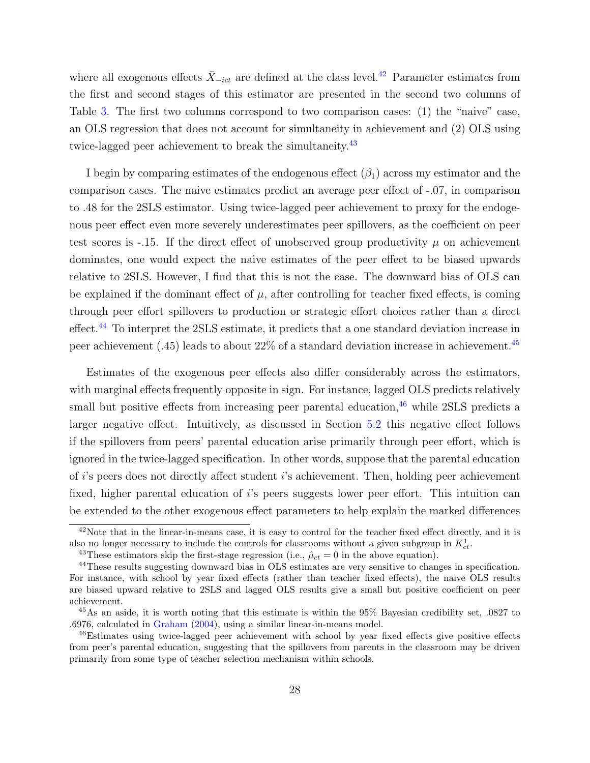where all exogenous effects  $\bar{X}_{-ict}$  are defined at the class level.<sup>[42](#page-28-0)</sup> Parameter estimates from the first and second stages of this estimator are presented in the second two columns of Table [3.](#page-48-0) The first two columns correspond to two comparison cases: (1) the "naive" case, an OLS regression that does not account for simultaneity in achievement and (2) OLS using twice-lagged peer achievement to break the simultaneity.<sup>[43](#page-28-1)</sup>

I begin by comparing estimates of the endogenous effect  $(\beta_1)$  across my estimator and the comparison cases. The naive estimates predict an average peer effect of -.07, in comparison to .48 for the 2SLS estimator. Using twice-lagged peer achievement to proxy for the endogenous peer effect even more severely underestimates peer spillovers, as the coefficient on peer test scores is -.15. If the direct effect of unobserved group productivity  $\mu$  on achievement dominates, one would expect the naive estimates of the peer effect to be biased upwards relative to 2SLS. However, I find that this is not the case. The downward bias of OLS can be explained if the dominant effect of  $\mu$ , after controlling for teacher fixed effects, is coming through peer effort spillovers to production or strategic effort choices rather than a direct effect.[44](#page-28-2) To interpret the 2SLS estimate, it predicts that a one standard deviation increase in peer achievement (.45) leads to about 22% of a standard deviation increase in achievement.[45](#page-28-3)

Estimates of the exogenous peer effects also differ considerably across the estimators, with marginal effects frequently opposite in sign. For instance, lagged OLS predicts relatively small but positive effects from increasing peer parental education,  $46$  while 2SLS predicts a larger negative effect. Intuitively, as discussed in Section [5.2](#page-25-3) this negative effect follows if the spillovers from peers' parental education arise primarily through peer effort, which is ignored in the twice-lagged specification. In other words, suppose that the parental education of i's peers does not directly affect student i's achievement. Then, holding peer achievement fixed, higher parental education of i's peers suggests lower peer effort. This intuition can be extended to the other exogenous effect parameters to help explain the marked differences

<span id="page-28-0"></span><sup>&</sup>lt;sup>42</sup>Note that in the linear-in-means case, it is easy to control for the teacher fixed effect directly, and it is also no longer necessary to include the controls for classrooms without a given subgroup in  $K_{ct}^1$ .

<span id="page-28-2"></span><span id="page-28-1"></span><sup>&</sup>lt;sup>43</sup>These estimators skip the first-stage regression (i.e.,  $\hat{\mu}_{ct} = 0$  in the above equation).

<sup>44</sup>These results suggesting downward bias in OLS estimates are very sensitive to changes in specification. For instance, with school by year fixed effects (rather than teacher fixed effects), the naive OLS results are biased upward relative to 2SLS and lagged OLS results give a small but positive coefficient on peer achievement.

<span id="page-28-3"></span><sup>&</sup>lt;sup>45</sup>As an aside, it is worth noting that this estimate is within the  $95\%$  Bayesian credibility set, .0827 to .6976, calculated in [Graham](#page-41-8) [\(2004\)](#page-41-8), using a similar linear-in-means model.

<span id="page-28-4"></span><sup>46</sup>Estimates using twice-lagged peer achievement with school by year fixed effects give positive effects from peer's parental education, suggesting that the spillovers from parents in the classroom may be driven primarily from some type of teacher selection mechanism within schools.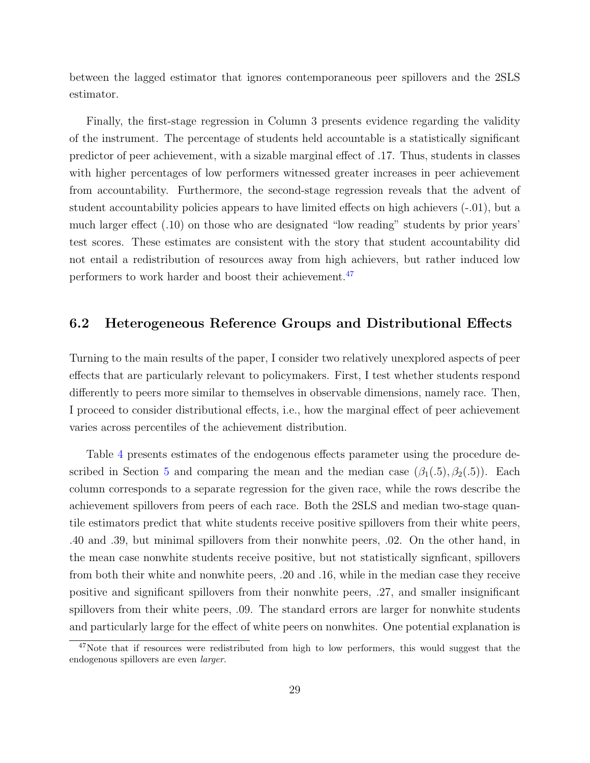between the lagged estimator that ignores contemporaneous peer spillovers and the 2SLS estimator.

Finally, the first-stage regression in Column 3 presents evidence regarding the validity of the instrument. The percentage of students held accountable is a statistically significant predictor of peer achievement, with a sizable marginal effect of .17. Thus, students in classes with higher percentages of low performers witnessed greater increases in peer achievement from accountability. Furthermore, the second-stage regression reveals that the advent of student accountability policies appears to have limited effects on high achievers (-.01), but a much larger effect (.10) on those who are designated "low reading" students by prior years' test scores. These estimates are consistent with the story that student accountability did not entail a redistribution of resources away from high achievers, but rather induced low performers to work harder and boost their achievement.[47](#page-29-1)

#### <span id="page-29-0"></span>6.2 Heterogeneous Reference Groups and Distributional Effects

Turning to the main results of the paper, I consider two relatively unexplored aspects of peer effects that are particularly relevant to policymakers. First, I test whether students respond differently to peers more similar to themselves in observable dimensions, namely race. Then, I proceed to consider distributional effects, i.e., how the marginal effect of peer achievement varies across percentiles of the achievement distribution.

Table [4](#page-49-0) presents estimates of the endogenous effects parameter using the procedure de-scribed in Section [5](#page-23-1) and comparing the mean and the median case  $(\beta_1(.5), \beta_2(.5))$ . Each column corresponds to a separate regression for the given race, while the rows describe the achievement spillovers from peers of each race. Both the 2SLS and median two-stage quantile estimators predict that white students receive positive spillovers from their white peers, .40 and .39, but minimal spillovers from their nonwhite peers, .02. On the other hand, in the mean case nonwhite students receive positive, but not statistically signficant, spillovers from both their white and nonwhite peers, .20 and .16, while in the median case they receive positive and significant spillovers from their nonwhite peers, .27, and smaller insignificant spillovers from their white peers, .09. The standard errors are larger for nonwhite students and particularly large for the effect of white peers on nonwhites. One potential explanation is

<span id="page-29-1"></span> $47$ Note that if resources were redistributed from high to low performers, this would suggest that the endogenous spillovers are even larger.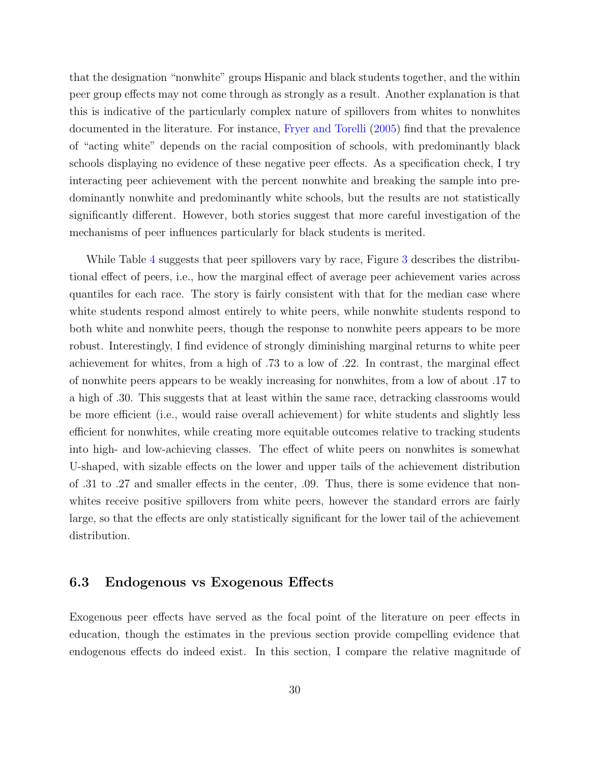that the designation "nonwhite" groups Hispanic and black students together, and the within peer group effects may not come through as strongly as a result. Another explanation is that this is indicative of the particularly complex nature of spillovers from whites to nonwhites documented in the literature. For instance, [Fryer and Torelli](#page-41-3) [\(2005\)](#page-41-3) find that the prevalence of "acting white" depends on the racial composition of schools, with predominantly black schools displaying no evidence of these negative peer effects. As a specification check, I try interacting peer achievement with the percent nonwhite and breaking the sample into predominantly nonwhite and predominantly white schools, but the results are not statistically significantly different. However, both stories suggest that more careful investigation of the mechanisms of peer influences particularly for black students is merited.

While Table [4](#page-49-0) suggests that peer spillovers vary by race, Figure [3](#page-56-0) describes the distributional effect of peers, i.e., how the marginal effect of average peer achievement varies across quantiles for each race. The story is fairly consistent with that for the median case where white students respond almost entirely to white peers, while nonwhite students respond to both white and nonwhite peers, though the response to nonwhite peers appears to be more robust. Interestingly, I find evidence of strongly diminishing marginal returns to white peer achievement for whites, from a high of .73 to a low of .22. In contrast, the marginal effect of nonwhite peers appears to be weakly increasing for nonwhites, from a low of about .17 to a high of .30. This suggests that at least within the same race, detracking classrooms would be more efficient (i.e., would raise overall achievement) for white students and slightly less efficient for nonwhites, while creating more equitable outcomes relative to tracking students into high- and low-achieving classes. The effect of white peers on nonwhites is somewhat U-shaped, with sizable effects on the lower and upper tails of the achievement distribution of .31 to .27 and smaller effects in the center, .09. Thus, there is some evidence that nonwhites receive positive spillovers from white peers, however the standard errors are fairly large, so that the effects are only statistically significant for the lower tail of the achievement distribution.

#### <span id="page-30-0"></span>6.3 Endogenous vs Exogenous Effects

Exogenous peer effects have served as the focal point of the literature on peer effects in education, though the estimates in the previous section provide compelling evidence that endogenous effects do indeed exist. In this section, I compare the relative magnitude of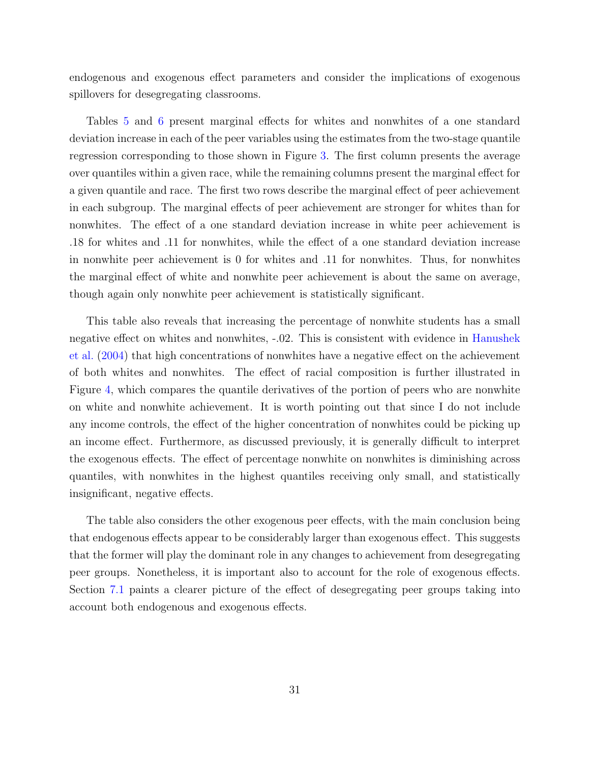endogenous and exogenous effect parameters and consider the implications of exogenous spillovers for desegregating classrooms.

Tables [5](#page-50-0) and [6](#page-51-0) present marginal effects for whites and nonwhites of a one standard deviation increase in each of the peer variables using the estimates from the two-stage quantile regression corresponding to those shown in Figure [3.](#page-56-0) The first column presents the average over quantiles within a given race, while the remaining columns present the marginal effect for a given quantile and race. The first two rows describe the marginal effect of peer achievement in each subgroup. The marginal effects of peer achievement are stronger for whites than for nonwhites. The effect of a one standard deviation increase in white peer achievement is .18 for whites and .11 for nonwhites, while the effect of a one standard deviation increase in nonwhite peer achievement is 0 for whites and .11 for nonwhites. Thus, for nonwhites the marginal effect of white and nonwhite peer achievement is about the same on average, though again only nonwhite peer achievement is statistically significant.

This table also reveals that increasing the percentage of nonwhite students has a small negative effect on whites and nonwhites, -.02. This is consistent with evidence in [Hanushek](#page-41-2) [et al.](#page-41-2) [\(2004\)](#page-41-2) that high concentrations of nonwhites have a negative effect on the achievement of both whites and nonwhites. The effect of racial composition is further illustrated in Figure [4,](#page-56-1) which compares the quantile derivatives of the portion of peers who are nonwhite on white and nonwhite achievement. It is worth pointing out that since I do not include any income controls, the effect of the higher concentration of nonwhites could be picking up an income effect. Furthermore, as discussed previously, it is generally difficult to interpret the exogenous effects. The effect of percentage nonwhite on nonwhites is diminishing across quantiles, with nonwhites in the highest quantiles receiving only small, and statistically insignificant, negative effects.

The table also considers the other exogenous peer effects, with the main conclusion being that endogenous effects appear to be considerably larger than exogenous effect. This suggests that the former will play the dominant role in any changes to achievement from desegregating peer groups. Nonetheless, it is important also to account for the role of exogenous effects. Section [7.1](#page-33-0) paints a clearer picture of the effect of desegregating peer groups taking into account both endogenous and exogenous effects.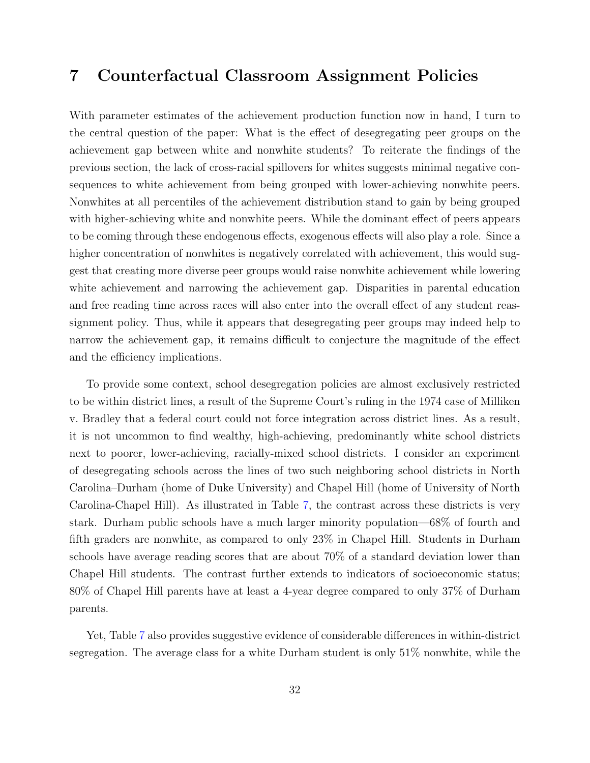### 7 Counterfactual Classroom Assignment Policies

With parameter estimates of the achievement production function now in hand, I turn to the central question of the paper: What is the effect of desegregating peer groups on the achievement gap between white and nonwhite students? To reiterate the findings of the previous section, the lack of cross-racial spillovers for whites suggests minimal negative consequences to white achievement from being grouped with lower-achieving nonwhite peers. Nonwhites at all percentiles of the achievement distribution stand to gain by being grouped with higher-achieving white and nonwhite peers. While the dominant effect of peers appears to be coming through these endogenous effects, exogenous effects will also play a role. Since a higher concentration of nonwhites is negatively correlated with achievement, this would suggest that creating more diverse peer groups would raise nonwhite achievement while lowering white achievement and narrowing the achievement gap. Disparities in parental education and free reading time across races will also enter into the overall effect of any student reassignment policy. Thus, while it appears that desegregating peer groups may indeed help to narrow the achievement gap, it remains difficult to conjecture the magnitude of the effect and the efficiency implications.

To provide some context, school desegregation policies are almost exclusively restricted to be within district lines, a result of the Supreme Court's ruling in the 1974 case of Milliken v. Bradley that a federal court could not force integration across district lines. As a result, it is not uncommon to find wealthy, high-achieving, predominantly white school districts next to poorer, lower-achieving, racially-mixed school districts. I consider an experiment of desegregating schools across the lines of two such neighboring school districts in North Carolina–Durham (home of Duke University) and Chapel Hill (home of University of North Carolina-Chapel Hill). As illustrated in Table [7,](#page-52-0) the contrast across these districts is very stark. Durham public schools have a much larger minority population—68% of fourth and fifth graders are nonwhite, as compared to only 23% in Chapel Hill. Students in Durham schools have average reading scores that are about 70% of a standard deviation lower than Chapel Hill students. The contrast further extends to indicators of socioeconomic status; 80% of Chapel Hill parents have at least a 4-year degree compared to only 37% of Durham parents.

Yet, Table [7](#page-52-0) also provides suggestive evidence of considerable differences in within-district segregation. The average class for a white Durham student is only 51% nonwhite, while the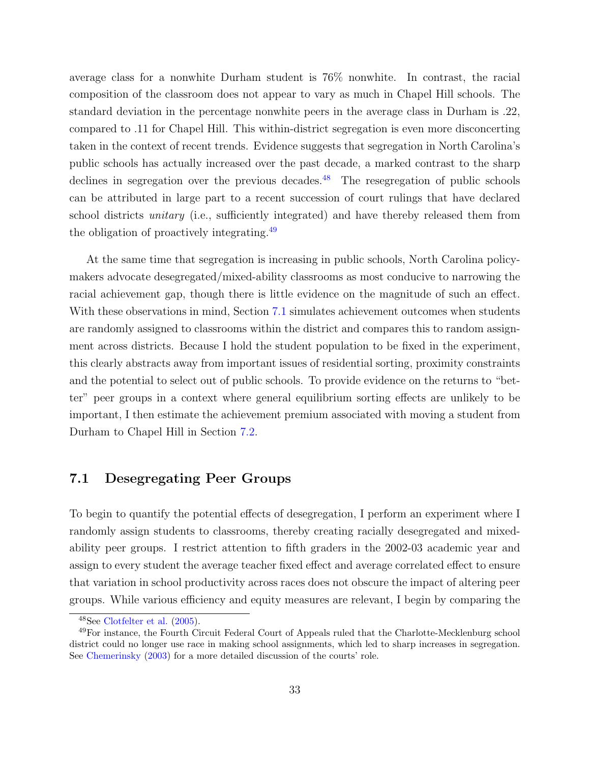average class for a nonwhite Durham student is 76% nonwhite. In contrast, the racial composition of the classroom does not appear to vary as much in Chapel Hill schools. The standard deviation in the percentage nonwhite peers in the average class in Durham is .22, compared to .11 for Chapel Hill. This within-district segregation is even more disconcerting taken in the context of recent trends. Evidence suggests that segregation in North Carolina's public schools has actually increased over the past decade, a marked contrast to the sharp declines in segregation over the previous decades.<sup>[48](#page-33-1)</sup> The resegregation of public schools can be attributed in large part to a recent succession of court rulings that have declared school districts *unitary* (i.e., sufficiently integrated) and have thereby released them from the obligation of proactively integrating.[49](#page-33-2)

At the same time that segregation is increasing in public schools, North Carolina policymakers advocate desegregated/mixed-ability classrooms as most conducive to narrowing the racial achievement gap, though there is little evidence on the magnitude of such an effect. With these observations in mind, Section [7.1](#page-33-0) simulates achievement outcomes when students are randomly assigned to classrooms within the district and compares this to random assignment across districts. Because I hold the student population to be fixed in the experiment, this clearly abstracts away from important issues of residential sorting, proximity constraints and the potential to select out of public schools. To provide evidence on the returns to "better" peer groups in a context where general equilibrium sorting effects are unlikely to be important, I then estimate the achievement premium associated with moving a student from Durham to Chapel Hill in Section [7.2.](#page-36-0)

#### <span id="page-33-0"></span>7.1 Desegregating Peer Groups

To begin to quantify the potential effects of desegregation, I perform an experiment where I randomly assign students to classrooms, thereby creating racially desegregated and mixedability peer groups. I restrict attention to fifth graders in the 2002-03 academic year and assign to every student the average teacher fixed effect and average correlated effect to ensure that variation in school productivity across races does not obscure the impact of altering peer groups. While various efficiency and equity measures are relevant, I begin by comparing the

<span id="page-33-2"></span><span id="page-33-1"></span><sup>48</sup>See [Clotfelter et al.](#page-41-11) [\(2005\)](#page-41-11).

<sup>49</sup>For instance, the Fourth Circuit Federal Court of Appeals ruled that the Charlotte-Mecklenburg school district could no longer use race in making school assignments, which led to sharp increases in segregation. See [Chemerinsky](#page-40-8) [\(2003\)](#page-40-8) for a more detailed discussion of the courts' role.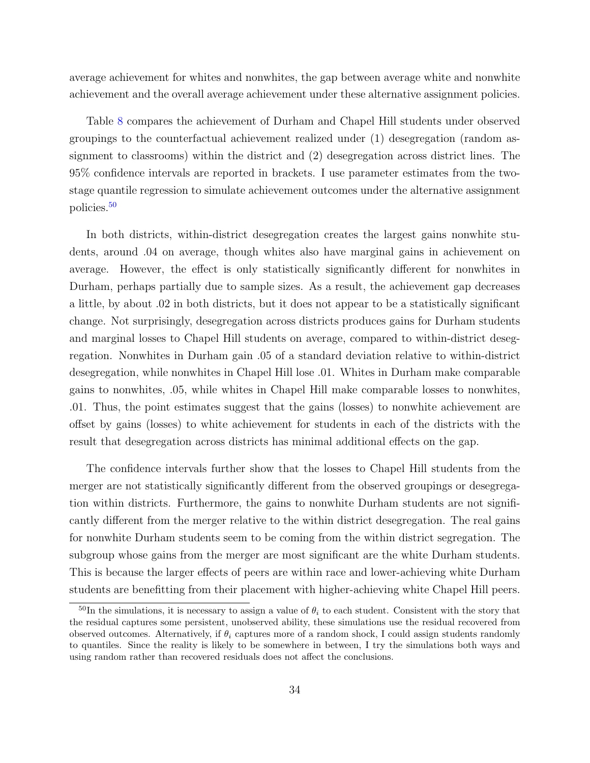average achievement for whites and nonwhites, the gap between average white and nonwhite achievement and the overall average achievement under these alternative assignment policies.

Table [8](#page-53-0) compares the achievement of Durham and Chapel Hill students under observed groupings to the counterfactual achievement realized under (1) desegregation (random assignment to classrooms) within the district and (2) desegregation across district lines. The 95% confidence intervals are reported in brackets. I use parameter estimates from the twostage quantile regression to simulate achievement outcomes under the alternative assignment policies.[50](#page-34-0)

In both districts, within-district desegregation creates the largest gains nonwhite students, around .04 on average, though whites also have marginal gains in achievement on average. However, the effect is only statistically significantly different for nonwhites in Durham, perhaps partially due to sample sizes. As a result, the achievement gap decreases a little, by about .02 in both districts, but it does not appear to be a statistically significant change. Not surprisingly, desegregation across districts produces gains for Durham students and marginal losses to Chapel Hill students on average, compared to within-district desegregation. Nonwhites in Durham gain .05 of a standard deviation relative to within-district desegregation, while nonwhites in Chapel Hill lose .01. Whites in Durham make comparable gains to nonwhites, .05, while whites in Chapel Hill make comparable losses to nonwhites, .01. Thus, the point estimates suggest that the gains (losses) to nonwhite achievement are offset by gains (losses) to white achievement for students in each of the districts with the result that desegregation across districts has minimal additional effects on the gap.

The confidence intervals further show that the losses to Chapel Hill students from the merger are not statistically significantly different from the observed groupings or desegregation within districts. Furthermore, the gains to nonwhite Durham students are not significantly different from the merger relative to the within district desegregation. The real gains for nonwhite Durham students seem to be coming from the within district segregation. The subgroup whose gains from the merger are most significant are the white Durham students. This is because the larger effects of peers are within race and lower-achieving white Durham students are benefitting from their placement with higher-achieving white Chapel Hill peers.

<span id="page-34-0"></span><sup>&</sup>lt;sup>50</sup>In the simulations, it is necessary to assign a value of  $\theta_i$  to each student. Consistent with the story that the residual captures some persistent, unobserved ability, these simulations use the residual recovered from observed outcomes. Alternatively, if  $\theta_i$  captures more of a random shock, I could assign students randomly to quantiles. Since the reality is likely to be somewhere in between, I try the simulations both ways and using random rather than recovered residuals does not affect the conclusions.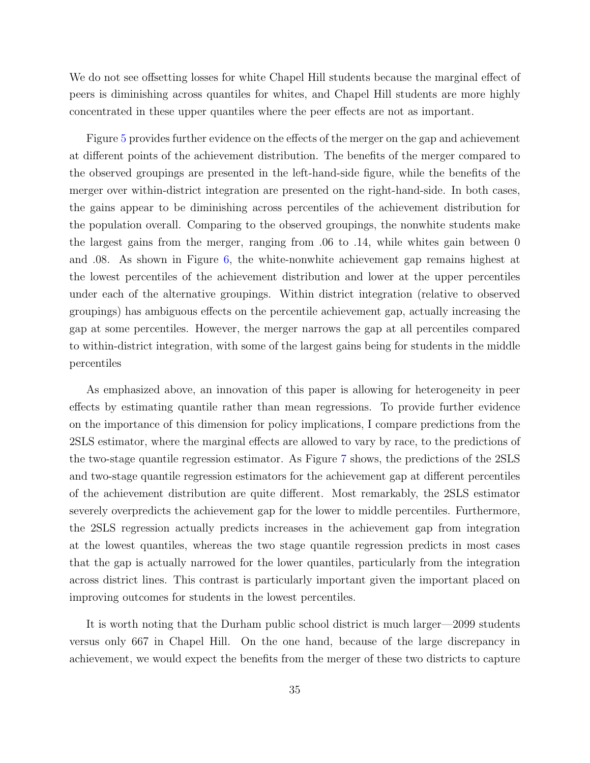We do not see offsetting losses for white Chapel Hill students because the marginal effect of peers is diminishing across quantiles for whites, and Chapel Hill students are more highly concentrated in these upper quantiles where the peer effects are not as important.

Figure [5](#page-57-0) provides further evidence on the effects of the merger on the gap and achievement at different points of the achievement distribution. The benefits of the merger compared to the observed groupings are presented in the left-hand-side figure, while the benefits of the merger over within-district integration are presented on the right-hand-side. In both cases, the gains appear to be diminishing across percentiles of the achievement distribution for the population overall. Comparing to the observed groupings, the nonwhite students make the largest gains from the merger, ranging from .06 to .14, while whites gain between 0 and .08. As shown in Figure [6,](#page-57-1) the white-nonwhite achievement gap remains highest at the lowest percentiles of the achievement distribution and lower at the upper percentiles under each of the alternative groupings. Within district integration (relative to observed groupings) has ambiguous effects on the percentile achievement gap, actually increasing the gap at some percentiles. However, the merger narrows the gap at all percentiles compared to within-district integration, with some of the largest gains being for students in the middle percentiles

As emphasized above, an innovation of this paper is allowing for heterogeneity in peer effects by estimating quantile rather than mean regressions. To provide further evidence on the importance of this dimension for policy implications, I compare predictions from the 2SLS estimator, where the marginal effects are allowed to vary by race, to the predictions of the two-stage quantile regression estimator. As Figure [7](#page-57-2) shows, the predictions of the 2SLS and two-stage quantile regression estimators for the achievement gap at different percentiles of the achievement distribution are quite different. Most remarkably, the 2SLS estimator severely overpredicts the achievement gap for the lower to middle percentiles. Furthermore, the 2SLS regression actually predicts increases in the achievement gap from integration at the lowest quantiles, whereas the two stage quantile regression predicts in most cases that the gap is actually narrowed for the lower quantiles, particularly from the integration across district lines. This contrast is particularly important given the important placed on improving outcomes for students in the lowest percentiles.

It is worth noting that the Durham public school district is much larger—2099 students versus only 667 in Chapel Hill. On the one hand, because of the large discrepancy in achievement, we would expect the benefits from the merger of these two districts to capture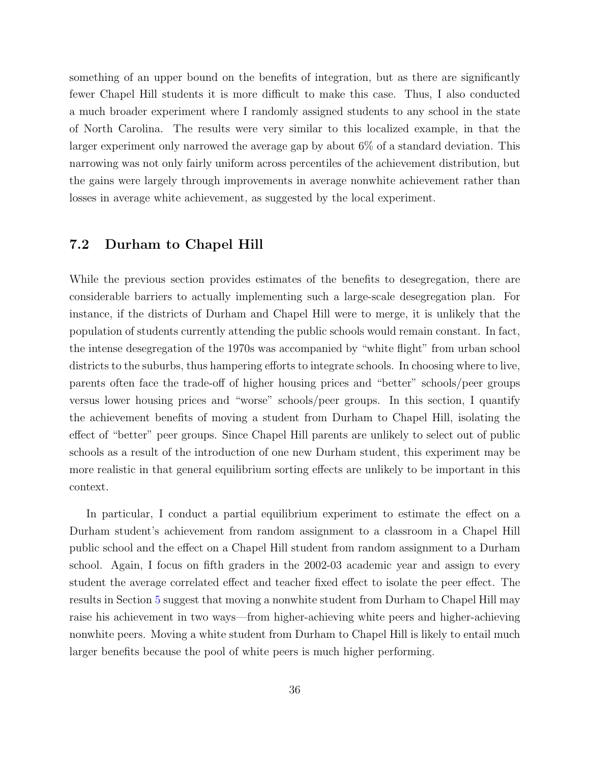something of an upper bound on the benefits of integration, but as there are significantly fewer Chapel Hill students it is more difficult to make this case. Thus, I also conducted a much broader experiment where I randomly assigned students to any school in the state of North Carolina. The results were very similar to this localized example, in that the larger experiment only narrowed the average gap by about 6% of a standard deviation. This narrowing was not only fairly uniform across percentiles of the achievement distribution, but the gains were largely through improvements in average nonwhite achievement rather than losses in average white achievement, as suggested by the local experiment.

#### <span id="page-36-0"></span>7.2 Durham to Chapel Hill

While the previous section provides estimates of the benefits to desegregation, there are considerable barriers to actually implementing such a large-scale desegregation plan. For instance, if the districts of Durham and Chapel Hill were to merge, it is unlikely that the population of students currently attending the public schools would remain constant. In fact, the intense desegregation of the 1970s was accompanied by "white flight" from urban school districts to the suburbs, thus hampering efforts to integrate schools. In choosing where to live, parents often face the trade-off of higher housing prices and "better" schools/peer groups versus lower housing prices and "worse" schools/peer groups. In this section, I quantify the achievement benefits of moving a student from Durham to Chapel Hill, isolating the effect of "better" peer groups. Since Chapel Hill parents are unlikely to select out of public schools as a result of the introduction of one new Durham student, this experiment may be more realistic in that general equilibrium sorting effects are unlikely to be important in this context.

In particular, I conduct a partial equilibrium experiment to estimate the effect on a Durham student's achievement from random assignment to a classroom in a Chapel Hill public school and the effect on a Chapel Hill student from random assignment to a Durham school. Again, I focus on fifth graders in the 2002-03 academic year and assign to every student the average correlated effect and teacher fixed effect to isolate the peer effect. The results in Section [5](#page-23-1) suggest that moving a nonwhite student from Durham to Chapel Hill may raise his achievement in two ways—from higher-achieving white peers and higher-achieving nonwhite peers. Moving a white student from Durham to Chapel Hill is likely to entail much larger benefits because the pool of white peers is much higher performing.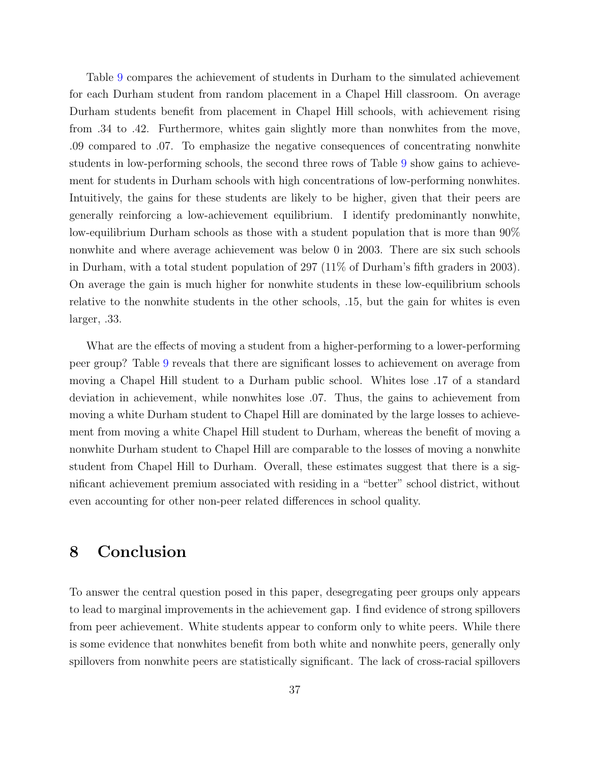Table [9](#page-54-0) compares the achievement of students in Durham to the simulated achievement for each Durham student from random placement in a Chapel Hill classroom. On average Durham students benefit from placement in Chapel Hill schools, with achievement rising from .34 to .42. Furthermore, whites gain slightly more than nonwhites from the move, .09 compared to .07. To emphasize the negative consequences of concentrating nonwhite students in low-performing schools, the second three rows of Table [9](#page-54-0) show gains to achievement for students in Durham schools with high concentrations of low-performing nonwhites. Intuitively, the gains for these students are likely to be higher, given that their peers are generally reinforcing a low-achievement equilibrium. I identify predominantly nonwhite, low-equilibrium Durham schools as those with a student population that is more than 90% nonwhite and where average achievement was below 0 in 2003. There are six such schools in Durham, with a total student population of 297 (11% of Durham's fifth graders in 2003). On average the gain is much higher for nonwhite students in these low-equilibrium schools relative to the nonwhite students in the other schools, .15, but the gain for whites is even larger, .33.

What are the effects of moving a student from a higher-performing to a lower-performing peer group? Table [9](#page-54-0) reveals that there are significant losses to achievement on average from moving a Chapel Hill student to a Durham public school. Whites lose .17 of a standard deviation in achievement, while nonwhites lose .07. Thus, the gains to achievement from moving a white Durham student to Chapel Hill are dominated by the large losses to achievement from moving a white Chapel Hill student to Durham, whereas the benefit of moving a nonwhite Durham student to Chapel Hill are comparable to the losses of moving a nonwhite student from Chapel Hill to Durham. Overall, these estimates suggest that there is a significant achievement premium associated with residing in a "better" school district, without even accounting for other non-peer related differences in school quality.

## 8 Conclusion

To answer the central question posed in this paper, desegregating peer groups only appears to lead to marginal improvements in the achievement gap. I find evidence of strong spillovers from peer achievement. White students appear to conform only to white peers. While there is some evidence that nonwhites benefit from both white and nonwhite peers, generally only spillovers from nonwhite peers are statistically significant. The lack of cross-racial spillovers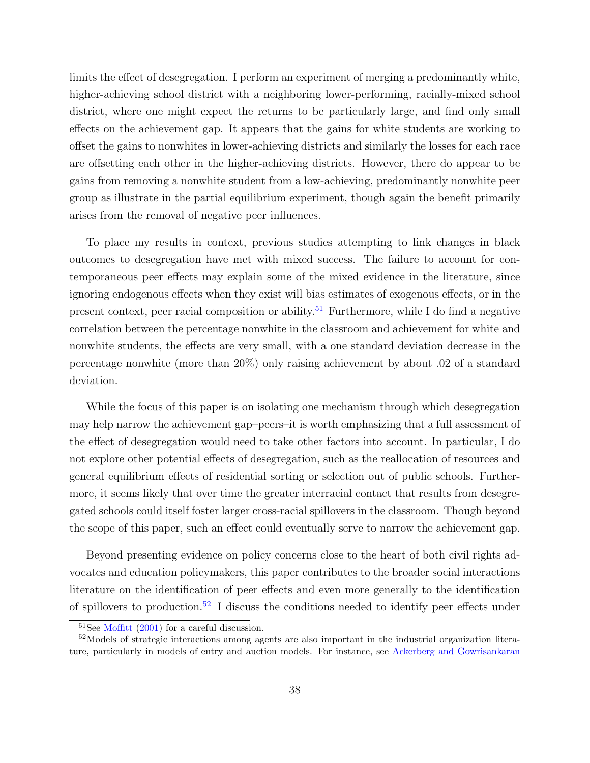limits the effect of desegregation. I perform an experiment of merging a predominantly white, higher-achieving school district with a neighboring lower-performing, racially-mixed school district, where one might expect the returns to be particularly large, and find only small effects on the achievement gap. It appears that the gains for white students are working to offset the gains to nonwhites in lower-achieving districts and similarly the losses for each race are offsetting each other in the higher-achieving districts. However, there do appear to be gains from removing a nonwhite student from a low-achieving, predominantly nonwhite peer group as illustrate in the partial equilibrium experiment, though again the benefit primarily arises from the removal of negative peer influences.

To place my results in context, previous studies attempting to link changes in black outcomes to desegregation have met with mixed success. The failure to account for contemporaneous peer effects may explain some of the mixed evidence in the literature, since ignoring endogenous effects when they exist will bias estimates of exogenous effects, or in the present context, peer racial composition or ability.<sup>[51](#page-38-0)</sup> Furthermore, while I do find a negative correlation between the percentage nonwhite in the classroom and achievement for white and nonwhite students, the effects are very small, with a one standard deviation decrease in the percentage nonwhite (more than 20%) only raising achievement by about .02 of a standard deviation.

While the focus of this paper is on isolating one mechanism through which desegregation may help narrow the achievement gap–peers–it is worth emphasizing that a full assessment of the effect of desegregation would need to take other factors into account. In particular, I do not explore other potential effects of desegregation, such as the reallocation of resources and general equilibrium effects of residential sorting or selection out of public schools. Furthermore, it seems likely that over time the greater interracial contact that results from desegregated schools could itself foster larger cross-racial spillovers in the classroom. Though beyond the scope of this paper, such an effect could eventually serve to narrow the achievement gap.

Beyond presenting evidence on policy concerns close to the heart of both civil rights advocates and education policymakers, this paper contributes to the broader social interactions literature on the identification of peer effects and even more generally to the identification of spillovers to production.<sup>[52](#page-38-1)</sup> I discuss the conditions needed to identify peer effects under

<span id="page-38-1"></span><span id="page-38-0"></span><sup>51</sup>See [Moffitt](#page-42-10) [\(2001\)](#page-42-10) for a careful discussion.

<sup>52</sup>Models of strategic interactions among agents are also important in the industrial organization literature, particularly in models of entry and auction models. For instance, see [Ackerberg and Gowrisankaran](#page-40-9)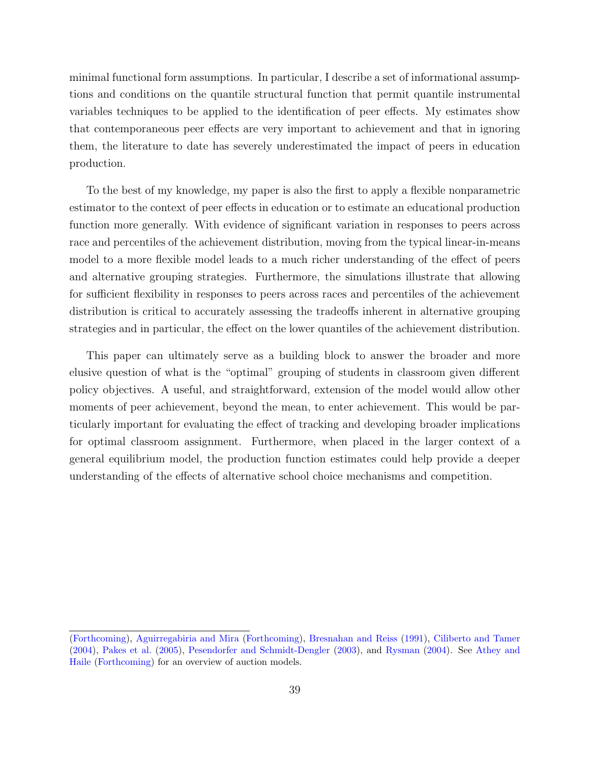minimal functional form assumptions. In particular, I describe a set of informational assumptions and conditions on the quantile structural function that permit quantile instrumental variables techniques to be applied to the identification of peer effects. My estimates show that contemporaneous peer effects are very important to achievement and that in ignoring them, the literature to date has severely underestimated the impact of peers in education production.

To the best of my knowledge, my paper is also the first to apply a flexible nonparametric estimator to the context of peer effects in education or to estimate an educational production function more generally. With evidence of significant variation in responses to peers across race and percentiles of the achievement distribution, moving from the typical linear-in-means model to a more flexible model leads to a much richer understanding of the effect of peers and alternative grouping strategies. Furthermore, the simulations illustrate that allowing for sufficient flexibility in responses to peers across races and percentiles of the achievement distribution is critical to accurately assessing the tradeoffs inherent in alternative grouping strategies and in particular, the effect on the lower quantiles of the achievement distribution.

This paper can ultimately serve as a building block to answer the broader and more elusive question of what is the "optimal" grouping of students in classroom given different policy objectives. A useful, and straightforward, extension of the model would allow other moments of peer achievement, beyond the mean, to enter achievement. This would be particularly important for evaluating the effect of tracking and developing broader implications for optimal classroom assignment. Furthermore, when placed in the larger context of a general equilibrium model, the production function estimates could help provide a deeper understanding of the effects of alternative school choice mechanisms and competition.

[<sup>\(</sup>Forthcoming\)](#page-40-9), [Aguirregabiria and Mira](#page-40-10) [\(Forthcoming\)](#page-40-10), [Bresnahan and Reiss](#page-40-11) [\(1991\)](#page-40-11), [Ciliberto and Tamer](#page-41-12) [\(2004\)](#page-41-12), [Pakes et al.](#page-42-11) [\(2005\)](#page-42-11), [Pesendorfer and Schmidt-Dengler](#page-42-12) [\(2003\)](#page-42-12), and [Rysman](#page-43-6) [\(2004\)](#page-43-6). See [Athey and](#page-40-12) [Haile](#page-40-12) [\(Forthcoming\)](#page-40-12) for an overview of auction models.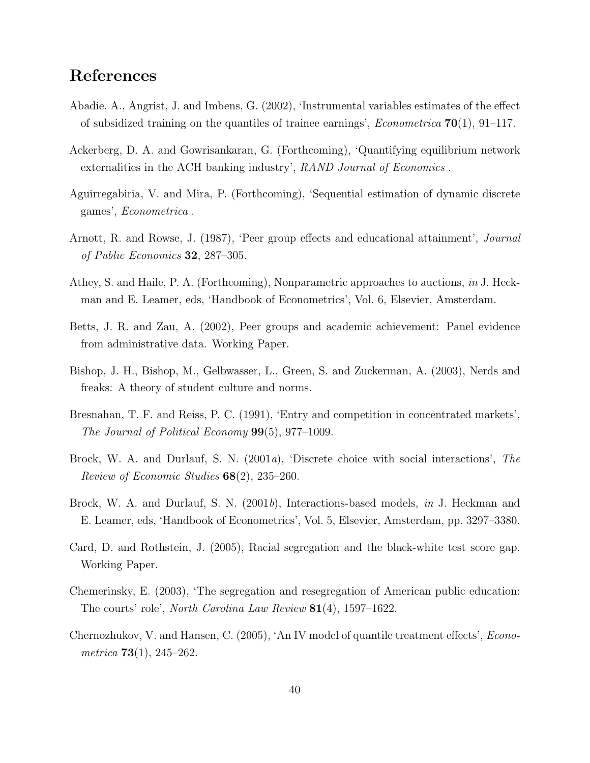## References

- <span id="page-40-2"></span>Abadie, A., Angrist, J. and Imbens, G. (2002), 'Instrumental variables estimates of the effect of subsidized training on the quantiles of trainee earnings', *Econometrica*  $70(1)$ , 91–117.
- <span id="page-40-9"></span>Ackerberg, D. A. and Gowrisankaran, G. (Forthcoming), 'Quantifying equilibrium network externalities in the ACH banking industry', RAND Journal of Economics.
- <span id="page-40-10"></span>Aguirregabiria, V. and Mira, P. (Forthcoming), 'Sequential estimation of dynamic discrete games', Econometrica .
- <span id="page-40-1"></span>Arnott, R. and Rowse, J. (1987), 'Peer group effects and educational attainment', Journal of Public Economics 32, 287–305.
- <span id="page-40-12"></span>Athey, S. and Haile, P. A. (Forthcoming), Nonparametric approaches to auctions, in J. Heckman and E. Leamer, eds, 'Handbook of Econometrics', Vol. 6, Elsevier, Amsterdam.
- <span id="page-40-7"></span>Betts, J. R. and Zau, A. (2002), Peer groups and academic achievement: Panel evidence from administrative data. Working Paper.
- <span id="page-40-4"></span>Bishop, J. H., Bishop, M., Gelbwasser, L., Green, S. and Zuckerman, A. (2003), Nerds and freaks: A theory of student culture and norms.
- <span id="page-40-11"></span>Bresnahan, T. F. and Reiss, P. C. (1991), 'Entry and competition in concentrated markets', The Journal of Political Economy 99(5), 977–1009.
- <span id="page-40-6"></span>Brock, W. A. and Durlauf, S. N. (2001a), 'Discrete choice with social interactions', The Review of Economic Studies 68(2), 235–260.
- <span id="page-40-5"></span>Brock, W. A. and Durlauf, S. N. (2001b), Interactions-based models, in J. Heckman and E. Leamer, eds, 'Handbook of Econometrics', Vol. 5, Elsevier, Amsterdam, pp. 3297–3380.
- <span id="page-40-0"></span>Card, D. and Rothstein, J. (2005), Racial segregation and the black-white test score gap. Working Paper.
- <span id="page-40-8"></span>Chemerinsky, E. (2003), 'The segregation and resegregation of American public education: The courts' role', North Carolina Law Review 81(4), 1597–1622.
- <span id="page-40-3"></span>Chernozhukov, V. and Hansen, C. (2005), 'An IV model of quantile treatment effects', Econometrica  $73(1)$ ,  $245-262$ .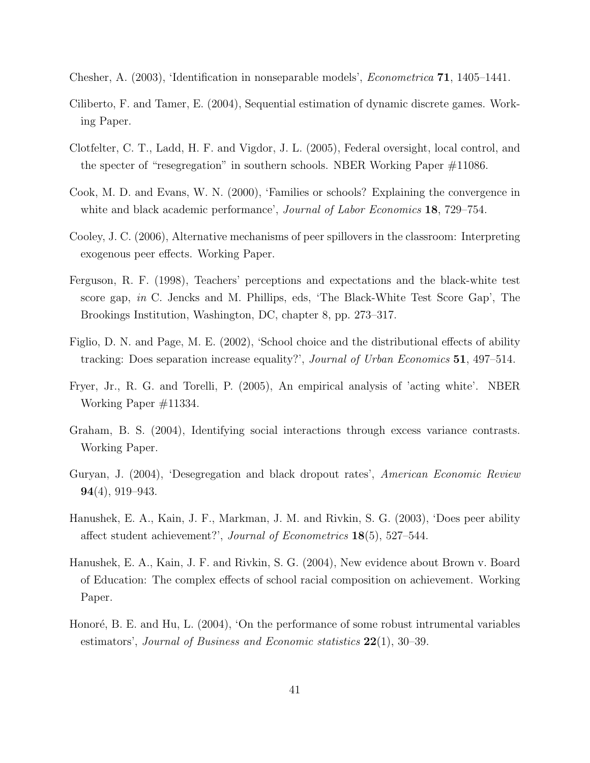- <span id="page-41-5"></span>Chesher, A. (2003), 'Identification in nonseparable models', Econometrica 71, 1405–1441.
- <span id="page-41-12"></span>Ciliberto, F. and Tamer, E. (2004), Sequential estimation of dynamic discrete games. Working Paper.
- <span id="page-41-11"></span>Clotfelter, C. T., Ladd, H. F. and Vigdor, J. L. (2005), Federal oversight, local control, and the specter of "resegregation" in southern schools. NBER Working Paper #11086.
- <span id="page-41-0"></span>Cook, M. D. and Evans, W. N. (2000), 'Families or schools? Explaining the convergence in white and black academic performance', *Journal of Labor Economics* **18**, 729–754.
- <span id="page-41-10"></span>Cooley, J. C. (2006), Alternative mechanisms of peer spillovers in the classroom: Interpreting exogenous peer effects. Working Paper.
- <span id="page-41-9"></span>Ferguson, R. F. (1998), Teachers' perceptions and expectations and the black-white test score gap, in C. Jencks and M. Phillips, eds, 'The Black-White Test Score Gap', The Brookings Institution, Washington, DC, chapter 8, pp. 273–317.
- <span id="page-41-7"></span>Figlio, D. N. and Page, M. E. (2002), 'School choice and the distributional effects of ability tracking: Does separation increase equality?', Journal of Urban Economics 51, 497–514.
- <span id="page-41-3"></span>Fryer, Jr., R. G. and Torelli, P. (2005), An empirical analysis of 'acting white'. NBER Working Paper #11334.
- <span id="page-41-8"></span>Graham, B. S. (2004), Identifying social interactions through excess variance contrasts. Working Paper.
- <span id="page-41-1"></span>Guryan, J. (2004), 'Desegregation and black dropout rates', American Economic Review 94(4), 919–943.
- <span id="page-41-4"></span>Hanushek, E. A., Kain, J. F., Markman, J. M. and Rivkin, S. G. (2003), 'Does peer ability affect student achievement?', Journal of Econometrics 18(5), 527–544.
- <span id="page-41-2"></span>Hanushek, E. A., Kain, J. F. and Rivkin, S. G. (2004), New evidence about Brown v. Board of Education: The complex effects of school racial composition on achievement. Working Paper.
- <span id="page-41-6"></span>Honoré, B. E. and Hu, L. (2004), 'On the performance of some robust intrumental variables estimators', Journal of Business and Economic statistics  $22(1)$ , 30–39.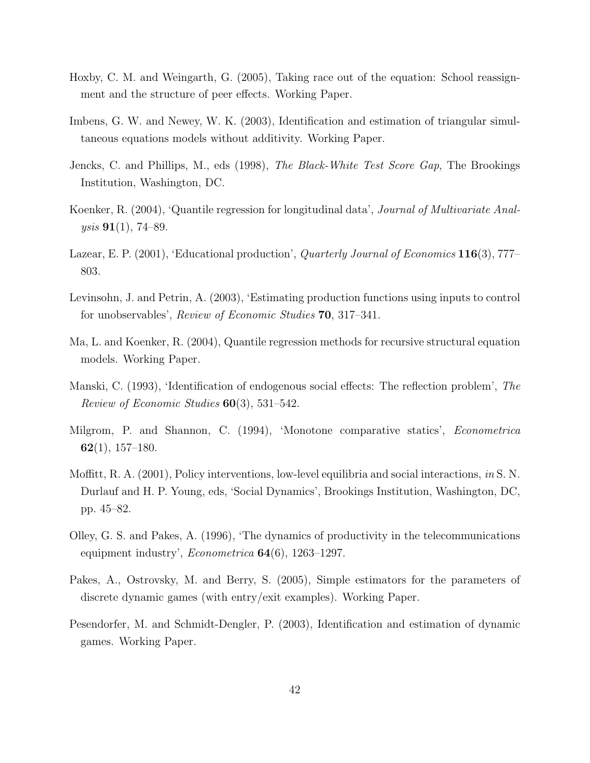- <span id="page-42-1"></span>Hoxby, C. M. and Weingarth, G. (2005), Taking race out of the equation: School reassignment and the structure of peer effects. Working Paper.
- <span id="page-42-3"></span>Imbens, G. W. and Newey, W. K. (2003), Identification and estimation of triangular simultaneous equations models without additivity. Working Paper.
- <span id="page-42-2"></span>Jencks, C. and Phillips, M., eds (1998), The Black-White Test Score Gap, The Brookings Institution, Washington, DC.
- <span id="page-42-9"></span>Koenker, R. (2004), 'Quantile regression for longitudinal data', Journal of Multivariate Anal $ysis$  91(1), 74–89.
- <span id="page-42-5"></span>Lazear, E. P. (2001), 'Educational production', *Quarterly Journal of Economics* 116(3), 777– 803.
- <span id="page-42-8"></span>Levinsohn, J. and Petrin, A. (2003), 'Estimating production functions using inputs to control for unobservables', Review of Economic Studies 70, 317–341.
- <span id="page-42-4"></span>Ma, L. and Koenker, R. (2004), Quantile regression methods for recursive structural equation models. Working Paper.
- <span id="page-42-0"></span>Manski, C. (1993), 'Identification of endogenous social effects: The reflection problem', The Review of Economic Studies 60(3), 531–542.
- <span id="page-42-6"></span>Milgrom, P. and Shannon, C. (1994), 'Monotone comparative statics', Econometrica  $62(1), 157-180.$
- <span id="page-42-10"></span>Moffitt, R. A. (2001), Policy interventions, low-level equilibria and social interactions, in S. N. Durlauf and H. P. Young, eds, 'Social Dynamics', Brookings Institution, Washington, DC, pp. 45–82.
- <span id="page-42-7"></span>Olley, G. S. and Pakes, A. (1996), 'The dynamics of productivity in the telecommunications equipment industry',  $Econometrica$  **64**(6), 1263–1297.
- <span id="page-42-11"></span>Pakes, A., Ostrovsky, M. and Berry, S. (2005), Simple estimators for the parameters of discrete dynamic games (with entry/exit examples). Working Paper.
- <span id="page-42-12"></span>Pesendorfer, M. and Schmidt-Dengler, P. (2003), Identification and estimation of dynamic games. Working Paper.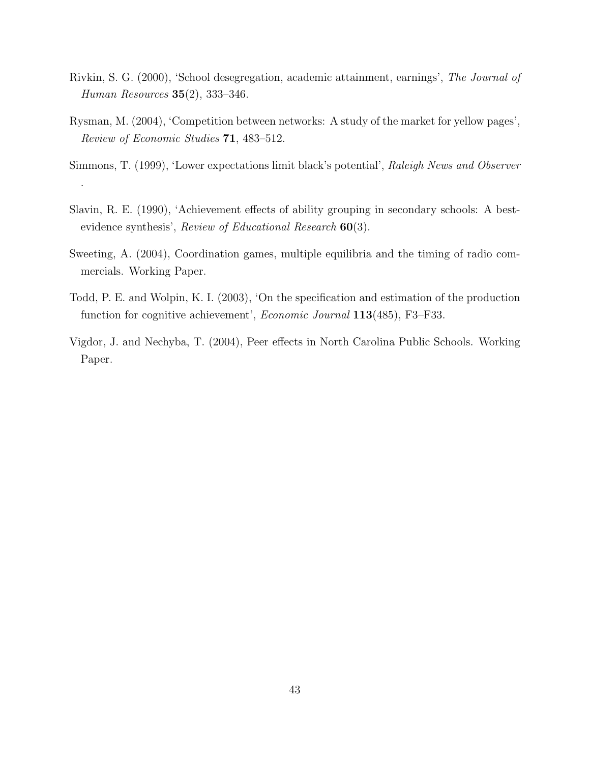- <span id="page-43-0"></span>Rivkin, S. G. (2000), 'School desegregation, academic attainment, earnings', The Journal of Human Resources 35(2), 333–346.
- <span id="page-43-6"></span>Rysman, M. (2004), 'Competition between networks: A study of the market for yellow pages', Review of Economic Studies 71, 483–512.
- <span id="page-43-1"></span>Simmons, T. (1999), 'Lower expectations limit black's potential', Raleigh News and Observer .
- <span id="page-43-2"></span>Slavin, R. E. (1990), 'Achievement effects of ability grouping in secondary schools: A bestevidence synthesis', Review of Educational Research  $60(3)$ .
- <span id="page-43-3"></span>Sweeting, A. (2004), Coordination games, multiple equilibria and the timing of radio commercials. Working Paper.
- <span id="page-43-5"></span>Todd, P. E. and Wolpin, K. I. (2003), 'On the specification and estimation of the production function for cognitive achievement', *Economic Journal* 113(485), F3–F33.
- <span id="page-43-4"></span>Vigdor, J. and Nechyba, T. (2004), Peer effects in North Carolina Public Schools. Working Paper.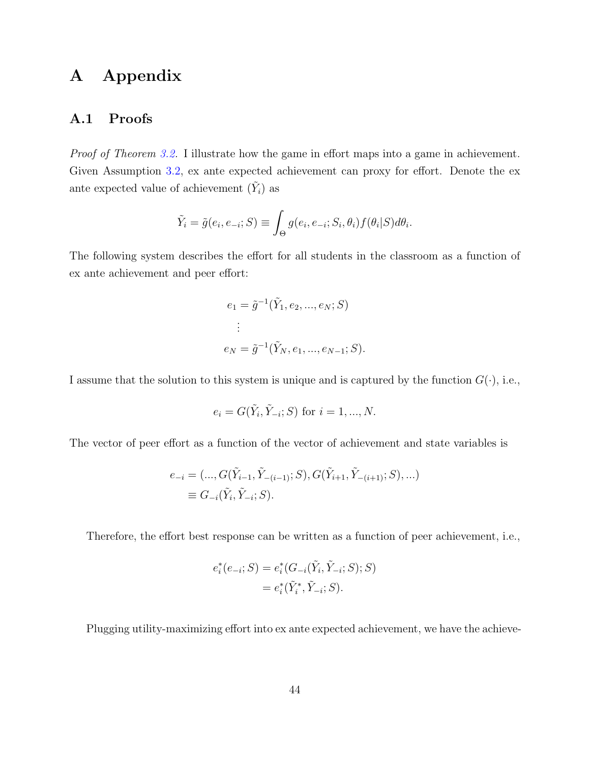# A Appendix

#### <span id="page-44-0"></span>A.1 Proofs

Proof of Theorem [3.2.](#page-11-3) I illustrate how the game in effort maps into a game in achievement. Given Assumption [3.2,](#page-10-2) ex ante expected achievement can proxy for effort. Denote the ex ante expected value of achievement  $(\tilde{Y}_i)$  as

$$
\tilde{Y}_i = \tilde{g}(e_i, e_{-i}; S) \equiv \int_{\Theta} g(e_i, e_{-i}; S_i, \theta_i) f(\theta_i|S) d\theta_i.
$$

The following system describes the effort for all students in the classroom as a function of ex ante achievement and peer effort:

$$
e_1 = \tilde{g}^{-1}(\tilde{Y}_1, e_2, ..., e_N; S)
$$
  
:  

$$
e_N = \tilde{g}^{-1}(\tilde{Y}_N, e_1, ..., e_{N-1}; S).
$$

I assume that the solution to this system is unique and is captured by the function  $G(\cdot)$ , i.e.,

$$
e_i = G(\tilde{Y}_i, \tilde{Y}_{-i}; S)
$$
 for  $i = 1, ..., N$ .

The vector of peer effort as a function of the vector of achievement and state variables is

$$
e_{-i} = (..., G(\tilde{Y}_{i-1}, \tilde{Y}_{-(i-1)}; S), G(\tilde{Y}_{i+1}, \tilde{Y}_{-(i+1)}; S), ...)
$$
  

$$
\equiv G_{-i}(\tilde{Y}_i, \tilde{Y}_{-i}; S).
$$

Therefore, the effort best response can be written as a function of peer achievement, i.e.,

$$
e_i^*(e_{-i}; S) = e_i^*(G_{-i}(\tilde{Y}_i, \tilde{Y}_{-i}; S); S)
$$
  
= 
$$
e_i^*(\tilde{Y}_i^*, \tilde{Y}_{-i}; S).
$$

Plugging utility-maximizing effort into ex ante expected achievement, we have the achieve-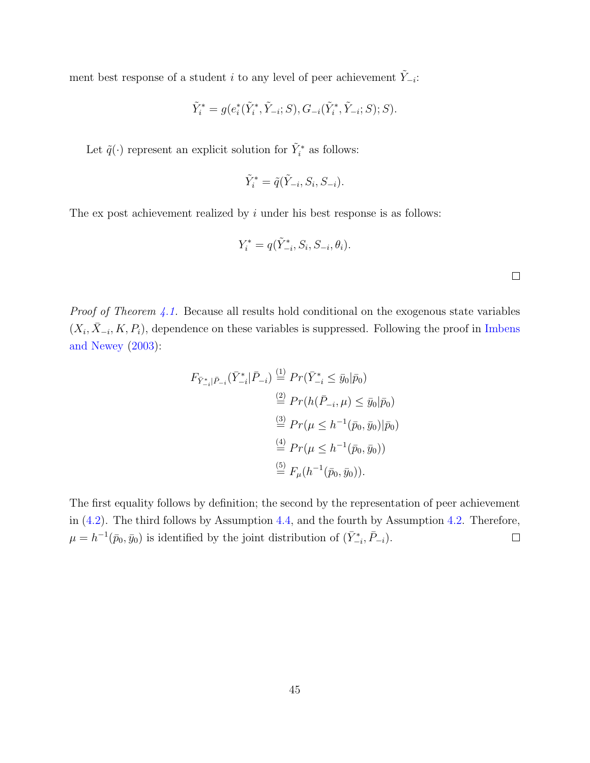ment best response of a student i to any level of peer achievement  $\tilde{Y}_{-i}$ :

$$
\tilde{Y}_i^* = g(e_i^*(\tilde{Y}_i^*, \tilde{Y}_{-i}; S), G_{-i}(\tilde{Y}_i^*, \tilde{Y}_{-i}; S); S).
$$

Let  $\tilde{q}(\cdot)$  represent an explicit solution for  $\tilde{Y}_i^*$  as follows:

$$
\tilde{Y}_i^* = \tilde{q}(\tilde{Y}_{-i}, S_i, S_{-i}).
$$

The ex post achievement realized by  $i$  under his best response is as follows:

$$
Y_i^* = q(\tilde{Y}_{-i}^*, S_i, S_{-i}, \theta_i).
$$

*Proof of Theorem [4.1.](#page-17-1)* Because all results hold conditional on the exogenous state variables  $(X_i, \bar{X}_{-i}, K, P_i)$ , dependence on these variables is suppressed. Following the proof in [Imbens](#page-42-3) [and Newey](#page-42-3) [\(2003\)](#page-42-3):

$$
F_{\bar{Y}_{-i}^*|\bar{P}_{-i}}(\bar{Y}_{-i}^*|\bar{P}_{-i}) \stackrel{(1)}{=} Pr(\bar{Y}_{-i}^* \le \bar{y}_0|\bar{p}_0)
$$
  
\n
$$
\stackrel{(2)}{=} Pr(h(\bar{P}_{-i}, \mu) \le \bar{y}_0|\bar{p}_0)
$$
  
\n
$$
\stackrel{(3)}{=} Pr(\mu \le h^{-1}(\bar{p}_0, \bar{y}_0)|\bar{p}_0)
$$
  
\n
$$
\stackrel{(4)}{=} Pr(\mu \le h^{-1}(\bar{p}_0, \bar{y}_0))
$$
  
\n
$$
\stackrel{(5)}{=} F_{\mu}(h^{-1}(\bar{p}_0, \bar{y}_0)).
$$

The first equality follows by definition; the second by the representation of peer achievement in [\(4.2\)](#page-16-0). The third follows by Assumption [4.4,](#page-14-3) and the fourth by Assumption [4.2.](#page-14-1) Therefore,  $\mu = h^{-1}(\bar{p}_0, \bar{y}_0)$  is identified by the joint distribution of  $(\bar{Y}_{-i}^*, \bar{P}_{-i})$ .  $\Box$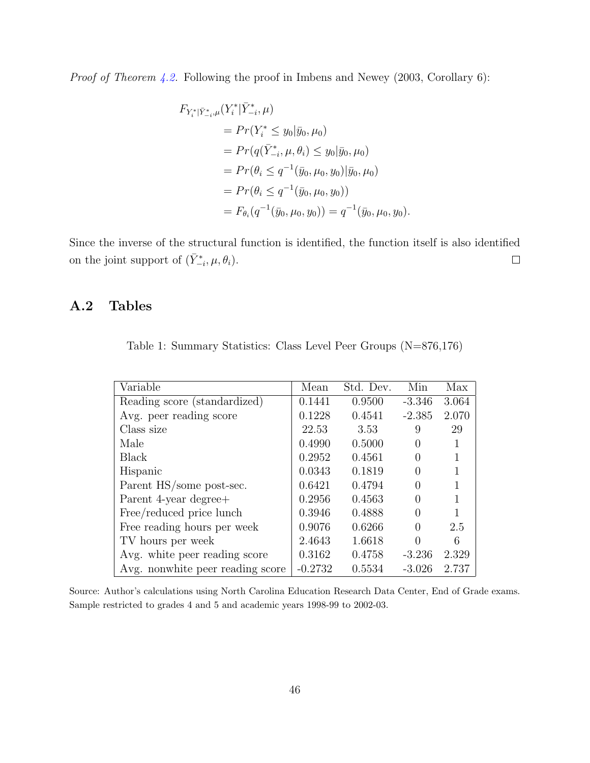Proof of Theorem [4.2.](#page-17-2) Following the proof in Imbens and Newey (2003, Corollary 6):

$$
F_{Y_i^*|\bar{Y}_{-i}^*,\mu}(Y_i^*|\bar{Y}_{-i}^*,\mu)
$$
  
=  $Pr(Y_i^* \le y_0|\bar{y}_0,\mu_0)$   
=  $Pr(q(\bar{Y}_{-i}^*,\mu,\theta_i) \le y_0|\bar{y}_0,\mu_0)$   
=  $Pr(\theta_i \le q^{-1}(\bar{y}_0,\mu_0,y_0)|\bar{y}_0,\mu_0)$   
=  $Pr(\theta_i \le q^{-1}(\bar{y}_0,\mu_0,y_0))$   
=  $F_{\theta_i}(q^{-1}(\bar{y}_0,\mu_0,y_0)) = q^{-1}(\bar{y}_0,\mu_0,y_0).$ 

Since the inverse of the structural function is identified, the function itself is also identified on the joint support of  $(\bar{Y}_{-i}^*, \mu, \theta_i)$ .  $\Box$ 

### A.2 Tables

<span id="page-46-0"></span>

|  | Table 1: Summary Statistics: Class Level Peer Groups $(N=876,176)$ |  |  |
|--|--------------------------------------------------------------------|--|--|
|  |                                                                    |  |  |

| Variable                         | Mean      | Std. Dev. | Min              | Max   |
|----------------------------------|-----------|-----------|------------------|-------|
| Reading score (standardized)     | 0.1441    | 0.9500    | $-3.346$         | 3.064 |
| Avg. peer reading score          | 0.1228    | 0.4541    | $-2.385$         | 2.070 |
| Class size                       | 22.53     | 3.53      | 9                | 29    |
| Male                             | 0.4990    | 0.5000    | $\left( \right)$ |       |
| Black                            | 0.2952    | 0.4561    | $\mathcal{O}$    |       |
| Hispanic                         | 0.0343    | 0.1819    |                  |       |
| Parent HS/some post-sec.         | 0.6421    | 0.4794    | $\mathcal{O}$    |       |
| Parent 4-year degree+            | 0.2956    | 0.4563    |                  |       |
| Free/reduced price lunch         | 0.3946    | 0.4888    |                  |       |
| Free reading hours per week      | 0.9076    | 0.6266    | $\Omega$         | 2.5   |
| TV hours per week                | 2.4643    | 1.6618    |                  | 6     |
| Avg. white peer reading score    | 0.3162    | 0.4758    | $-3.236$         | 2.329 |
| Avg. nonwhite peer reading score | $-0.2732$ | 0.5534    | $-3.026$         | 2.737 |

Source: Author's calculations using North Carolina Education Research Data Center, End of Grade exams. Sample restricted to grades 4 and 5 and academic years 1998-99 to 2002-03.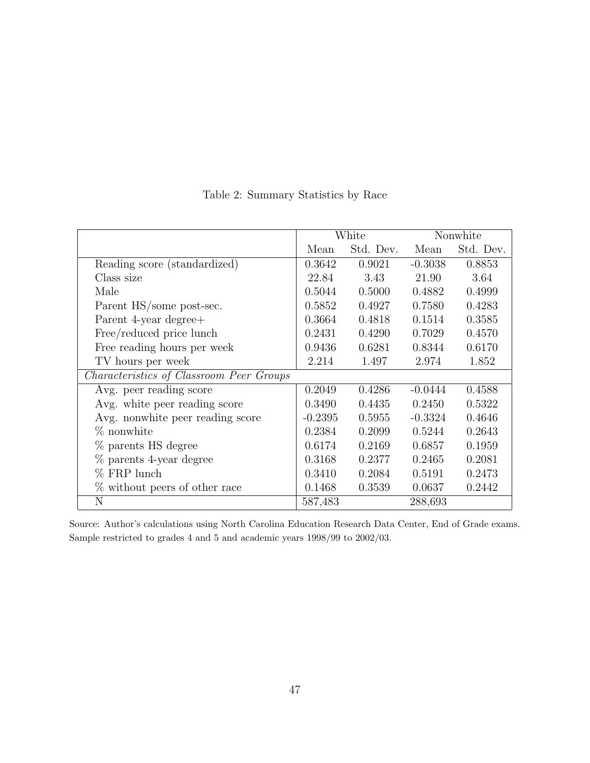|                                          | White     |           |           | Nonwhite  |
|------------------------------------------|-----------|-----------|-----------|-----------|
|                                          | Mean      | Std. Dev. | Mean      | Std. Dev. |
| Reading score (standardized)             | 0.3642    | 0.9021    | $-0.3038$ | 0.8853    |
| Class size                               | 22.84     | 3.43      | 21.90     | 3.64      |
| Male                                     | 0.5044    | 0.5000    | 0.4882    | 0.4999    |
| Parent HS/some post-sec.                 | 0.5852    | 0.4927    | 0.7580    | 0.4283    |
| Parent 4-year degree+                    | 0.3664    | 0.4818    | 0.1514    | 0.3585    |
| Free/reduced price lunch                 | 0.2431    | 0.4290    | 0.7029    | 0.4570    |
| Free reading hours per week              | 0.9436    | 0.6281    | 0.8344    | 0.6170    |
| TV hours per week                        | 2.214     | 1.497     | 2.974     | 1.852     |
| Characteristics of Classroom Peer Groups |           |           |           |           |
| Avg. peer reading score                  | 0.2049    | 0.4286    | $-0.0444$ | 0.4588    |
| Avg. white peer reading score            | 0.3490    | 0.4435    | 0.2450    | 0.5322    |
| Avg. nonwhite peer reading score         | $-0.2395$ | 0.5955    | $-0.3324$ | 0.4646    |
| $%$ nonwhite                             | 0.2384    | 0.2099    | 0.5244    | 0.2643    |
| % parents HS degree                      | 0.6174    | 0.2169    | 0.6857    | 0.1959    |
| % parents 4-year degree                  | 0.3168    | 0.2377    | 0.2465    | 0.2081    |
| $%$ FRP lunch                            | 0.3410    | 0.2084    | 0.5191    | 0.2473    |
| % without peers of other race            | 0.1468    | 0.3539    | 0.0637    | 0.2442    |
| N                                        | 587,483   |           | 288,693   |           |

<span id="page-47-0"></span>Table 2: Summary Statistics by Race

Source: Author's calculations using North Carolina Education Research Data Center, End of Grade exams. Sample restricted to grades 4 and 5 and academic years 1998/99 to 2002/03.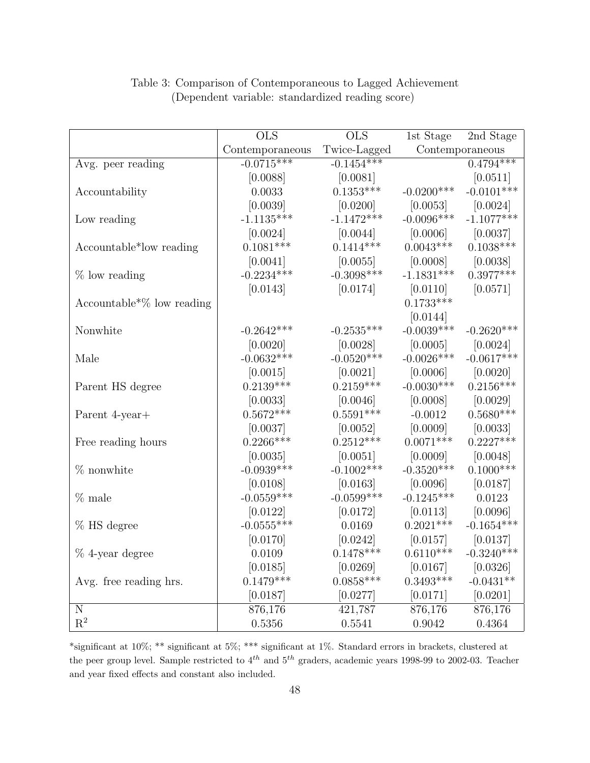|                                           | <b>OLS</b>      | <b>OLS</b>              | 1st Stage    | 2nd Stage       |
|-------------------------------------------|-----------------|-------------------------|--------------|-----------------|
|                                           | Contemporaneous | Twice-Lagged            |              | Contemporaneous |
| Avg. peer reading                         | $-0.0715***$    | $-0.1454***$            |              | $0.4794***$     |
|                                           | [0.0088]        | [0.0081]                |              | [0.0511]        |
| Accountability                            | 0.0033          | $0.1353***$             | $-0.0200***$ | $-0.0101***$    |
|                                           | [0.0039]        | [0.0200]                | [0.0053]     | [0.0024]        |
| Low reading                               | $-1.1135***$    | $-1.1472***$            | $-0.0096***$ | $-1.1077***$    |
|                                           | [0.0024]        | [0.0044]                | [0.0006]     | [0.0037]        |
| Accountable*low reading                   | $0.1081***$     | $0.1414***$             | $0.0043***$  | $0.1038***$     |
|                                           | [0.0041]        | [0.0055]                | [0.0008]     | [0.0038]        |
| $%$ low reading                           | $-0.2234***$    | $-0.3098***$            | $-1.1831***$ | $0.3977***$     |
|                                           | [0.0143]        | [0.0174]                | [0.0110]     | [0.0571]        |
| Accountable <sup>*</sup> $\%$ low reading |                 |                         | $0.1733***$  |                 |
|                                           |                 |                         | [0.0144]     |                 |
| Nonwhite                                  | $-0.2642***$    | $-0.2535***$            | $-0.0039***$ | $-0.2620***$    |
|                                           | [0.0020]        | [0.0028]                | [0.0005]     | [0.0024]        |
| Male                                      | $-0.0632***$    | $-0.0520***$            | $-0.0026***$ | $-0.0617***$    |
|                                           | [0.0015]        | [0.0021]                | [0.0006]     | [0.0020]        |
| Parent HS degree                          | $0.2139***$     | $0.2159***$             | $-0.0030***$ | $0.2156***$     |
|                                           | [0.0033]        | [0.0046]                | [0.0008]     | [0.0029]        |
| Parent 4-year+                            | $0.5672***$     | $0.5591^{\ast\ast\ast}$ | $-0.0012$    | $0.5680***$     |
|                                           | [0.0037]        | [0.0052]                | [0.0009]     | [0.0033]        |
| Free reading hours                        | $0.2266***$     | $0.2512***$             | $0.0071***$  | $0.2227***$     |
|                                           | [0.0035]        | [0.0051]                | [0.0009]     | [0.0048]        |
| $%$ nonwhite                              | $-0.0939***$    | $-0.1002$ ***           | $-0.3520***$ | $0.1000***$     |
|                                           | [0.0108]        | [0.0163]                | [0.0096]     | [0.0187]        |
| % male                                    | $-0.0559***$    | $-0.0599***$            | $-0.1245***$ | 0.0123          |
|                                           | [0.0122]        | [0.0172]                | [0.0113]     | [0.0096]        |
| % HS degree                               | $-0.0555***$    | 0.0169                  | $0.2021***$  | $-0.1654***$    |
|                                           | [0.0170]        | [0.0242]                | [0.0157]     | [0.0137]        |
| $\%$ 4-year degree                        | 0.0109          | $0.1478***$             | $0.6110***$  | $-0.3240***$    |
|                                           | [0.0185]        | [0.0269]                | [0.0167]     | [0.0326]        |
| Avg. free reading hrs.                    | $0.1479***$     | $0.0858***$             | $0.3493***$  | $-0.0431**$     |
|                                           | [0.0187]        | [0.0277]                | [0.0171]     | [0.0201]        |
| ${\bf N}$                                 | 876,176         | 421,787                 | 876,176      | 876,176         |
| $\mathbf{R}^2$                            | 0.5356          | 0.5541                  | 0.9042       | 0.4364          |

### <span id="page-48-0"></span>Table 3: Comparison of Contemporaneous to Lagged Achievement (Dependent variable: standardized reading score)

\*significant at 10%; \*\* significant at 5%; \*\*\* significant at 1%. Standard errors in brackets, clustered at the peer group level. Sample restricted to  $4^{th}$  and  $5^{th}$  graders, academic years 1998-99 to 2002-03. Teacher and year fixed effects and constant also included.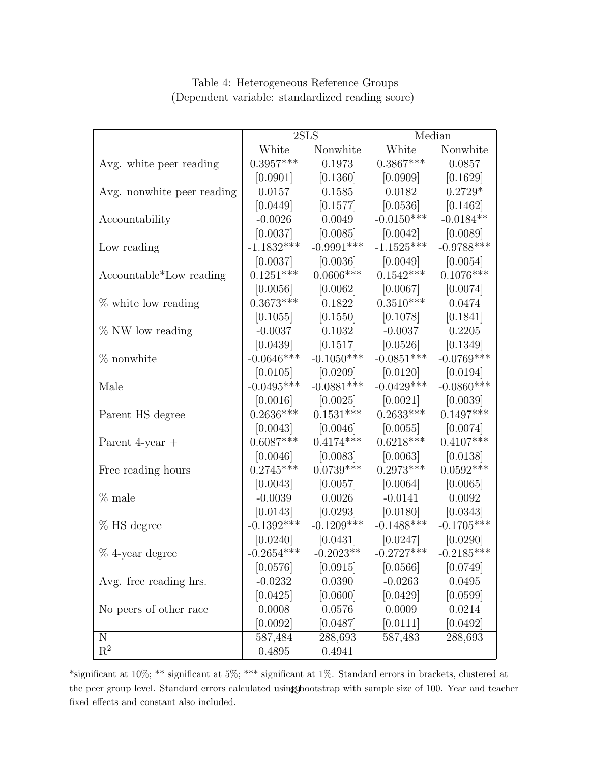|                            | 2SLS                    |                                                                        | Median                           |              |
|----------------------------|-------------------------|------------------------------------------------------------------------|----------------------------------|--------------|
|                            | Nonwhite White<br>White |                                                                        |                                  | Nonwhite     |
| Avg. white peer reading    | $0.3957***$             | 0.1973                                                                 | $0.3867***$                      | 0.0857       |
|                            | $[0.0901]$              |                                                                        | $[0.1360]$ $[0.0909]$ $[0.1629]$ |              |
| Avg. nonwhite peer reading |                         | $0.0157 \qquad \quad 0.1585 \qquad \quad 0.0182 \qquad \quad 0.2729^*$ |                                  |              |
|                            | [0.0449]                |                                                                        | $[0.1577]$ $[0.0536]$ $[0.1462]$ |              |
| Accountability             | $-0.0026$               | 0.0049                                                                 | $-0.0150***$ $-0.0184**$         |              |
|                            | [0.0037]                |                                                                        | $[0.0085]$ $[0.0042]$ $[0.0089]$ |              |
| Low reading                | $-1.1832***$            | $-0.9991***$                                                           | $-1.1525***$                     | $-0.9788***$ |
|                            | [0.0037]                |                                                                        | $[0.0036]$ $[0.0049]$ $[0.0054]$ |              |
| Accountable*Low reading    | $0.1251***$             | $0.0606***$                                                            | $0.1542***$                      | $0.1076***$  |
|                            | [0.0056]                |                                                                        | $[0.0062]$ $[0.0067]$ $[0.0074]$ |              |
| $%$ white low reading      | $0.3673***$             | 0.1822                                                                 | $0.3510***$                      | 0.0474       |
|                            | [0.1055]                |                                                                        | $[0.1550]$ $[0.1078]$ $[0.1841]$ |              |
| $%$ NW low reading         |                         | $-0.0037$ $0.1032$ $-0.0037$ $0.2205$                                  |                                  |              |
|                            |                         | $[0.0439]$ $[0.1517]$ $[0.0526]$ $[0.1349]$                            |                                  |              |
| $%$ nonwhite               | $-0.0646***$            | $-0.1050***$                                                           | $-0.0851***$                     | $-0.0769***$ |
|                            |                         | $[0.0105]$ $[0.0209]$ $[0.0120]$ $[0.0194]$                            |                                  |              |
| Male                       |                         | $-0.0495***$ $-0.0881***$                                              | $-0.0429***$                     | $-0.0860***$ |
|                            |                         | $[0.0016]$ $[0.0025]$ $[0.0021]$ $[0.0039]$                            |                                  |              |
| Parent HS degree           | $0.2636***$             | $0.1531***$                                                            | $0.2633***$                      | $0.1497***$  |
|                            |                         | $[0.0043]$ $[0.0046]$ $[0.0055]$ $[0.0074]$                            |                                  |              |
| Parent 4-year $+$          | $0.6087***$             | $0.4174***$                                                            | $0.6218***$                      | $0.4107***$  |
|                            |                         | $[0.0046]$ $[0.0083]$ $[0.0063]$ $[0.0138]$                            |                                  |              |
| Free reading hours         | $0.2745***$             | $0.0739***$                                                            | $0.2973***$                      | $0.0592***$  |
|                            |                         | $[0.0043]$ $[0.0057]$ $[0.0064]$ $[0.0065]$                            |                                  |              |
| $%$ male                   |                         | $-0.0039$ 0.0026                                                       | $-0.0141$                        | $0.0092\,$   |
|                            |                         | $[0.0143] \qquad [0.0293] \qquad [0.0180] \qquad [0.0343]$             |                                  |              |
| % HS degree                |                         | $-0.1392***$ $-0.1209***$ $-0.1488***$                                 |                                  | $-0.1705***$ |
|                            |                         | $[0.0240]$ $[0.0431]$ $[0.0247]$ $[0.0290]$                            |                                  |              |
| % 4-year degree            | $-0.2654***$            | $-0.2023**$                                                            | $-0.2727***$                     | $-0.2185***$ |
|                            | [0.0576]                | [0.0915]                                                               | [0.0566]                         | [0.0749]     |
| Avg. free reading hrs.     | $-0.0232$               | 0.0390                                                                 | $-0.0263$                        | 0.0495       |
|                            | [0.0425]                | [0.0600]                                                               | [0.0429]                         | [0.0599]     |
| No peers of other race     | 0.0008                  | 0.0576                                                                 | 0.0009                           | 0.0214       |
|                            | [0.0092]                | [0.0487]                                                               | [0.0111]                         | [0.0492]     |
| $\mathbf N$                | 587,484                 | 288,693                                                                | 587,483                          | 288,693      |
| $\mathbf{R}^2$             | 0.4895                  | 0.4941                                                                 |                                  |              |

#### <span id="page-49-0"></span>Table 4: Heterogeneous Reference Groups (Dependent variable: standardized reading score)

\*significant at 10%; \*\* significant at 5%; \*\*\* significant at 1%. Standard errors in brackets, clustered at the peer group level. Standard errors calculated using Obootstrap with sample size of 100. Year and teacher fixed effects and constant also included.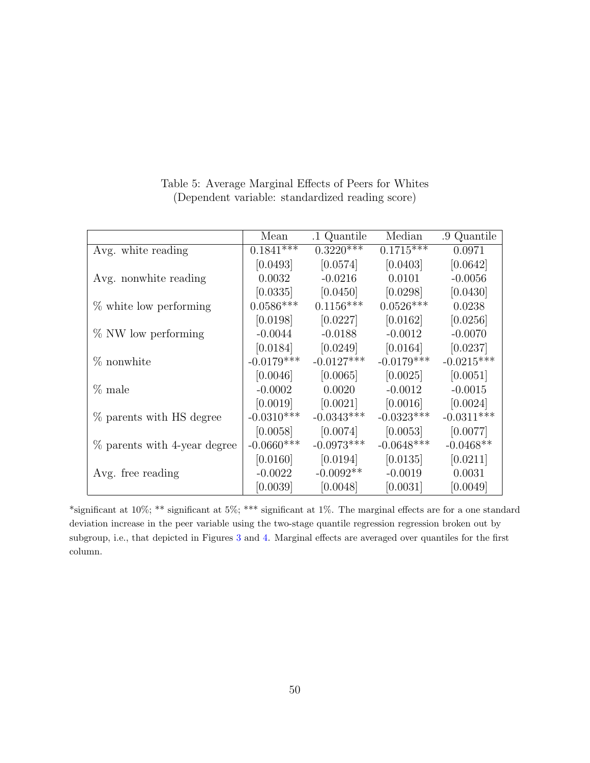|                              | Mean          | .1 Quantile  | Median       | .9 Quantile  |
|------------------------------|---------------|--------------|--------------|--------------|
| Avg. white reading           | $0.1841***$   | $0.3220***$  | $0.1715***$  | 0.0971       |
|                              | [0.0493]      | [0.0574]     | [0.0403]     | [0.0642]     |
| Avg. nonwhite reading        | 0.0032        | $-0.0216$    | 0.0101       | $-0.0056$    |
|                              | [0.0335]      | $[0.0450]$   | [0.0298]     | [0.0430]     |
| $\%$ white low performing    | $0.0586***$   | $0.1156***$  | $0.0526***$  | 0.0238       |
|                              | [0.0198]      | [0.0227]     | [0.0162]     | [0.0256]     |
| % NW low performing          | $-0.0044$     | $-0.0188$    | $-0.0012$    | $-0.0070$    |
|                              | [0.0184]      | [0.0249]     | [0.0164]     | [0.0237]     |
| $%$ nonwhite                 | $-0.0179***$  | $-0.0127***$ | $-0.0179***$ | $-0.0215***$ |
|                              | [0.0046]      | [0.0065]     | [0.0025]     | [0.0051]     |
| $\%$ male                    | $-0.0002$     | 0.0020       | $-0.0012$    | $-0.0015$    |
|                              | [0.0019]      | [0.0021]     | [0.0016]     | [0.0024]     |
| % parents with HS degree     | $-0.0310***$  | $-0.0343***$ | $-0.0323***$ | $-0.0311***$ |
|                              | [0.0058]      | [0.0074]     | [0.0053]     | [0.0077]     |
| % parents with 4-year degree | $-0.0660$ *** | $-0.0973***$ | $-0.0648***$ | $-0.0468**$  |
|                              | [0.0160]      | [0.0194]     | [0.0135]     | [0.0211]     |
| Avg. free reading            | $-0.0022$     | $-0.0092**$  | $-0.0019$    | 0.0031       |
|                              | [0.0039]      | [0.0048]     | [0.0031]     | [0.0049]     |

<span id="page-50-0"></span>Table 5: Average Marginal Effects of Peers for Whites (Dependent variable: standardized reading score)

\*significant at 10%; \*\* significant at 5%; \*\*\* significant at 1%. The marginal effects are for a one standard deviation increase in the peer variable using the two-stage quantile regression regression broken out by subgroup, i.e., that depicted in Figures [3](#page-56-0) and [4.](#page-56-1) Marginal effects are averaged over quantiles for the first column.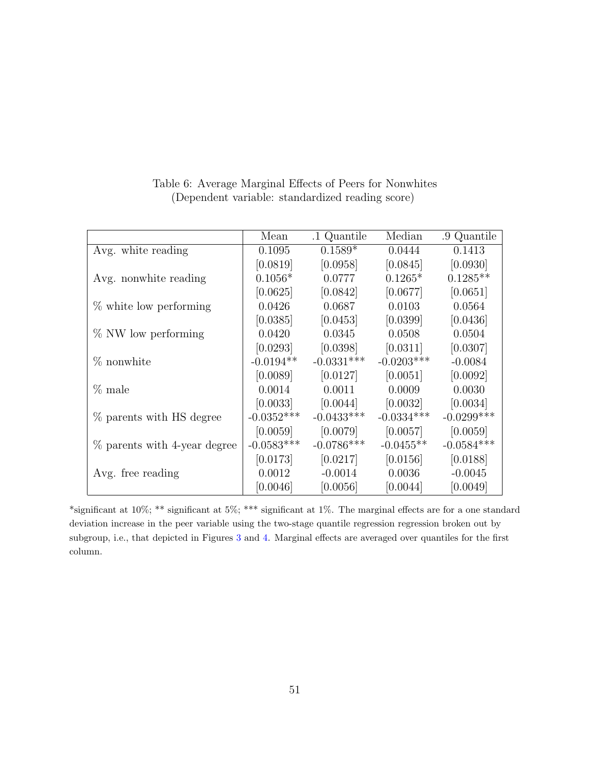|                              | Mean         | .1 Quantile  | Median       | .9 Quantile   |
|------------------------------|--------------|--------------|--------------|---------------|
| Avg. white reading           | 0.1095       | $0.1589*$    | 0.0444       | 0.1413        |
|                              | [0.0819]     | [0.0958]     | [0.0845]     | [0.0930]      |
| Avg. nonwhite reading        | $0.1056*$    | 0.0777       | $0.1265*$    | $0.1285**$    |
|                              | [0.0625]     | [0.0842]     | [0.0677]     | [0.0651]      |
| $\%$ white low performing    | 0.0426       | 0.0687       | 0.0103       | 0.0564        |
|                              | [0.0385]     | [0.0453]     | [0.0399]     | [0.0436]      |
| % NW low performing          | 0.0420       | 0.0345       | 0.0508       | 0.0504        |
|                              | [0.0293]     | [0.0398]     | [0.0311]     | [0.0307]      |
| % nonwhite                   | $-0.0194**$  | $-0.0331***$ | $-0.0203***$ | $-0.0084$     |
|                              | [0.0089]     | [0.0127]     | [0.0051]     | [0.0092]      |
| $\%$ male                    | 0.0014       | 0.0011       | 0.0009       | 0.0030        |
|                              | [0.0033]     | [0.0044]     | $[0.0032]$   | [0.0034]      |
| % parents with HS degree     | $-0.0352***$ | $-0.0433***$ | $-0.0334***$ | $-0.0299$ *** |
|                              | [0.0059]     | [0.0079]     | [0.0057]     | [0.0059]      |
| % parents with 4-year degree | $-0.0583***$ | $-0.0786***$ | $-0.0455**$  | $-0.0584***$  |
|                              | [0.0173]     | [0.0217]     | [0.0156]     | [0.0188]      |
| Avg. free reading            | 0.0012       | $-0.0014$    | 0.0036       | $-0.0045$     |
|                              | [0.0046]     | [0.0056]     | [0.0044]     | [0.0049]      |

<span id="page-51-0"></span>Table 6: Average Marginal Effects of Peers for Nonwhites (Dependent variable: standardized reading score)

\*significant at 10%; \*\* significant at 5%; \*\*\* significant at 1%. The marginal effects are for a one standard deviation increase in the peer variable using the two-stage quantile regression regression broken out by subgroup, i.e., that depicted in Figures [3](#page-56-0) and [4.](#page-56-1) Marginal effects are averaged over quantiles for the first column.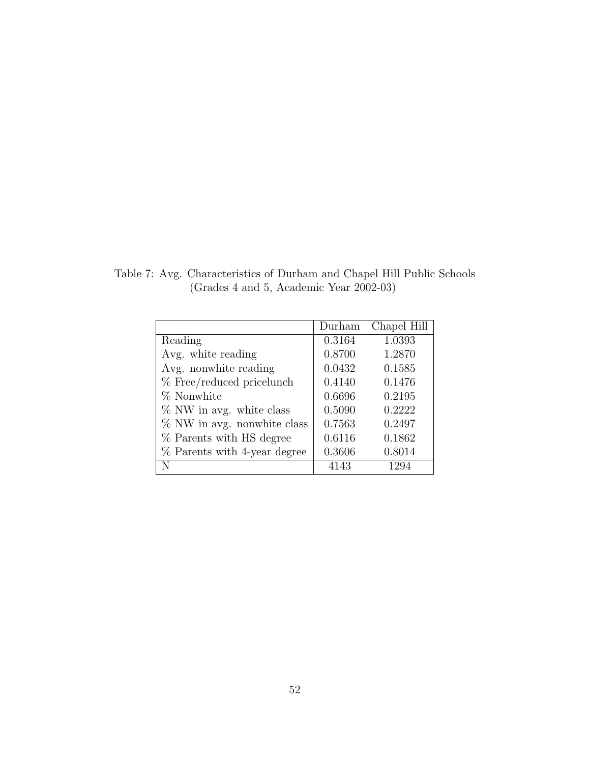<span id="page-52-0"></span>Table 7: Avg. Characteristics of Durham and Chapel Hill Public Schools (Grades 4 and 5, Academic Year 2002-03)

|                                | Durham | Chapel Hill |
|--------------------------------|--------|-------------|
| Reading                        | 0.3164 | 1.0393      |
| Avg. white reading             | 0.8700 | 1.2870      |
| Avg. nonwhite reading          | 0.0432 | 0.1585      |
| % Free/reduced pricelunch      | 0.4140 | 0.1476      |
| % Nonwhite                     | 0.6696 | 0.2195      |
| % NW in avg. white class       | 0.5090 | 0.2222      |
| $\%$ NW in avg. nonwhite class | 0.7563 | 0.2497      |
| % Parents with HS degree       | 0.6116 | 0.1862      |
| % Parents with 4-year degree   | 0.3606 | 0.8014      |
| N                              | 4143   | 1294        |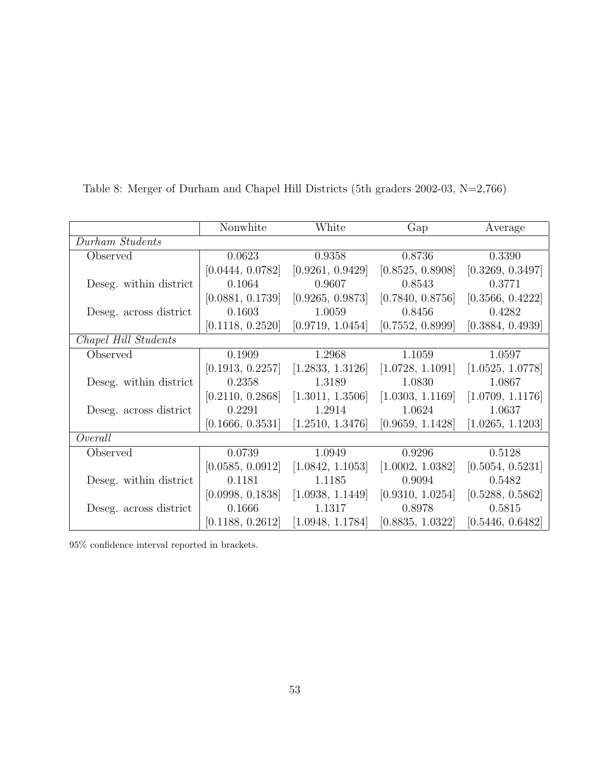|                         | Nonwhite         | White                                                                       | Gap              | Average          |
|-------------------------|------------------|-----------------------------------------------------------------------------|------------------|------------------|
| Durham Students         |                  |                                                                             |                  |                  |
| Observed                | 0.0623           | 0.9358                                                                      | 0.8736           | 0.3390           |
|                         | [0.0444, 0.0782] | [0.9261, 0.9429]                                                            | [0.8525, 0.8908] | [0.3269, 0.3497] |
| Deseg. within district. | 0.1064           | 0.9607                                                                      | 0.8543           | 0.3771           |
|                         | [0.0881, 0.1739] | [0.9265, 0.9873]                                                            | [0.7840, 0.8756] | [0.3566, 0.4222] |
| Deseg. across district  | 0.1603           | 1.0059                                                                      | 0.8456           | 0.4282           |
|                         | [0.1118, 0.2520] | [0.9719, 1.0454]                                                            | [0.7552, 0.8999] | [0.3884, 0.4939] |
| Chapel Hill Students    |                  |                                                                             |                  |                  |
| Observed                | 0.1909           | 1.2968                                                                      | 1.1059           | 1.0597           |
|                         | [0.1913, 0.2257] | [1.2833, 1.3126]                                                            | [1.0728, 1.1091] | [1.0525, 1.0778] |
| Deseg. within district. | 0.2358           | 1.3189                                                                      | 1.0830           | 1.0867           |
|                         |                  | $[0.2110, 0.2868]$ $[1.3011, 1.3506]$ $[1.0303, 1.1169]$ $[1.0709, 1.1176]$ |                  |                  |
| Deseg. across district  | 0.2291           | 1.2914                                                                      | 1.0624           | 1.0637           |
|                         | [0.1666, 0.3531] | [1.2510, 1.3476]                                                            | [0.9659, 1.1428] | [1.0265, 1.1203] |
| Overall                 |                  |                                                                             |                  |                  |
| Observed                | 0.0739           | 1.0949                                                                      | 0.9296           | 0.5128           |
|                         | [0.0585, 0.0912] | [1.0842, 1.1053]                                                            | [1.0002, 1.0382] | [0.5054, 0.5231] |
| Deseg. within district. | 0.1181           | 1.1185                                                                      | 0.9094           | 0.5482           |
|                         |                  | $[0.0998, 0.1838]$ $[1.0938, 1.1449]$ $[0.9310, 1.0254]$ $[0.5288, 0.5862]$ |                  |                  |
| Deseg. across district  | 0.1666           | 1.1317                                                                      | 0.8978           | 0.5815           |
|                         | [0.1188, 0.2612] | [1.0948, 1.1784]                                                            | [0.8835, 1.0322] | [0.5446, 0.6482] |

<span id="page-53-0"></span>Table 8: Merger of Durham and Chapel Hill Districts (5th graders 2002-03, N=2,766)

95% confidence interval reported in brackets.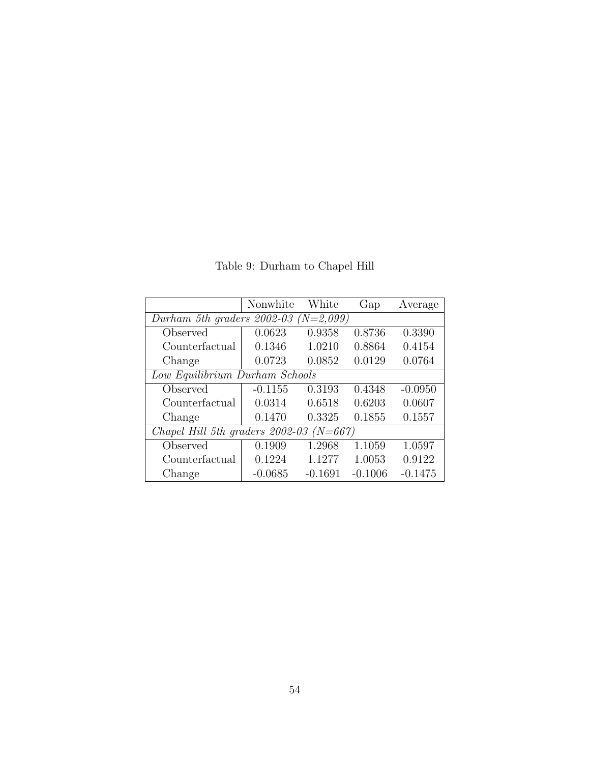|                                                | Nonwhite                       | White     | Gap       | Average   |  |  |  |
|------------------------------------------------|--------------------------------|-----------|-----------|-----------|--|--|--|
| Durham 5th graders $2002-03$ (N=2,099)         |                                |           |           |           |  |  |  |
| Observed                                       | 0.0623                         | 0.9358    | 0.8736    | 0.3390    |  |  |  |
| Counterfactual                                 | 0.1346                         | 1.0210    | 0.8864    | 0.4154    |  |  |  |
| Change                                         | 0.0723                         | 0.0852    | 0.0129    | 0.0764    |  |  |  |
|                                                | Low Equilibrium Durham Schools |           |           |           |  |  |  |
| Observed                                       | $-0.1155$                      | 0.3193    | 0.4348    | $-0.0950$ |  |  |  |
| Counterfactual                                 | 0.0314                         | 0.6518    | 0.6203    | 0.0607    |  |  |  |
| Change                                         | 0.1470                         | 0.3325    | 0.1855    | 0.1557    |  |  |  |
| Chapel Hill 5th graders 2002-03<br>$(N = 667)$ |                                |           |           |           |  |  |  |
| Observed                                       | 0.1909                         | 1.2968    | 1.1059    | 1.0597    |  |  |  |
| Counterfactual                                 | 0.1224                         | 1.1277    | 1.0053    | 0.9122    |  |  |  |
| Change                                         | $-0.0685$                      | $-0.1691$ | $-0.1006$ | $-0.1475$ |  |  |  |

<span id="page-54-0"></span>Table 9: Durham to Chapel Hill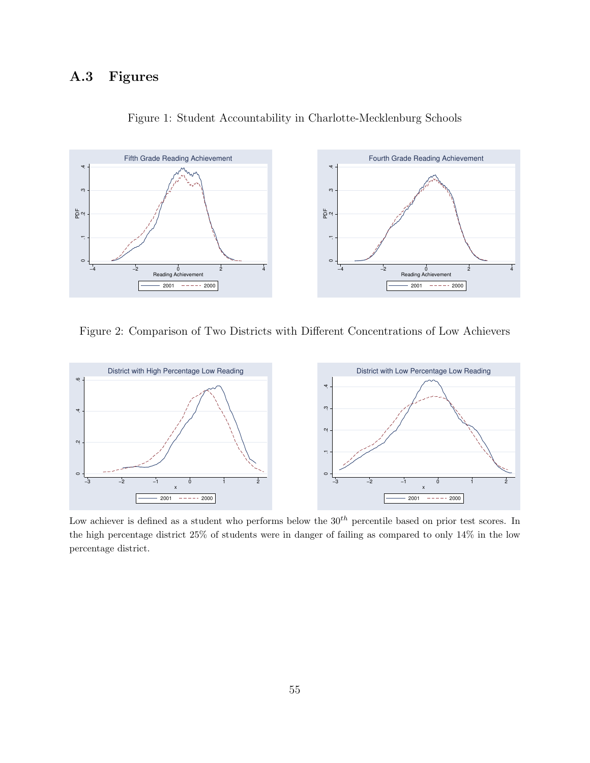### A.3 Figures



<span id="page-55-0"></span>Figure 1: Student Accountability in Charlotte-Mecklenburg Schools

<span id="page-55-1"></span>Figure 2: Comparison of Two Districts with Different Concentrations of Low Achievers



Low achiever is defined as a student who performs below the  $30<sup>th</sup>$  percentile based on prior test scores. In the high percentage district 25% of students were in danger of failing as compared to only 14% in the low percentage district.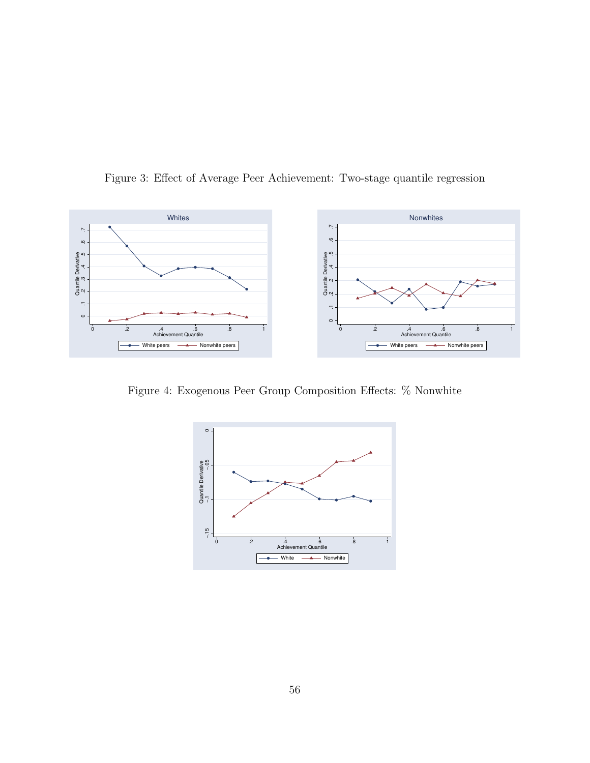

<span id="page-56-0"></span>Figure 3: Effect of Average Peer Achievement: Two-stage quantile regression

Figure 4: Exogenous Peer Group Composition Effects: % Nonwhite

<span id="page-56-1"></span>